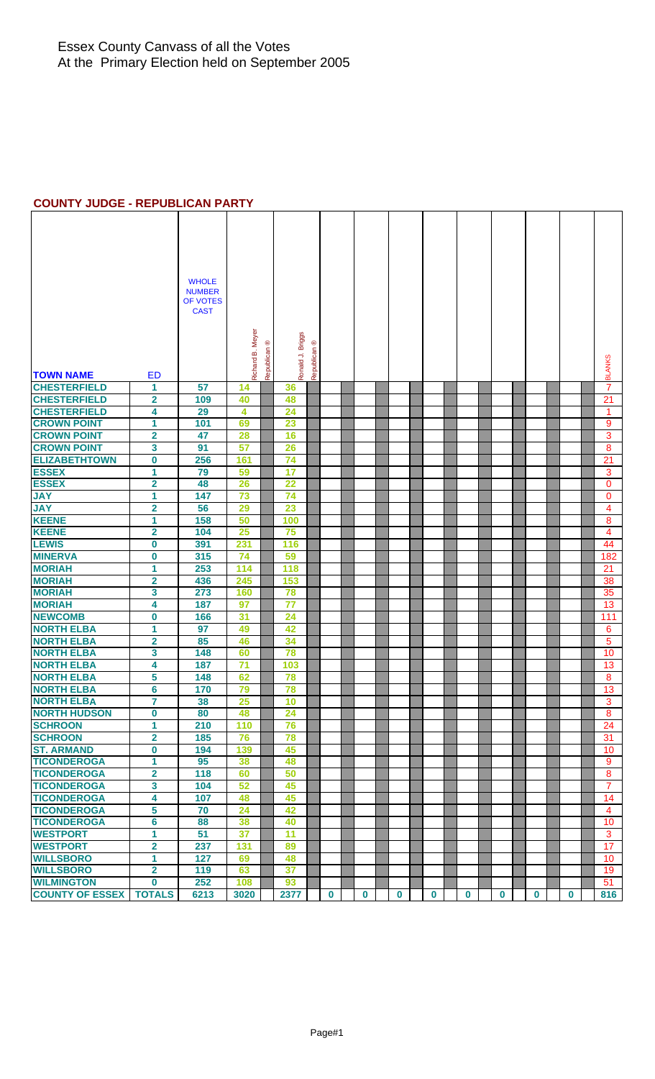#### **COUNTY JUDGE - REPUBLICAN PARTY**

|                                             |                           | <b>WHOLE</b>              |                  |            |                  |            |          |             |          |          |          |             |             |          |                     |
|---------------------------------------------|---------------------------|---------------------------|------------------|------------|------------------|------------|----------|-------------|----------|----------|----------|-------------|-------------|----------|---------------------|
|                                             |                           | <b>NUMBER</b><br>OF VOTES |                  |            |                  |            |          |             |          |          |          |             |             |          |                     |
|                                             |                           | <b>CAST</b>               |                  |            |                  |            |          |             |          |          |          |             |             |          |                     |
|                                             |                           |                           |                  |            |                  |            |          |             |          |          |          |             |             |          |                     |
|                                             |                           |                           |                  |            |                  |            |          |             |          |          |          |             |             |          |                     |
|                                             |                           |                           |                  |            |                  |            |          |             |          |          |          |             |             |          |                     |
|                                             |                           |                           |                  |            |                  |            |          |             |          |          |          |             |             |          |                     |
| <b>TOWN NAME</b>                            | ED                        |                           | Richard B. Meyer | Republican | Ronald J. Briggs | Republican |          |             |          |          |          |             |             |          | <b>BLANKS</b>       |
| <b>CHESTERFIELD</b>                         | 1                         | 57                        | 14               |            | 36               |            |          |             |          |          |          |             |             |          | $\overline{7}$      |
| <b>CHESTERFIELD</b>                         | $\mathbf 2$               | 109                       | 40               |            | 48               |            |          |             |          |          |          |             |             |          | 21                  |
| <b>CHESTERFIELD</b>                         | 4                         | 29                        | 4                |            | 24               |            |          |             |          |          |          |             |             |          | 1                   |
| <b>CROWN POINT</b>                          | 1                         | 101                       | 69               |            | 23               |            |          |             |          |          |          |             |             |          | 9                   |
| <b>CROWN POINT</b>                          | $\overline{\mathbf{2}}$   | 47                        | 28               |            | 16               |            |          |             |          |          |          |             |             |          | 3                   |
| <b>CROWN POINT</b>                          | 3                         | 91                        | 57               |            | 26               |            |          |             |          |          |          |             |             |          | 8                   |
| <b>ELIZABETHTOWN</b>                        | $\bf{0}$                  | 256                       | 161              |            | 74               |            |          |             |          |          |          |             |             |          | 21                  |
| <b>ESSEX</b>                                | 1                         | 79                        | 59               |            | 17               |            |          |             |          |          |          |             |             |          | 3                   |
| <b>ESSEX</b>                                | $\mathbf 2$               | 48                        | 26               |            | 22               |            |          |             |          |          |          |             |             |          | $\mathbf{0}$        |
| <b>JAY</b>                                  | 1                         | 147                       | 73               |            | 74               |            |          |             |          |          |          |             |             |          | $\mathbf 0$         |
| <b>JAY</b>                                  | $\overline{\mathbf{2}}$   | 56                        | 29               |            | 23               |            |          |             |          |          |          |             |             |          | 4                   |
| <b>KEENE</b>                                | 1                         | 158                       | 50               |            | 100              |            |          |             |          |          |          |             |             |          | 8                   |
| <b>KEENE</b>                                | $\mathbf{2}$              | 104                       | 25               |            | 75               |            |          |             |          |          |          |             |             |          | 4                   |
| <b>LEWIS</b>                                | $\bf{0}$                  | 391                       | 231              |            | 116              |            |          |             |          |          |          |             |             |          | 44                  |
| <b>MINERVA</b>                              | $\bf{0}$                  | 315                       | 74               |            | 59               |            |          |             |          |          |          |             |             |          | 182                 |
| <b>MORIAH</b>                               | 1                         | 253                       | 114              |            | 118              |            |          |             |          |          |          |             |             |          | 21                  |
| <b>MORIAH</b>                               | $\mathbf{2}$              | 436                       | 245              |            | 153              |            |          |             |          |          |          |             |             |          | 38                  |
| <b>MORIAH</b>                               | 3                         | 273                       | 160              |            | 78               |            |          |             |          |          |          |             |             |          | 35                  |
| <b>MORIAH</b><br><b>NEWCOMB</b>             | 4                         | 187                       | 97               |            | 77               |            |          |             |          |          |          |             |             |          | 13                  |
| <b>NORTH ELBA</b>                           | 0<br>1                    | 166<br>97                 | 31<br>49         |            | 24<br>42         |            |          |             |          |          |          |             |             |          | 111                 |
| <b>NORTH ELBA</b>                           | $\overline{2}$            | 85                        | 46               |            | 34               |            |          |             |          |          |          |             |             |          | 6<br>5 <sup>5</sup> |
| <b>NORTH ELBA</b>                           | 3                         | 148                       | 60               |            | 78               |            |          |             |          |          |          |             |             |          | 10                  |
| <b>NORTH ELBA</b>                           | 4                         | 187                       | 71               |            | 103              |            |          |             |          |          |          |             |             |          | 13                  |
| <b>NORTH ELBA</b>                           | 5                         | 148                       | 62               |            | 78               |            |          |             |          |          |          |             |             |          | 8                   |
| <b>NORTH ELBA</b>                           | 6                         | 170                       | 79               |            | 78               |            |          |             |          |          |          |             |             |          | 13 <sup>°</sup>     |
| <b>NORTH ELBA</b>                           | $\overline{7}$            | 38                        | 25               |            | 10               |            |          |             |          |          |          |             |             |          | 3                   |
| <b>NORTH HUDSON</b>                         | $\bf{0}$                  | 80                        | 48               |            | 24               |            |          |             |          |          |          |             |             |          | 8                   |
| <b>SCHROON</b>                              | 1                         | 210                       | 110              |            | 76               |            |          |             |          |          |          |             |             |          | 24                  |
| <b>SCHROON</b>                              | $\overline{\mathbf{2}}$   | 185                       | 76               |            | 78               |            |          |             |          |          |          |             |             |          | 31                  |
| <b>ST. ARMAND</b>                           | $\bf{0}$                  | 194                       | 139              |            | 45               |            |          |             |          |          |          |             |             |          | 10                  |
| <b>TICONDEROGA</b>                          | 1                         | 95                        | 38               |            | 48               |            |          |             |          |          |          |             |             |          | 9                   |
| <b>TICONDEROGA</b>                          | $\overline{\mathbf{2}}$   | 118                       | 60               |            | 50               |            |          |             |          |          |          |             |             |          | 8                   |
| <b>TICONDEROGA</b>                          | 3                         | 104                       | 52               |            | 45               |            |          |             |          |          |          |             |             |          | 7                   |
| <b>TICONDEROGA</b>                          | 4                         | 107                       | 48               |            | 45               |            |          |             |          |          |          |             |             |          | 14                  |
| <b>TICONDEROGA</b>                          | 5                         | 70                        | 24               |            | 42               |            |          |             |          |          |          |             |             |          | 4                   |
| <b>TICONDEROGA</b>                          | 6                         | 88                        | 38               |            | 40               |            |          |             |          |          |          |             |             |          | 10                  |
| <b>WESTPORT</b>                             | 1                         | 51                        | 37               |            | 11               |            |          |             |          |          |          |             |             |          | 3                   |
| <b>WESTPORT</b>                             | $\overline{2}$            | 237                       | 131              |            | 89               |            |          |             |          |          |          |             |             |          | 17                  |
| <b>WILLSBORO</b>                            | 1                         | 127                       | 69               |            | 48               |            |          |             |          |          |          |             |             |          | 10                  |
| <b>WILLSBORO</b>                            | $\overline{2}$            | 119                       | 63               |            | 37               |            |          |             |          |          |          |             |             |          | 19                  |
|                                             |                           |                           |                  |            |                  |            |          |             |          |          |          |             |             |          |                     |
| <b>WILMINGTON</b><br><b>COUNTY OF ESSEX</b> | $\bf{0}$<br><b>TOTALS</b> | 252<br>6213               | 108<br>3020      |            | 93<br>2377       |            | $\bf{0}$ | $\mathbf 0$ | $\bf{0}$ | $\bf{0}$ | $\bf{0}$ | $\mathbf 0$ | $\mathbf 0$ | $\bf{0}$ | 51<br>816           |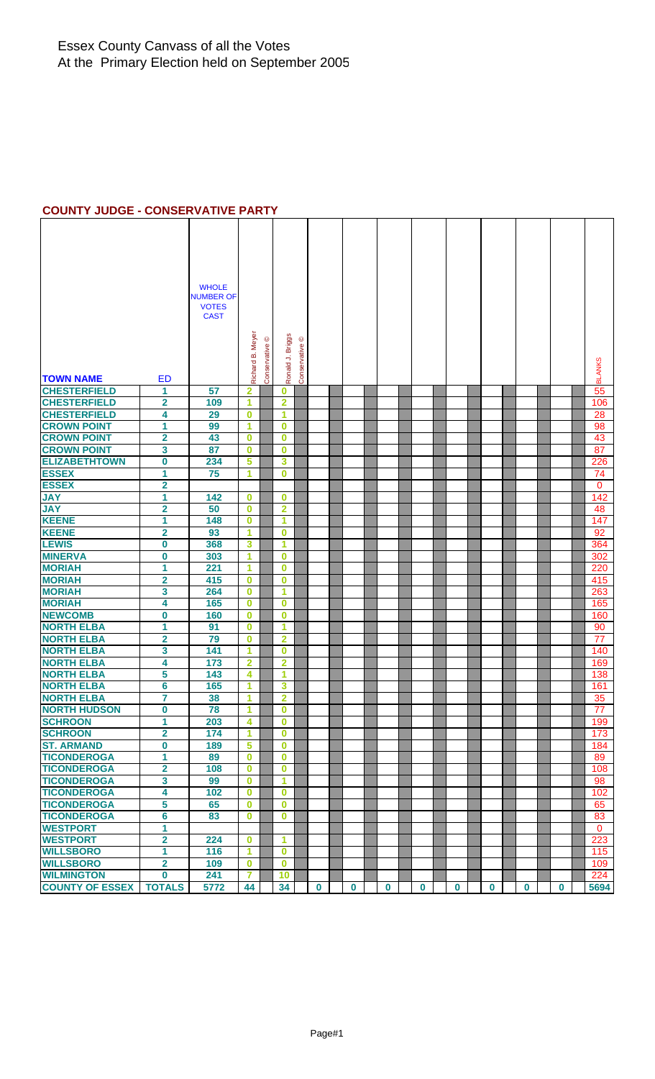#### **COUNTY JUDGE - CONSERVATIVE PARTY**

|                                        |                         | <b>WHOLE</b>                     |                         |               |                         |                |          |             |          |          |          |          |          |          |               |
|----------------------------------------|-------------------------|----------------------------------|-------------------------|---------------|-------------------------|----------------|----------|-------------|----------|----------|----------|----------|----------|----------|---------------|
|                                        |                         | <b>NUMBER OF</b><br><b>VOTES</b> |                         |               |                         |                |          |             |          |          |          |          |          |          |               |
|                                        |                         | <b>CAST</b>                      |                         |               |                         |                |          |             |          |          |          |          |          |          |               |
|                                        |                         |                                  |                         |               |                         |                |          |             |          |          |          |          |          |          |               |
|                                        |                         |                                  |                         | $^\copyright$ |                         |                |          |             |          |          |          |          |          |          |               |
|                                        |                         |                                  |                         |               |                         |                |          |             |          |          |          |          |          |          |               |
|                                        |                         |                                  |                         |               |                         |                |          |             |          |          |          |          |          |          |               |
| <b>TOWN NAME</b>                       | <b>ED</b>               |                                  | Richard B. Meyer        | Conservative  | Ronald J. Briggs        | Conservative © |          |             |          |          |          |          |          |          | <b>BLANKS</b> |
| <b>CHESTERFIELD</b>                    | 1                       | 57                               | $\overline{\mathbf{2}}$ |               | $\bf{0}$                |                |          |             |          |          |          |          |          |          | 55            |
| <b>CHESTERFIELD</b>                    | 2                       | 109                              | 1                       |               | $\overline{2}$          |                |          |             |          |          |          |          |          |          | 106           |
| <b>CHESTERFIELD</b>                    | 4                       | 29                               | $\bf{0}$                |               | 1                       |                |          |             |          |          |          |          |          |          | 28            |
| <b>CROWN POINT</b>                     | 1                       | 99                               | 1                       |               | $\bf{0}$                |                |          |             |          |          |          |          |          |          | 98            |
| <b>CROWN POINT</b>                     | $\overline{\mathbf{2}}$ | 43                               | $\bf{0}$                |               | $\bf{0}$                |                |          |             |          |          |          |          |          |          | 43            |
| <b>CROWN POINT</b>                     | 3                       | 87                               | $\bf{0}$                |               | $\bf{0}$                |                |          |             |          |          |          |          |          |          | 87            |
| <b>ELIZABETHTOWN</b>                   | 0                       | 234                              | 5                       |               | 3                       |                |          |             |          |          |          |          |          |          | 226           |
| <b>ESSEX</b>                           | 1                       | 75                               | 1                       |               | $\bf{0}$                |                |          |             |          |          |          |          |          |          | 74            |
| <b>ESSEX</b>                           | $\overline{\mathbf{2}}$ |                                  |                         |               |                         |                |          |             |          |          |          |          |          |          | $\mathbf 0$   |
| <b>JAY</b>                             | 1                       | 142                              | $\bf{0}$                |               | $\bf{0}$                |                |          |             |          |          |          |          |          |          | 142           |
| <b>JAY</b>                             | $\overline{\mathbf{2}}$ | 50                               | $\bf{0}$                |               | $\mathbf{2}$            |                |          |             |          |          |          |          |          |          | 48            |
| <b>KEENE</b>                           | $\overline{1}$          | 148                              | $\bf{0}$                |               | 1                       |                |          |             |          |          |          |          |          |          | 147           |
| <b>KEENE</b>                           | $\overline{\mathbf{2}}$ | 93                               | 1                       |               | $\bf{0}$                |                |          |             |          |          |          |          |          |          | 92            |
| <b>LEWIS</b>                           | $\overline{\mathbf{0}}$ | 368                              | 3                       |               | 1                       |                |          |             |          |          |          |          |          |          | 364           |
| <b>MINERVA</b>                         | 0                       | 303                              | 1                       |               | $\bf{0}$                |                |          |             |          |          |          |          |          |          | 302           |
| <b>MORIAH</b>                          | 1                       | 221                              | 1                       |               | $\bf{0}$                |                |          |             |          |          |          |          |          |          | 220           |
| <b>MORIAH</b>                          | $\overline{\mathbf{2}}$ | 415                              | $\bf{0}$                |               | $\bf{0}$                |                |          |             |          |          |          |          |          |          | 415           |
| <b>MORIAH</b>                          | 3                       | 264                              | $\bf{0}$                |               | 1                       |                |          |             |          |          |          |          |          |          | 263           |
| <b>MORIAH</b>                          | 4                       | 165                              | $\bf{0}$                |               | 0                       |                |          |             |          |          |          |          |          |          | 165           |
| <b>NEWCOMB</b>                         | $\boldsymbol{0}$        | 160                              | $\bf{0}$                |               | $\bf{0}$                |                |          |             |          |          |          |          |          |          | 160           |
| <b>NORTH ELBA</b>                      | 1                       | 91                               | $\bf{0}$                |               | 1                       |                |          |             |          |          |          |          |          |          | 90            |
| <b>NORTH ELBA</b>                      | 2                       | 79                               | 0                       |               | $\overline{\mathbf{2}}$ |                |          |             |          |          |          |          |          |          | 77            |
| <b>NORTH ELBA</b>                      | 3                       | 141                              | 1                       |               | $\bf{0}$                |                |          |             |          |          |          |          |          |          | 140           |
| <b>NORTH ELBA</b><br><b>NORTH ELBA</b> | 4<br>5                  | 173                              | $\overline{2}$          |               | 2                       |                |          |             |          |          |          |          |          |          | 169           |
| <b>NORTH ELBA</b>                      | 6                       | 143<br>165                       | 4<br>1                  |               | 1<br>3                  |                |          |             |          |          |          |          |          |          | 138<br>161    |
| <b>NORTH ELBA</b>                      | 7                       | 38                               | 1                       |               | $\overline{2}$          |                |          |             |          |          |          |          |          |          | 35            |
| <b>NORTH HUDSON</b>                    | $\bf{0}$                | 78                               | 1                       |               | $\bf{0}$                |                |          |             |          |          |          |          |          |          | 77            |
| <b>SCHROON</b>                         | 1                       | 203                              | 4                       |               | $\bf{0}$                |                |          |             |          |          |          |          |          |          | 199           |
| <b>SCHROON</b>                         | $\overline{\mathbf{2}}$ | 174                              | 1                       |               | $\bf{0}$                |                |          |             |          |          |          |          |          |          | 173           |
| <b>ST. ARMAND</b>                      | $\mathbf 0$             | 189                              | 5                       |               | $\bf{0}$                |                |          |             |          |          |          |          |          |          | 184           |
| <b>TICONDEROGA</b>                     | 1                       | 89                               | $\bf{0}$                |               | $\bf{0}$                |                |          |             |          |          |          |          |          |          | 89            |
| <b>TICONDEROGA</b>                     | $\overline{\mathbf{2}}$ | 108                              | 0                       |               | $\bf{0}$                |                |          |             |          |          |          |          |          |          | 108           |
| <b>TICONDEROGA</b>                     | 3                       | 99                               | $\bf{0}$                |               | 1                       |                |          |             |          |          |          |          |          |          | 98            |
| <b>TICONDEROGA</b>                     | 4                       | 102                              | $\bf{0}$                |               | $\bf{0}$                |                |          |             |          |          |          |          |          |          | 102           |
| <b>TICONDEROGA</b>                     | 5                       | 65                               | $\bf{0}$                |               | $\bf{0}$                |                |          |             |          |          |          |          |          |          | 65            |
| <b>TICONDEROGA</b>                     | 6                       | 83                               | $\bf{0}$                |               | $\bf{0}$                |                |          |             |          |          |          |          |          |          | 83            |
| <b>WESTPORT</b>                        | 1                       |                                  |                         |               |                         |                |          |             |          |          |          |          |          |          | $\mathbf{0}$  |
| <b>WESTPORT</b>                        | $\overline{\mathbf{2}}$ | 224                              | $\bf{0}$                |               | $\blacktriangleleft$    |                |          |             |          |          |          |          |          |          | 223           |
| <b>WILLSBORO</b>                       | 1                       | 116                              | 1                       |               | $\bf{0}$                |                |          |             |          |          |          |          |          |          | 115           |
| <b>WILLSBORO</b>                       | 2                       | 109                              | $\bf{0}$                |               | $\bf{0}$                |                |          |             |          |          |          |          |          |          | 109           |
| <b>WILMINGTON</b>                      | 0                       | 241                              | $\overline{7}$          |               | 10                      |                |          |             |          |          |          |          |          |          | 224           |
| <b>COUNTY OF ESSEX TOTALS</b>          |                         | 5772                             | 44                      |               | 34                      |                | $\bf{0}$ | $\mathbf 0$ | $\bf{0}$ | $\bf{0}$ | $\bf{0}$ | $\bf{0}$ | $\bf{0}$ | $\bf{0}$ | 5694          |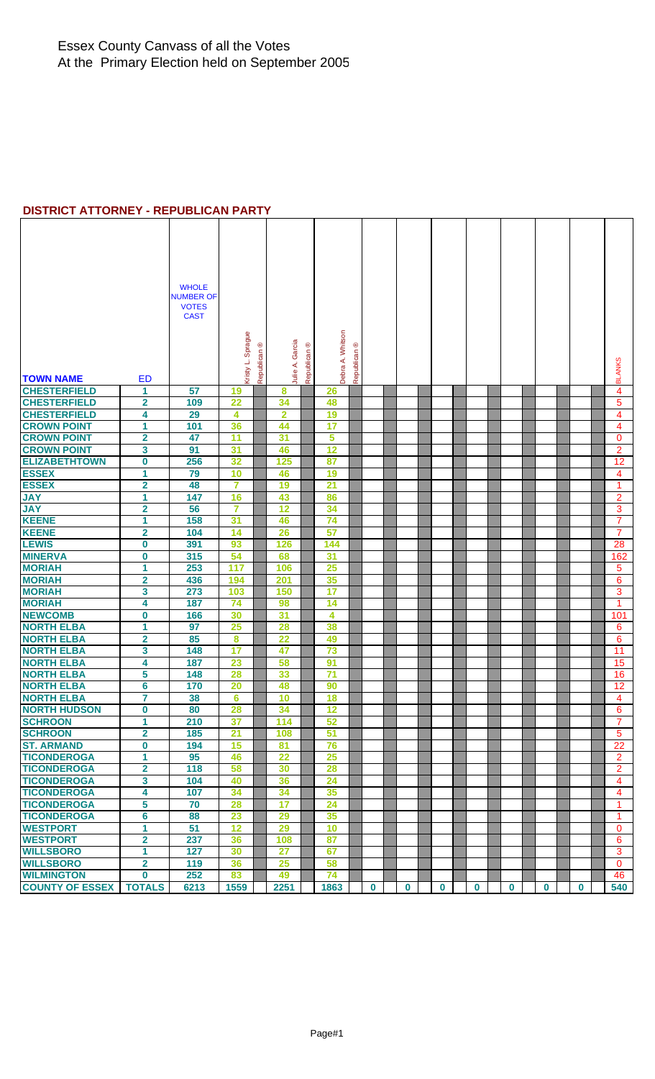#### **DISTRICT ATTORNEY - REPUBLICAN PARTY**

|                                            |                              | <b>WHOLE</b>     |                   |                         |                               |            |                  |                         |          |          |          |          |          |             |          |                         |
|--------------------------------------------|------------------------------|------------------|-------------------|-------------------------|-------------------------------|------------|------------------|-------------------------|----------|----------|----------|----------|----------|-------------|----------|-------------------------|
|                                            |                              | <b>NUMBER OF</b> |                   |                         |                               |            |                  |                         |          |          |          |          |          |             |          |                         |
|                                            |                              | <b>VOTES</b>     |                   |                         |                               |            |                  |                         |          |          |          |          |          |             |          |                         |
|                                            |                              | <b>CAST</b>      |                   |                         |                               |            |                  |                         |          |          |          |          |          |             |          |                         |
|                                            |                              |                  |                   |                         |                               |            |                  |                         |          |          |          |          |          |             |          |                         |
|                                            |                              |                  |                   |                         | Garcia                        | ⊛          |                  |                         |          |          |          |          |          |             |          |                         |
|                                            |                              |                  |                   |                         |                               |            |                  |                         |          |          |          |          |          |             |          |                         |
|                                            |                              |                  | Kristy L. Sprague | Republican <sup>®</sup> | Julie A.                      | Republican | Debra A. Whitson | Republican <sup>®</sup> |          |          |          |          |          |             |          | <b>BLANKS</b>           |
| <b>TOWN NAME</b>                           | <b>ED</b>                    |                  |                   |                         |                               |            |                  |                         |          |          |          |          |          |             |          |                         |
| <b>CHESTERFIELD</b><br><b>CHESTERFIELD</b> | 1                            | 57               | 19                |                         | 8                             |            | 26               |                         |          |          |          |          |          |             |          | $\overline{4}$          |
| <b>CHESTERFIELD</b>                        | $\overline{\mathbf{2}}$<br>4 | 109<br>29        | 22<br>4           |                         | 34<br>$\overline{\mathbf{2}}$ |            | 48<br>19         |                         |          |          |          |          |          |             |          | 5<br>4                  |
| <b>CROWN POINT</b>                         | 1                            | 101              | 36                |                         | 44                            |            | 17               |                         |          |          |          |          |          |             |          | 4                       |
| <b>CROWN POINT</b>                         | $\overline{\mathbf{2}}$      | 47               | $\overline{11}$   |                         | 31                            |            | 5                |                         |          |          |          |          |          |             |          | 0                       |
| <b>CROWN POINT</b>                         | 3                            | 91               | 31                |                         | 46                            |            | 12               |                         |          |          |          |          |          |             |          | $\overline{2}$          |
| <b>ELIZABETHTOWN</b>                       | $\overline{\mathbf{0}}$      | 256              | 32                |                         | 125                           |            | 87               |                         |          |          |          |          |          |             |          | 12                      |
| <b>ESSEX</b>                               | 1                            | 79               | 10                |                         | 46                            |            | 19               |                         |          |          |          |          |          |             |          | 4                       |
| <b>ESSEX</b>                               | 2                            | 48               | 7                 |                         | 19                            |            | 21               |                         |          |          |          |          |          |             |          | $\overline{1}$          |
| <b>JAY</b>                                 | 1                            | 147              | 16                |                         | 43                            |            | 86               |                         |          |          |          |          |          |             |          | $\overline{2}$          |
| <b>JAY</b>                                 | $\overline{\mathbf{2}}$      | 56               | $\overline{7}$    |                         | 12                            |            | 34               |                         |          |          |          |          |          |             |          | 3                       |
| <b>KEENE</b>                               | 1                            | 158              | 31                |                         | 46                            |            | 74               |                         |          |          |          |          |          |             |          | $\overline{7}$          |
| <b>KEENE</b>                               | $\overline{\mathbf{2}}$      | 104              | 14                |                         | 26                            |            | 57               |                         |          |          |          |          |          |             |          | $\overline{7}$          |
| <b>LEWIS</b>                               | 0                            | 391              | 93                |                         | 126                           |            | 144              |                         |          |          |          |          |          |             |          | 28                      |
| <b>MINERVA</b>                             | 0                            | 315              | 54                |                         | 68                            |            | 31               |                         |          |          |          |          |          |             |          | 162                     |
| <b>MORIAH</b>                              | 1                            | 253              | 117               |                         | 106                           |            | 25               |                         |          |          |          |          |          |             |          | 5                       |
| <b>MORIAH</b>                              | $\overline{\mathbf{2}}$      | 436              | 194               |                         | 201                           |            | 35               |                         |          |          |          |          |          |             |          | 6                       |
| <b>MORIAH</b>                              | 3                            | 273              | 103               |                         | 150                           |            | 17               |                         |          |          |          |          |          |             |          | 3                       |
| <b>MORIAH</b>                              | 4                            | 187              | 74                |                         | 98                            |            | 14               |                         |          |          |          |          |          |             |          | $\overline{1}$          |
| <b>NEWCOMB</b>                             | 0                            | 166              | 30                |                         | 31                            |            | 4                |                         |          |          |          |          |          |             |          | 101                     |
| <b>NORTH ELBA</b>                          | 1                            | 97               | 25                |                         | 28                            |            | 38               |                         |          |          |          |          |          |             |          | 6                       |
| <b>NORTH ELBA</b>                          | $\overline{\mathbf{2}}$      | 85               | 8<br>17           |                         | 22                            |            | 49               |                         |          |          |          |          |          |             |          | 6                       |
| <b>NORTH ELBA</b><br><b>NORTH ELBA</b>     | 3<br>4                       | 148<br>187       | 23                |                         | 47<br>58                      |            | 73<br>91         |                         |          |          |          |          |          |             |          | 11<br>15                |
| <b>NORTH ELBA</b>                          | 5                            | 148              | 28                |                         | 33                            |            | 71               |                         |          |          |          |          |          |             |          | 16                      |
| <b>NORTH ELBA</b>                          | 6                            | 170              | 20                |                         | 48                            |            | 90               |                         |          |          |          |          |          |             |          | 12                      |
| <b>NORTH ELBA</b>                          | 7                            | 38               | 6                 |                         | 10                            |            | 18               |                         |          |          |          |          |          |             |          | $\overline{\mathbf{A}}$ |
| <b>NORTH HUDSON</b>                        | 0                            | 80               | 28                |                         | 34                            |            | 12               |                         |          |          |          |          |          |             |          | 6                       |
| <b>SCHROON</b>                             | 1                            | 210              | 37                |                         | 114                           |            | 52               |                         |          |          |          |          |          |             |          | 7                       |
| <b>SCHROON</b>                             | $\overline{\mathbf{2}}$      | 185              | $\overline{21}$   |                         | 108                           |            | 51               |                         |          |          |          |          |          |             |          | 5                       |
| <b>ST. ARMAND</b>                          | 0                            | 194              | 15                |                         | 81                            |            | 76               |                         |          |          |          |          |          |             |          | 22                      |
| <b>TICONDEROGA</b>                         | 1                            | 95               | 46                |                         | $\overline{22}$               |            | 25               |                         |          |          |          |          |          |             |          | $\overline{2}$          |
| <b>TICONDEROGA</b>                         | $\overline{\mathbf{2}}$      | 118              | 58                |                         | 30                            |            | 28               |                         |          |          |          |          |          |             |          | $\overline{2}$          |
| <b>TICONDEROGA</b>                         | 3                            | 104              | 40                |                         | 36                            |            | 24               |                         |          |          |          |          |          |             |          | 4                       |
| <b>TICONDEROGA</b>                         | 4                            | 107              | 34                |                         | 34                            |            | 35               |                         |          |          |          |          |          |             |          | 4                       |
| <b>TICONDEROGA</b>                         | 5                            | 70               | 28                |                         | 17                            |            | 24               |                         |          |          |          |          |          |             |          | 1                       |
| <b>TICONDEROGA</b>                         | 6                            | 88               | 23                |                         | 29                            |            | 35               |                         |          |          |          |          |          |             |          | 1                       |
| <b>WESTPORT</b>                            | 1                            | 51               | 12                |                         | 29                            |            | 10               |                         |          |          |          |          |          |             |          | $\mathbf{0}$            |
| <b>WESTPORT</b>                            | $\overline{\mathbf{2}}$      | 237              | 36                |                         | 108                           |            | 87               |                         |          |          |          |          |          |             |          | 6                       |
| <b>WILLSBORO</b>                           | 1                            | 127              | 30                |                         | 27                            |            | 67               |                         |          |          |          |          |          |             |          | 3                       |
| <b>WILLSBORO</b><br><b>WILMINGTON</b>      | $\overline{\mathbf{2}}$<br>0 | 119<br>252       | 36<br>83          |                         | 25<br>49                      |            | 58<br>74         |                         |          |          |          |          |          |             |          | $\mathbf{0}$<br>46      |
| <b>COUNTY OF ESSEX</b>                     | <b>TOTALS</b>                | 6213             | 1559              |                         | 2251                          |            | 1863             |                         | $\bf{0}$ | $\bf{0}$ | $\bf{0}$ | $\bf{0}$ | $\bf{0}$ | $\mathbf 0$ | $\bf{0}$ | 540                     |
|                                            |                              |                  |                   |                         |                               |            |                  |                         |          |          |          |          |          |             |          |                         |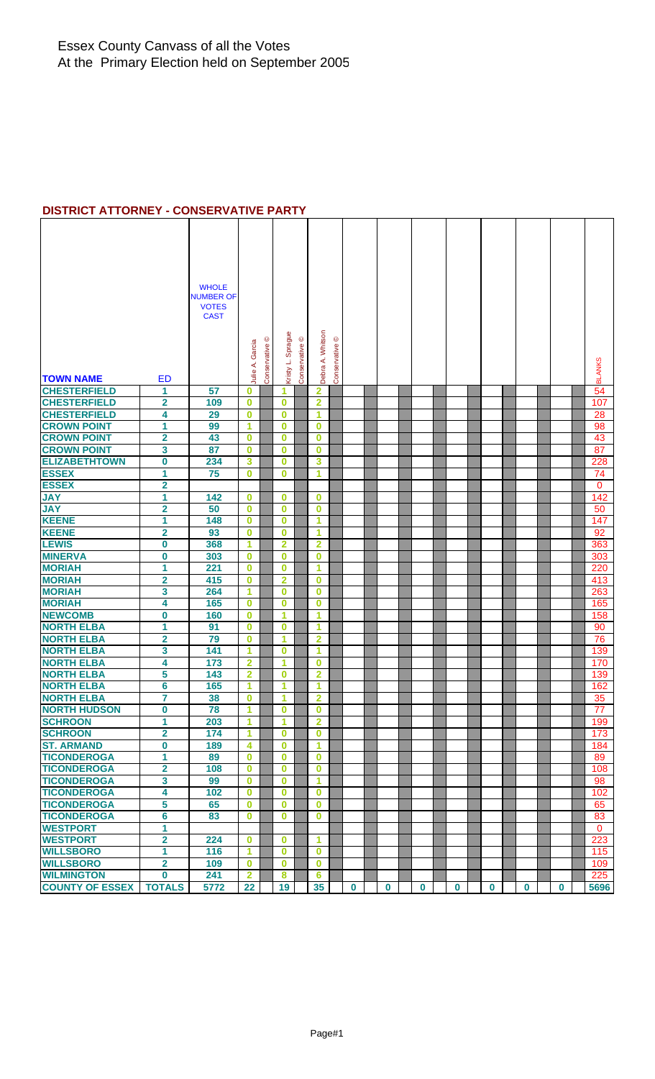#### **DISTRICT ATTORNEY - CONSERVATIVE PARTY**

|                                        |                         | <b>WHOLE</b>                     |                         |                           |                         |                |                         |                           |             |             |             |             |          |             |             |               |
|----------------------------------------|-------------------------|----------------------------------|-------------------------|---------------------------|-------------------------|----------------|-------------------------|---------------------------|-------------|-------------|-------------|-------------|----------|-------------|-------------|---------------|
|                                        |                         | <b>NUMBER OF</b><br><b>VOTES</b> |                         |                           |                         |                |                         |                           |             |             |             |             |          |             |             |               |
|                                        |                         | <b>CAST</b>                      |                         |                           |                         |                |                         |                           |             |             |             |             |          |             |             |               |
|                                        |                         |                                  |                         |                           |                         |                |                         |                           |             |             |             |             |          |             |             |               |
|                                        |                         |                                  |                         |                           |                         | $\circledcirc$ |                         |                           |             |             |             |             |          |             |             |               |
|                                        |                         |                                  | Garcia                  |                           |                         |                |                         |                           |             |             |             |             |          |             |             |               |
|                                        |                         |                                  |                         |                           |                         |                |                         |                           |             |             |             |             |          |             |             |               |
| <b>TOWN NAME</b>                       | <b>ED</b>               |                                  | Julie A.                | Conservative <sup>C</sup> | Kristy L. Sprague       | Conservative   | Debra A. Whitson        | Conservative <sup>O</sup> |             |             |             |             |          |             |             | <b>BLANKS</b> |
| <b>CHESTERFIELD</b>                    | 1                       | 57                               | $\bf{0}$                |                           | 1                       |                | 2                       |                           |             |             |             |             |          |             |             | 54            |
| <b>CHESTERFIELD</b>                    | 2                       | 109                              | 0                       |                           | $\bf{0}$                |                | $\overline{\mathbf{2}}$ |                           |             |             |             |             |          |             |             | 107           |
| <b>CHESTERFIELD</b>                    | 4                       | 29                               | $\bf{0}$                |                           | $\bf{0}$                |                | 1                       |                           |             |             |             |             |          |             |             | 28            |
| <b>CROWN POINT</b>                     | 1                       | 99                               | 1                       |                           | $\bf{0}$                |                | $\bf{0}$                |                           |             |             |             |             |          |             |             | 98            |
| <b>CROWN POINT</b>                     | $\overline{\mathbf{2}}$ | 43                               | 0                       |                           | $\bf{0}$                |                | $\bf{0}$                |                           |             |             |             |             |          |             |             | 43            |
| <b>CROWN POINT</b>                     | 3                       | 87                               | $\bf{0}$                |                           | $\bf{0}$                |                | $\bf{0}$                |                           |             |             |             |             |          |             |             | 87            |
| <b>ELIZABETHTOWN</b>                   | 0                       | 234                              | 3                       |                           | $\bf{0}$                |                | 3                       |                           |             |             |             |             |          |             |             | 228           |
| <b>ESSEX</b>                           | $\overline{1}$          | 75                               | $\bf{0}$                |                           | $\bf{0}$                |                | 1                       |                           |             |             |             |             |          |             |             | 74            |
| <b>ESSEX</b>                           | $\overline{\mathbf{2}}$ |                                  |                         |                           |                         |                |                         |                           |             |             |             |             |          |             |             | 0             |
| <b>JAY</b>                             | 1                       | 142                              | $\bf{0}$                |                           | $\bf{0}$                |                | $\bf{0}$                |                           |             |             |             |             |          |             |             | 142           |
| <b>JAY</b>                             | $\overline{2}$          | 50                               | $\bf{0}$                |                           | $\bf{0}$                |                | $\bf{0}$                |                           |             |             |             |             |          |             |             | 50            |
| <b>KEENE</b>                           | 1                       | 148                              | 0                       |                           | $\bf{0}$                |                | 1                       |                           |             |             |             |             |          |             |             | 147           |
| <b>KEENE</b>                           | 2                       | 93                               | 0                       |                           | $\bf{0}$                |                | 1                       |                           |             |             |             |             |          |             |             | 92            |
| <b>LEWIS</b>                           | 0                       | 368                              | 1                       |                           | $\overline{\mathbf{2}}$ |                | $\overline{2}$          |                           |             |             |             |             |          |             |             | 363           |
| <b>MINERVA</b>                         | 0                       | 303                              | $\bf{0}$                |                           | $\bf{0}$                |                | $\bf{0}$                |                           |             |             |             |             |          |             |             | 303           |
| <b>MORIAH</b>                          | $\overline{\mathbf{1}}$ | 221                              | $\bf{0}$                |                           | $\bf{0}$                |                | 1                       |                           |             |             |             |             |          |             |             | 220           |
| <b>MORIAH</b>                          | $\overline{\mathbf{2}}$ | 415                              | $\bf{0}$                |                           | $\overline{2}$          |                | $\bf{0}$                |                           |             |             |             |             |          |             |             | 413           |
| <b>MORIAH</b>                          | 3                       | 264                              | 1                       |                           | $\bf{0}$                |                | $\bf{0}$                |                           |             |             |             |             |          |             |             | 263           |
| <b>MORIAH</b>                          | 4                       | 165                              | 0                       |                           | $\bf{0}$                |                | $\bf{0}$                |                           |             |             |             |             |          |             |             | 165           |
| <b>NEWCOMB</b>                         | 0                       | 160                              | $\bf{0}$                |                           | 1                       |                | 1                       |                           |             |             |             |             |          |             |             | 158           |
| <b>NORTH ELBA</b>                      | 1                       | 91                               | $\bf{0}$                |                           | $\bf{0}$                |                | 1                       |                           |             |             |             |             |          |             |             | 90            |
| <b>NORTH ELBA</b>                      | $\overline{\mathbf{2}}$ | 79                               | $\bf{0}$                |                           | 1                       |                | $\overline{2}$          |                           |             |             |             |             |          |             |             | 76            |
| <b>NORTH ELBA</b>                      | 3                       | 141                              | 1                       |                           | $\bf{0}$                |                | 1                       |                           |             |             |             |             |          |             |             | 139           |
| <b>NORTH ELBA</b>                      | 4                       | 173                              | $\overline{2}$          |                           | 1                       |                | $\bf{0}$                |                           |             |             |             |             |          |             |             | 170           |
| <b>NORTH ELBA</b><br><b>NORTH ELBA</b> | 5                       | 143                              | $\overline{\mathbf{2}}$ |                           | $\bf{0}$<br>1           |                | 2<br>1                  |                           |             |             |             |             |          |             |             | 139           |
| <b>NORTH ELBA</b>                      | 6<br>$\overline{7}$     | 165<br>38                        | 1<br>$\bf{0}$           |                           | 1                       |                | $\overline{2}$          |                           |             |             |             |             |          |             |             | 162<br>35     |
| <b>NORTH HUDSON</b>                    | 0                       | 78                               | 1                       |                           | $\bf{0}$                |                | $\bf{0}$                |                           |             |             |             |             |          |             |             | 77            |
| <b>SCHROON</b>                         | 1                       | 203                              | 1                       |                           | 1                       |                | $\overline{2}$          |                           |             |             |             |             |          |             |             | 199           |
| <b>SCHROON</b>                         | $\overline{\mathbf{2}}$ | 174                              | 1                       |                           | $\bf{0}$                |                | $\bf{0}$                |                           |             |             |             |             |          |             |             | 173           |
| <b>ST. ARMAND</b>                      | 0                       | 189                              | 4                       |                           | $\bf{0}$                |                | 1                       |                           |             |             |             |             |          |             |             | 184           |
| <b>TICONDEROGA</b>                     | 1                       | 89                               | $\bf{0}$                |                           | $\bf{0}$                |                | $\bf{0}$                |                           |             |             |             |             |          |             |             | 89            |
| <b>TICONDEROGA</b>                     | $\overline{\mathbf{2}}$ | 108                              | $\bf{0}$                |                           | $\bf{0}$                |                | $\bf{0}$                |                           |             |             |             |             |          |             |             | 108           |
| <b>TICONDEROGA</b>                     | 3                       | 99                               | $\bf{0}$                |                           | $\bf{0}$                |                | 1                       |                           |             |             |             |             |          |             |             | 98            |
| <b>TICONDEROGA</b>                     | 4                       | 102                              | $\bf{0}$                |                           | $\bf{0}$                |                | $\bf{0}$                |                           |             |             |             |             |          |             |             | 102           |
| <b>TICONDEROGA</b>                     | 5                       | 65                               | $\bf{0}$                |                           | $\bf{0}$                |                | $\bf{0}$                |                           |             |             |             |             |          |             |             | 65            |
| <b>TICONDEROGA</b>                     | 6                       | 83                               | $\bf{0}$                |                           | $\bf{0}$                |                | $\bf{0}$                |                           |             |             |             |             |          |             |             | 83            |
| <b>WESTPORT</b>                        | 1                       |                                  |                         |                           |                         |                |                         |                           |             |             |             |             |          |             |             | $\mathbf{0}$  |
| <b>WESTPORT</b>                        | $\overline{\mathbf{2}}$ | 224                              | $\bf{0}$                |                           | $\bf{0}$                |                | 1                       |                           |             |             |             |             |          |             |             | 223           |
| <b>WILLSBORO</b>                       | 1                       | 116                              | 1                       |                           | $\bf{0}$                |                | $\bf{0}$                |                           |             |             |             |             |          |             |             | 115           |
| <b>WILLSBORO</b>                       | $\overline{\mathbf{2}}$ | 109                              | $\bf{0}$                |                           | $\bf{0}$                |                | $\bf{0}$                |                           |             |             |             |             |          |             |             | 109           |
| <b>WILMINGTON</b>                      | 0                       | 241                              | $\overline{2}$          |                           | 8                       |                | 6                       |                           |             |             |             |             |          |             |             | 225           |
| <b>COUNTY OF ESSEX</b>                 | <b>TOTALS</b>           | 5772                             | 22                      |                           | 19                      |                | 35                      |                           | $\mathbf 0$ | $\mathbf 0$ | $\mathbf 0$ | $\mathbf 0$ | $\bf{0}$ | $\mathbf 0$ | $\mathbf 0$ | 5696          |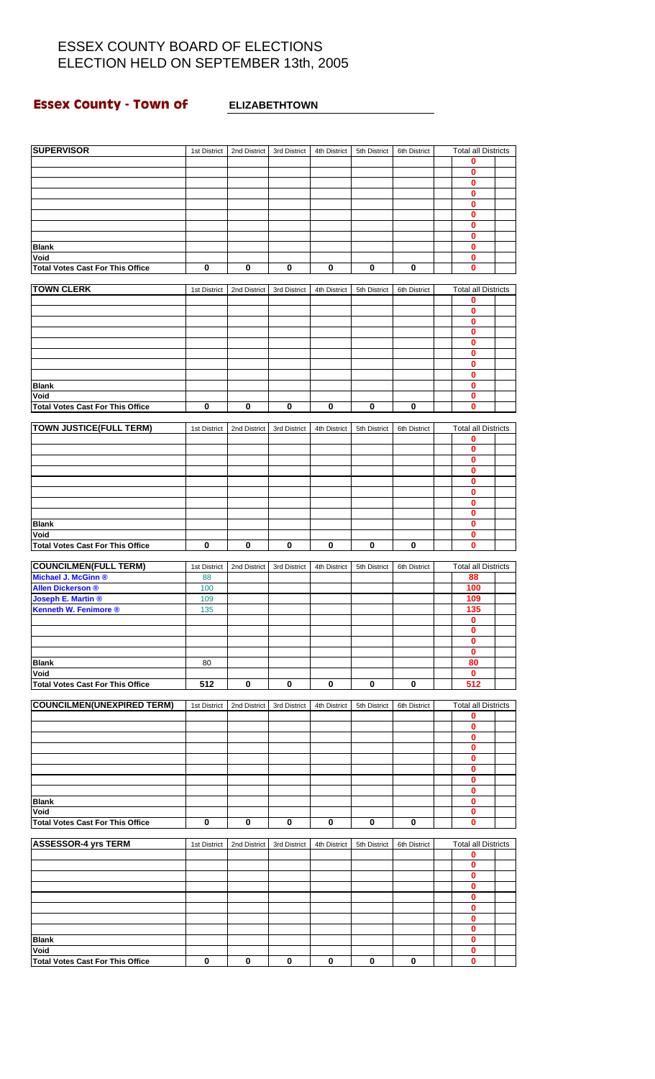# **Essex County - Town of ELIZABETHTOWN**

| 0<br>0<br>0<br>0<br>0<br>0<br>0<br>0<br>0<br><b>Blank</b><br>Void<br>0<br>$\pmb{0}$<br>0<br>0<br>0<br>$\pmb{0}$<br>0<br>0<br><b>TOWN CLERK</b><br><b>Total all Districts</b><br>1st District<br>2nd District<br>3rd District<br>4th District<br>5th District<br>6th District<br>0<br>0<br>0<br>0<br>0<br>0<br>0<br>0<br>0<br><b>Blank</b><br>Void<br>0<br>$\bf{0}$<br>$\bf{0}$<br>0<br>0<br>$\pmb{0}$<br>0<br>0<br><b>TOWN JUSTICE(FULL TERM)</b><br><b>Total all Districts</b><br>1st District<br>2nd District<br>3rd District<br>4th District<br>5th District<br>6th District<br>0<br>0<br>0<br>0<br>0<br>0<br>0<br>0<br>0<br>Void<br>0<br>0<br>0<br>$\bf{0}$<br>0<br>$\bf{0}$<br>$\bf{0}$<br>$\mathbf 0$<br><b>Total Votes Cast For This Office</b><br><b>Total all Districts</b><br>2nd District<br>1st District<br>3rd District<br>4th District<br>6th District<br>5th District<br>Michael J. McGinn ®<br>88<br>88<br>100<br><b>Allen Dickerson ®</b><br>100<br>109<br>Joseph E. Martin ®<br>109<br>135<br>135<br>0<br>0<br>0<br>0<br>80<br>80<br>$\mathbf 0$<br>512<br>512<br><b>Total Votes Cast For This Office</b><br>0<br>0<br>0<br>0<br>0<br><b>COUNCILMEN(UNEXPIRED TERM)</b><br><b>Total all Districts</b><br>1st District<br>2nd District<br>3rd District<br>4th District<br>5th District<br>6th District<br>0<br>0<br>0<br>0<br>0<br>0<br>0<br>0<br><b>Blank</b><br>0<br>0<br>$\bf{0}$<br>$\bf{0}$<br>$\bf{0}$<br>$\mathbf 0$<br>$\bf{0}$<br>$\mathbf 0$<br>0<br><b>ASSESSOR-4 yrs TERM</b><br><b>Total all Districts</b><br>1st District<br>2nd District<br>3rd District<br>4th District<br>5th District<br>6th District<br>0<br>0<br>0<br>0<br>0<br>0<br>0<br>0<br>0<br><b>Blank</b><br>Void<br>0<br>0<br>0<br>0<br>0<br>0<br>0<br>0 | <b>SUPERVISOR</b>                       | 1st District | 2nd District | 3rd District | 4th District | 5th District | 6th District | <b>Total all Districts</b> |  |
|-------------------------------------------------------------------------------------------------------------------------------------------------------------------------------------------------------------------------------------------------------------------------------------------------------------------------------------------------------------------------------------------------------------------------------------------------------------------------------------------------------------------------------------------------------------------------------------------------------------------------------------------------------------------------------------------------------------------------------------------------------------------------------------------------------------------------------------------------------------------------------------------------------------------------------------------------------------------------------------------------------------------------------------------------------------------------------------------------------------------------------------------------------------------------------------------------------------------------------------------------------------------------------------------------------------------------------------------------------------------------------------------------------------------------------------------------------------------------------------------------------------------------------------------------------------------------------------------------------------------------------------------------------------------------------------------------------------------------------------------------------|-----------------------------------------|--------------|--------------|--------------|--------------|--------------|--------------|----------------------------|--|
|                                                                                                                                                                                                                                                                                                                                                                                                                                                                                                                                                                                                                                                                                                                                                                                                                                                                                                                                                                                                                                                                                                                                                                                                                                                                                                                                                                                                                                                                                                                                                                                                                                                                                                                                                       |                                         |              |              |              |              |              |              |                            |  |
|                                                                                                                                                                                                                                                                                                                                                                                                                                                                                                                                                                                                                                                                                                                                                                                                                                                                                                                                                                                                                                                                                                                                                                                                                                                                                                                                                                                                                                                                                                                                                                                                                                                                                                                                                       |                                         |              |              |              |              |              |              |                            |  |
|                                                                                                                                                                                                                                                                                                                                                                                                                                                                                                                                                                                                                                                                                                                                                                                                                                                                                                                                                                                                                                                                                                                                                                                                                                                                                                                                                                                                                                                                                                                                                                                                                                                                                                                                                       |                                         |              |              |              |              |              |              |                            |  |
|                                                                                                                                                                                                                                                                                                                                                                                                                                                                                                                                                                                                                                                                                                                                                                                                                                                                                                                                                                                                                                                                                                                                                                                                                                                                                                                                                                                                                                                                                                                                                                                                                                                                                                                                                       |                                         |              |              |              |              |              |              |                            |  |
|                                                                                                                                                                                                                                                                                                                                                                                                                                                                                                                                                                                                                                                                                                                                                                                                                                                                                                                                                                                                                                                                                                                                                                                                                                                                                                                                                                                                                                                                                                                                                                                                                                                                                                                                                       |                                         |              |              |              |              |              |              |                            |  |
|                                                                                                                                                                                                                                                                                                                                                                                                                                                                                                                                                                                                                                                                                                                                                                                                                                                                                                                                                                                                                                                                                                                                                                                                                                                                                                                                                                                                                                                                                                                                                                                                                                                                                                                                                       |                                         |              |              |              |              |              |              |                            |  |
|                                                                                                                                                                                                                                                                                                                                                                                                                                                                                                                                                                                                                                                                                                                                                                                                                                                                                                                                                                                                                                                                                                                                                                                                                                                                                                                                                                                                                                                                                                                                                                                                                                                                                                                                                       |                                         |              |              |              |              |              |              |                            |  |
|                                                                                                                                                                                                                                                                                                                                                                                                                                                                                                                                                                                                                                                                                                                                                                                                                                                                                                                                                                                                                                                                                                                                                                                                                                                                                                                                                                                                                                                                                                                                                                                                                                                                                                                                                       |                                         |              |              |              |              |              |              |                            |  |
|                                                                                                                                                                                                                                                                                                                                                                                                                                                                                                                                                                                                                                                                                                                                                                                                                                                                                                                                                                                                                                                                                                                                                                                                                                                                                                                                                                                                                                                                                                                                                                                                                                                                                                                                                       | <b>Total Votes Cast For This Office</b> |              |              |              |              |              |              |                            |  |
|                                                                                                                                                                                                                                                                                                                                                                                                                                                                                                                                                                                                                                                                                                                                                                                                                                                                                                                                                                                                                                                                                                                                                                                                                                                                                                                                                                                                                                                                                                                                                                                                                                                                                                                                                       |                                         |              |              |              |              |              |              |                            |  |
|                                                                                                                                                                                                                                                                                                                                                                                                                                                                                                                                                                                                                                                                                                                                                                                                                                                                                                                                                                                                                                                                                                                                                                                                                                                                                                                                                                                                                                                                                                                                                                                                                                                                                                                                                       |                                         |              |              |              |              |              |              |                            |  |
|                                                                                                                                                                                                                                                                                                                                                                                                                                                                                                                                                                                                                                                                                                                                                                                                                                                                                                                                                                                                                                                                                                                                                                                                                                                                                                                                                                                                                                                                                                                                                                                                                                                                                                                                                       |                                         |              |              |              |              |              |              |                            |  |
|                                                                                                                                                                                                                                                                                                                                                                                                                                                                                                                                                                                                                                                                                                                                                                                                                                                                                                                                                                                                                                                                                                                                                                                                                                                                                                                                                                                                                                                                                                                                                                                                                                                                                                                                                       |                                         |              |              |              |              |              |              |                            |  |
|                                                                                                                                                                                                                                                                                                                                                                                                                                                                                                                                                                                                                                                                                                                                                                                                                                                                                                                                                                                                                                                                                                                                                                                                                                                                                                                                                                                                                                                                                                                                                                                                                                                                                                                                                       |                                         |              |              |              |              |              |              |                            |  |
|                                                                                                                                                                                                                                                                                                                                                                                                                                                                                                                                                                                                                                                                                                                                                                                                                                                                                                                                                                                                                                                                                                                                                                                                                                                                                                                                                                                                                                                                                                                                                                                                                                                                                                                                                       |                                         |              |              |              |              |              |              |                            |  |
|                                                                                                                                                                                                                                                                                                                                                                                                                                                                                                                                                                                                                                                                                                                                                                                                                                                                                                                                                                                                                                                                                                                                                                                                                                                                                                                                                                                                                                                                                                                                                                                                                                                                                                                                                       |                                         |              |              |              |              |              |              |                            |  |
|                                                                                                                                                                                                                                                                                                                                                                                                                                                                                                                                                                                                                                                                                                                                                                                                                                                                                                                                                                                                                                                                                                                                                                                                                                                                                                                                                                                                                                                                                                                                                                                                                                                                                                                                                       |                                         |              |              |              |              |              |              |                            |  |
|                                                                                                                                                                                                                                                                                                                                                                                                                                                                                                                                                                                                                                                                                                                                                                                                                                                                                                                                                                                                                                                                                                                                                                                                                                                                                                                                                                                                                                                                                                                                                                                                                                                                                                                                                       |                                         |              |              |              |              |              |              |                            |  |
|                                                                                                                                                                                                                                                                                                                                                                                                                                                                                                                                                                                                                                                                                                                                                                                                                                                                                                                                                                                                                                                                                                                                                                                                                                                                                                                                                                                                                                                                                                                                                                                                                                                                                                                                                       | <b>Total Votes Cast For This Office</b> |              |              |              |              |              |              |                            |  |
|                                                                                                                                                                                                                                                                                                                                                                                                                                                                                                                                                                                                                                                                                                                                                                                                                                                                                                                                                                                                                                                                                                                                                                                                                                                                                                                                                                                                                                                                                                                                                                                                                                                                                                                                                       |                                         |              |              |              |              |              |              |                            |  |
|                                                                                                                                                                                                                                                                                                                                                                                                                                                                                                                                                                                                                                                                                                                                                                                                                                                                                                                                                                                                                                                                                                                                                                                                                                                                                                                                                                                                                                                                                                                                                                                                                                                                                                                                                       |                                         |              |              |              |              |              |              |                            |  |
|                                                                                                                                                                                                                                                                                                                                                                                                                                                                                                                                                                                                                                                                                                                                                                                                                                                                                                                                                                                                                                                                                                                                                                                                                                                                                                                                                                                                                                                                                                                                                                                                                                                                                                                                                       |                                         |              |              |              |              |              |              |                            |  |
|                                                                                                                                                                                                                                                                                                                                                                                                                                                                                                                                                                                                                                                                                                                                                                                                                                                                                                                                                                                                                                                                                                                                                                                                                                                                                                                                                                                                                                                                                                                                                                                                                                                                                                                                                       |                                         |              |              |              |              |              |              |                            |  |
|                                                                                                                                                                                                                                                                                                                                                                                                                                                                                                                                                                                                                                                                                                                                                                                                                                                                                                                                                                                                                                                                                                                                                                                                                                                                                                                                                                                                                                                                                                                                                                                                                                                                                                                                                       |                                         |              |              |              |              |              |              |                            |  |
|                                                                                                                                                                                                                                                                                                                                                                                                                                                                                                                                                                                                                                                                                                                                                                                                                                                                                                                                                                                                                                                                                                                                                                                                                                                                                                                                                                                                                                                                                                                                                                                                                                                                                                                                                       |                                         |              |              |              |              |              |              |                            |  |
|                                                                                                                                                                                                                                                                                                                                                                                                                                                                                                                                                                                                                                                                                                                                                                                                                                                                                                                                                                                                                                                                                                                                                                                                                                                                                                                                                                                                                                                                                                                                                                                                                                                                                                                                                       |                                         |              |              |              |              |              |              |                            |  |
|                                                                                                                                                                                                                                                                                                                                                                                                                                                                                                                                                                                                                                                                                                                                                                                                                                                                                                                                                                                                                                                                                                                                                                                                                                                                                                                                                                                                                                                                                                                                                                                                                                                                                                                                                       |                                         |              |              |              |              |              |              |                            |  |
|                                                                                                                                                                                                                                                                                                                                                                                                                                                                                                                                                                                                                                                                                                                                                                                                                                                                                                                                                                                                                                                                                                                                                                                                                                                                                                                                                                                                                                                                                                                                                                                                                                                                                                                                                       | <b>Blank</b>                            |              |              |              |              |              |              |                            |  |
|                                                                                                                                                                                                                                                                                                                                                                                                                                                                                                                                                                                                                                                                                                                                                                                                                                                                                                                                                                                                                                                                                                                                                                                                                                                                                                                                                                                                                                                                                                                                                                                                                                                                                                                                                       |                                         |              |              |              |              |              |              |                            |  |
|                                                                                                                                                                                                                                                                                                                                                                                                                                                                                                                                                                                                                                                                                                                                                                                                                                                                                                                                                                                                                                                                                                                                                                                                                                                                                                                                                                                                                                                                                                                                                                                                                                                                                                                                                       |                                         |              |              |              |              |              |              |                            |  |
|                                                                                                                                                                                                                                                                                                                                                                                                                                                                                                                                                                                                                                                                                                                                                                                                                                                                                                                                                                                                                                                                                                                                                                                                                                                                                                                                                                                                                                                                                                                                                                                                                                                                                                                                                       | <b>COUNCILMEN(FULL TERM)</b>            |              |              |              |              |              |              |                            |  |
|                                                                                                                                                                                                                                                                                                                                                                                                                                                                                                                                                                                                                                                                                                                                                                                                                                                                                                                                                                                                                                                                                                                                                                                                                                                                                                                                                                                                                                                                                                                                                                                                                                                                                                                                                       |                                         |              |              |              |              |              |              |                            |  |
|                                                                                                                                                                                                                                                                                                                                                                                                                                                                                                                                                                                                                                                                                                                                                                                                                                                                                                                                                                                                                                                                                                                                                                                                                                                                                                                                                                                                                                                                                                                                                                                                                                                                                                                                                       |                                         |              |              |              |              |              |              |                            |  |
|                                                                                                                                                                                                                                                                                                                                                                                                                                                                                                                                                                                                                                                                                                                                                                                                                                                                                                                                                                                                                                                                                                                                                                                                                                                                                                                                                                                                                                                                                                                                                                                                                                                                                                                                                       | Kenneth W. Fenimore ®                   |              |              |              |              |              |              |                            |  |
|                                                                                                                                                                                                                                                                                                                                                                                                                                                                                                                                                                                                                                                                                                                                                                                                                                                                                                                                                                                                                                                                                                                                                                                                                                                                                                                                                                                                                                                                                                                                                                                                                                                                                                                                                       |                                         |              |              |              |              |              |              |                            |  |
|                                                                                                                                                                                                                                                                                                                                                                                                                                                                                                                                                                                                                                                                                                                                                                                                                                                                                                                                                                                                                                                                                                                                                                                                                                                                                                                                                                                                                                                                                                                                                                                                                                                                                                                                                       |                                         |              |              |              |              |              |              |                            |  |
|                                                                                                                                                                                                                                                                                                                                                                                                                                                                                                                                                                                                                                                                                                                                                                                                                                                                                                                                                                                                                                                                                                                                                                                                                                                                                                                                                                                                                                                                                                                                                                                                                                                                                                                                                       |                                         |              |              |              |              |              |              |                            |  |
|                                                                                                                                                                                                                                                                                                                                                                                                                                                                                                                                                                                                                                                                                                                                                                                                                                                                                                                                                                                                                                                                                                                                                                                                                                                                                                                                                                                                                                                                                                                                                                                                                                                                                                                                                       | <b>Blank</b>                            |              |              |              |              |              |              |                            |  |
|                                                                                                                                                                                                                                                                                                                                                                                                                                                                                                                                                                                                                                                                                                                                                                                                                                                                                                                                                                                                                                                                                                                                                                                                                                                                                                                                                                                                                                                                                                                                                                                                                                                                                                                                                       | Void                                    |              |              |              |              |              |              |                            |  |
|                                                                                                                                                                                                                                                                                                                                                                                                                                                                                                                                                                                                                                                                                                                                                                                                                                                                                                                                                                                                                                                                                                                                                                                                                                                                                                                                                                                                                                                                                                                                                                                                                                                                                                                                                       |                                         |              |              |              |              |              |              |                            |  |
|                                                                                                                                                                                                                                                                                                                                                                                                                                                                                                                                                                                                                                                                                                                                                                                                                                                                                                                                                                                                                                                                                                                                                                                                                                                                                                                                                                                                                                                                                                                                                                                                                                                                                                                                                       |                                         |              |              |              |              |              |              |                            |  |
|                                                                                                                                                                                                                                                                                                                                                                                                                                                                                                                                                                                                                                                                                                                                                                                                                                                                                                                                                                                                                                                                                                                                                                                                                                                                                                                                                                                                                                                                                                                                                                                                                                                                                                                                                       |                                         |              |              |              |              |              |              |                            |  |
|                                                                                                                                                                                                                                                                                                                                                                                                                                                                                                                                                                                                                                                                                                                                                                                                                                                                                                                                                                                                                                                                                                                                                                                                                                                                                                                                                                                                                                                                                                                                                                                                                                                                                                                                                       |                                         |              |              |              |              |              |              |                            |  |
|                                                                                                                                                                                                                                                                                                                                                                                                                                                                                                                                                                                                                                                                                                                                                                                                                                                                                                                                                                                                                                                                                                                                                                                                                                                                                                                                                                                                                                                                                                                                                                                                                                                                                                                                                       |                                         |              |              |              |              |              |              |                            |  |
|                                                                                                                                                                                                                                                                                                                                                                                                                                                                                                                                                                                                                                                                                                                                                                                                                                                                                                                                                                                                                                                                                                                                                                                                                                                                                                                                                                                                                                                                                                                                                                                                                                                                                                                                                       |                                         |              |              |              |              |              |              |                            |  |
|                                                                                                                                                                                                                                                                                                                                                                                                                                                                                                                                                                                                                                                                                                                                                                                                                                                                                                                                                                                                                                                                                                                                                                                                                                                                                                                                                                                                                                                                                                                                                                                                                                                                                                                                                       |                                         |              |              |              |              |              |              |                            |  |
|                                                                                                                                                                                                                                                                                                                                                                                                                                                                                                                                                                                                                                                                                                                                                                                                                                                                                                                                                                                                                                                                                                                                                                                                                                                                                                                                                                                                                                                                                                                                                                                                                                                                                                                                                       |                                         |              |              |              |              |              |              |                            |  |
|                                                                                                                                                                                                                                                                                                                                                                                                                                                                                                                                                                                                                                                                                                                                                                                                                                                                                                                                                                                                                                                                                                                                                                                                                                                                                                                                                                                                                                                                                                                                                                                                                                                                                                                                                       |                                         |              |              |              |              |              |              |                            |  |
|                                                                                                                                                                                                                                                                                                                                                                                                                                                                                                                                                                                                                                                                                                                                                                                                                                                                                                                                                                                                                                                                                                                                                                                                                                                                                                                                                                                                                                                                                                                                                                                                                                                                                                                                                       | Void                                    |              |              |              |              |              |              |                            |  |
|                                                                                                                                                                                                                                                                                                                                                                                                                                                                                                                                                                                                                                                                                                                                                                                                                                                                                                                                                                                                                                                                                                                                                                                                                                                                                                                                                                                                                                                                                                                                                                                                                                                                                                                                                       | <b>Total Votes Cast For This Office</b> |              |              |              |              |              |              |                            |  |
|                                                                                                                                                                                                                                                                                                                                                                                                                                                                                                                                                                                                                                                                                                                                                                                                                                                                                                                                                                                                                                                                                                                                                                                                                                                                                                                                                                                                                                                                                                                                                                                                                                                                                                                                                       |                                         |              |              |              |              |              |              |                            |  |
|                                                                                                                                                                                                                                                                                                                                                                                                                                                                                                                                                                                                                                                                                                                                                                                                                                                                                                                                                                                                                                                                                                                                                                                                                                                                                                                                                                                                                                                                                                                                                                                                                                                                                                                                                       |                                         |              |              |              |              |              |              |                            |  |
|                                                                                                                                                                                                                                                                                                                                                                                                                                                                                                                                                                                                                                                                                                                                                                                                                                                                                                                                                                                                                                                                                                                                                                                                                                                                                                                                                                                                                                                                                                                                                                                                                                                                                                                                                       |                                         |              |              |              |              |              |              |                            |  |
|                                                                                                                                                                                                                                                                                                                                                                                                                                                                                                                                                                                                                                                                                                                                                                                                                                                                                                                                                                                                                                                                                                                                                                                                                                                                                                                                                                                                                                                                                                                                                                                                                                                                                                                                                       |                                         |              |              |              |              |              |              |                            |  |
|                                                                                                                                                                                                                                                                                                                                                                                                                                                                                                                                                                                                                                                                                                                                                                                                                                                                                                                                                                                                                                                                                                                                                                                                                                                                                                                                                                                                                                                                                                                                                                                                                                                                                                                                                       |                                         |              |              |              |              |              |              |                            |  |
|                                                                                                                                                                                                                                                                                                                                                                                                                                                                                                                                                                                                                                                                                                                                                                                                                                                                                                                                                                                                                                                                                                                                                                                                                                                                                                                                                                                                                                                                                                                                                                                                                                                                                                                                                       |                                         |              |              |              |              |              |              |                            |  |
|                                                                                                                                                                                                                                                                                                                                                                                                                                                                                                                                                                                                                                                                                                                                                                                                                                                                                                                                                                                                                                                                                                                                                                                                                                                                                                                                                                                                                                                                                                                                                                                                                                                                                                                                                       |                                         |              |              |              |              |              |              |                            |  |
|                                                                                                                                                                                                                                                                                                                                                                                                                                                                                                                                                                                                                                                                                                                                                                                                                                                                                                                                                                                                                                                                                                                                                                                                                                                                                                                                                                                                                                                                                                                                                                                                                                                                                                                                                       |                                         |              |              |              |              |              |              |                            |  |
|                                                                                                                                                                                                                                                                                                                                                                                                                                                                                                                                                                                                                                                                                                                                                                                                                                                                                                                                                                                                                                                                                                                                                                                                                                                                                                                                                                                                                                                                                                                                                                                                                                                                                                                                                       |                                         |              |              |              |              |              |              |                            |  |
|                                                                                                                                                                                                                                                                                                                                                                                                                                                                                                                                                                                                                                                                                                                                                                                                                                                                                                                                                                                                                                                                                                                                                                                                                                                                                                                                                                                                                                                                                                                                                                                                                                                                                                                                                       | <b>Total Votes Cast For This Office</b> |              |              |              |              |              |              |                            |  |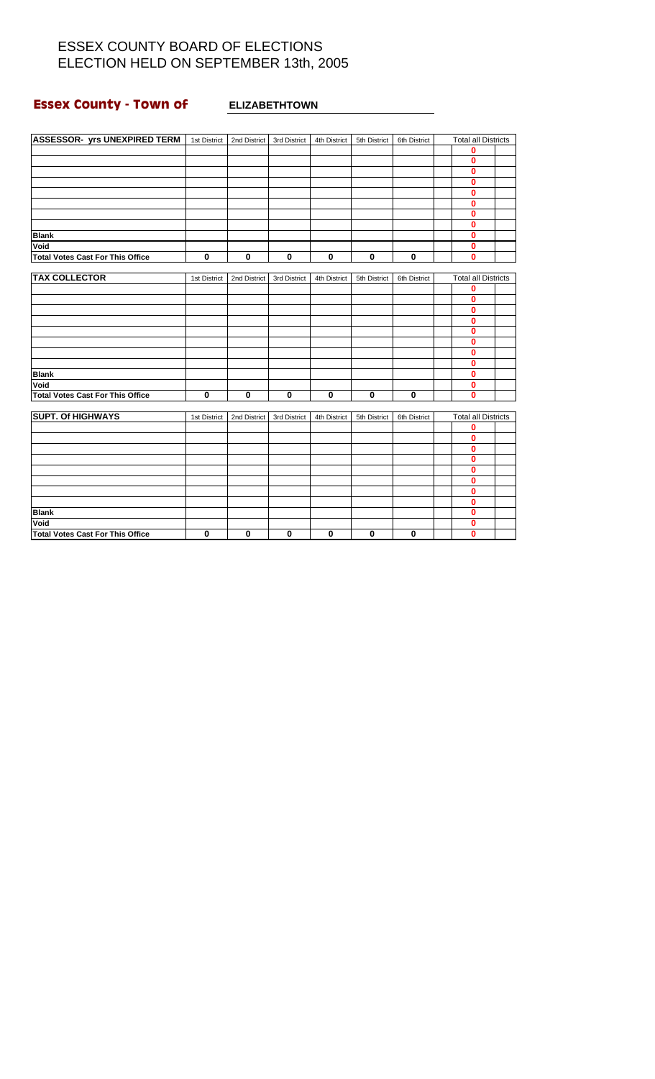# **Essex County - Town of ELIZABETHTOWN**

| <b>ASSESSOR- yrs UNEXPIRED TERM</b>     | 1st District | 2nd District | 3rd District | 4th District | 5th District | 6th District | <b>Total all Districts</b> |  |
|-----------------------------------------|--------------|--------------|--------------|--------------|--------------|--------------|----------------------------|--|
|                                         |              |              |              |              |              |              | 0                          |  |
|                                         |              |              |              |              |              |              | $\bf{0}$                   |  |
|                                         |              |              |              |              |              |              | 0                          |  |
|                                         |              |              |              |              |              |              | 0                          |  |
|                                         |              |              |              |              |              |              | $\bf{0}$                   |  |
|                                         |              |              |              |              |              |              | $\bf{0}$                   |  |
|                                         |              |              |              |              |              |              | $\bf{0}$                   |  |
|                                         |              |              |              |              |              |              | 0                          |  |
| <b>Blank</b>                            |              |              |              |              |              |              | $\mathbf 0$                |  |
| Void                                    |              |              |              |              |              |              | $\bf{0}$                   |  |
| <b>Total Votes Cast For This Office</b> | 0            | 0            | $\mathbf 0$  | 0            | $\bf{0}$     | $\mathbf 0$  | 0                          |  |
|                                         |              |              |              |              |              |              |                            |  |
| <b>TAX COLLECTOR</b>                    | 1st District | 2nd District | 3rd District | 4th District | 5th District | 6th District | <b>Total all Districts</b> |  |
|                                         |              |              |              |              |              |              | 0<br>$\bf{0}$              |  |
|                                         |              |              |              |              |              |              |                            |  |
|                                         |              |              |              |              |              |              | $\bf{0}$                   |  |
|                                         |              |              |              |              |              |              | $\bf{0}$<br>$\bf{0}$       |  |
|                                         |              |              |              |              |              |              | $\bf{0}$                   |  |
|                                         |              |              |              |              |              |              | 0                          |  |
|                                         |              |              |              |              |              |              | 0                          |  |
| <b>Blank</b>                            |              |              |              |              |              |              | $\bf{0}$                   |  |
| Void                                    |              |              |              |              |              |              | 0                          |  |
| <b>Total Votes Cast For This Office</b> | $\mathbf 0$  | $\bf{0}$     | $\mathbf 0$  | $\mathbf 0$  | $\mathbf 0$  | $\mathbf 0$  | $\mathbf{0}$               |  |
|                                         |              |              |              |              |              |              |                            |  |
| <b>SUPT. Of HIGHWAYS</b>                | 1st District | 2nd District | 3rd District | 4th District | 5th District | 6th District | <b>Total all Districts</b> |  |
|                                         |              |              |              |              |              |              | $\bf{0}$                   |  |
|                                         |              |              |              |              |              |              | $\bf{0}$                   |  |
|                                         |              |              |              |              |              |              | $\bf{0}$<br>$\bf{0}$       |  |
|                                         |              |              |              |              |              |              | $\bf{0}$                   |  |
|                                         |              |              |              |              |              |              | $\bf{0}$                   |  |
|                                         |              |              |              |              |              |              | $\bf{0}$                   |  |
|                                         |              |              |              |              |              |              | $\bf{0}$                   |  |
| <b>Blank</b>                            |              |              |              |              |              |              | $\bf{0}$                   |  |
| Void                                    |              |              |              |              |              |              | $\bf{0}$                   |  |
| <b>Total Votes Cast For This Office</b> | 0            | 0            | $\mathbf 0$  | 0            | $\bf{0}$     | $\mathbf 0$  | 0                          |  |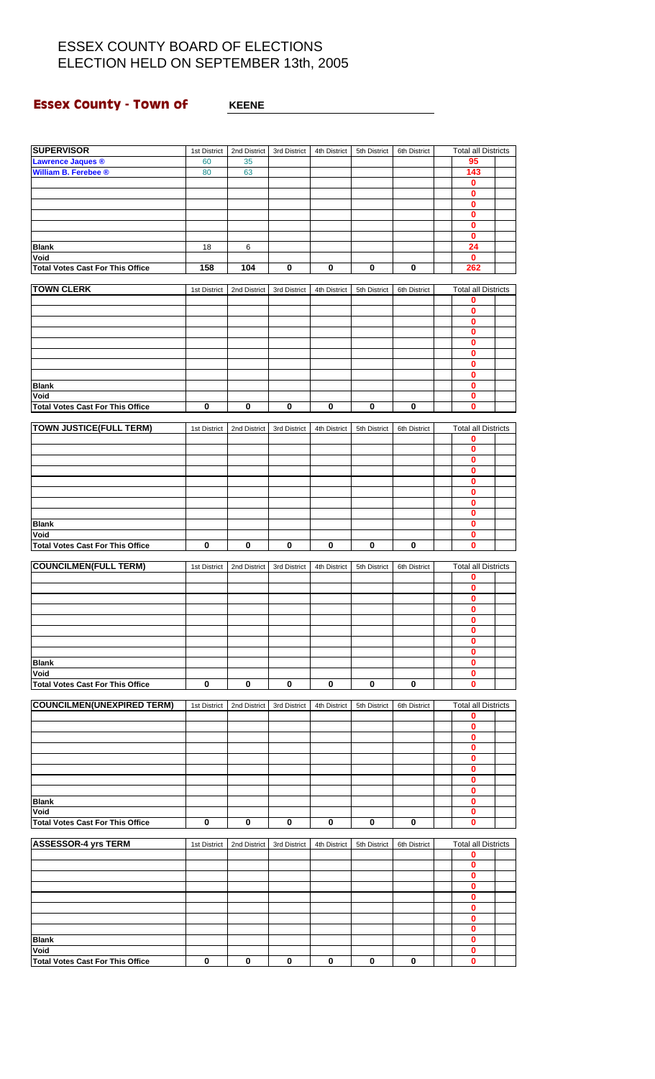#### **Essex County - Town of KEENE**

| <b>SUPERVISOR</b>                               | 1st District | 2nd District | 3rd District | 4th District | 5th District | 6th District | <b>Total all Districts</b> |  |
|-------------------------------------------------|--------------|--------------|--------------|--------------|--------------|--------------|----------------------------|--|
| <b>Lawrence Jaques ®</b>                        | 60           | 35           |              |              |              |              | 95                         |  |
| William B. Ferebee ®                            | 80           | 63           |              |              |              |              | 143                        |  |
|                                                 |              |              |              |              |              |              | 0                          |  |
|                                                 |              |              |              |              |              |              | 0                          |  |
|                                                 |              |              |              |              |              |              | 0<br>0                     |  |
|                                                 |              |              |              |              |              |              | 0                          |  |
|                                                 |              |              |              |              |              |              | 0                          |  |
| <b>Blank</b>                                    | 18           | 6            |              |              |              |              | 24                         |  |
| Void                                            |              |              |              |              |              |              | 0                          |  |
| <b>Total Votes Cast For This Office</b>         | 158          | 104          | 0            | 0            | 0            | 0            | 262                        |  |
| <b>TOWN CLERK</b>                               | 1st District | 2nd District | 3rd District | 4th District | 5th District | 6th District | <b>Total all Districts</b> |  |
|                                                 |              |              |              |              |              |              | 0                          |  |
|                                                 |              |              |              |              |              |              | 0                          |  |
|                                                 |              |              |              |              |              |              | 0                          |  |
|                                                 |              |              |              |              |              |              | 0                          |  |
|                                                 |              |              |              |              |              |              | 0<br>0                     |  |
|                                                 |              |              |              |              |              |              | 0                          |  |
|                                                 |              |              |              |              |              |              | 0                          |  |
| <b>Blank</b>                                    |              |              |              |              |              |              | 0                          |  |
| Void                                            |              |              |              |              |              |              | 0                          |  |
| <b>Total Votes Cast For This Office</b>         | 0            | 0            | 0            | 0            | $\bf{0}$     | 0            | 0                          |  |
| <b>TOWN JUSTICE(FULL TERM)</b>                  | 1st District | 2nd District | 3rd District | 4th District | 5th District | 6th District | <b>Total all Districts</b> |  |
|                                                 |              |              |              |              |              |              | 0                          |  |
|                                                 |              |              |              |              |              |              | 0                          |  |
|                                                 |              |              |              |              |              |              | 0                          |  |
|                                                 |              |              |              |              |              |              | 0                          |  |
|                                                 |              |              |              |              |              |              | 0<br>0                     |  |
|                                                 |              |              |              |              |              |              | 0                          |  |
|                                                 |              |              |              |              |              |              | 0                          |  |
| <b>Blank</b>                                    |              |              |              |              |              |              | 0                          |  |
| Void                                            |              |              |              |              |              |              | 0                          |  |
| <b>Total Votes Cast For This Office</b>         | $\bf{0}$     | $\pmb{0}$    | 0            | $\bf{0}$     | $\pmb{0}$    | 0            | 0                          |  |
| <b>COUNCILMEN(FULL TERM)</b>                    | 1st District | 2nd District | 3rd District | 4th District | 5th District | 6th District | <b>Total all Districts</b> |  |
|                                                 |              |              |              |              |              |              | 0                          |  |
|                                                 |              |              |              |              |              |              | 0                          |  |
|                                                 |              |              |              |              |              |              | 0                          |  |
|                                                 |              |              |              |              |              |              | 0                          |  |
|                                                 |              |              |              |              |              |              | 0<br>0                     |  |
|                                                 |              |              |              |              |              |              | 0                          |  |
|                                                 |              |              |              |              |              |              | 0                          |  |
| <b>Blank</b>                                    |              |              |              |              |              |              | 0                          |  |
| Void                                            |              |              |              |              |              |              | 0                          |  |
| <b>Total Votes Cast For This Office</b>         | 0            | 0            | 0            | 0            | 0            | 0            | 0                          |  |
| <b>COUNCILMEN(UNEXPIRED TERM)</b>               | 1st District | 2nd District | 3rd District | 4th District | 5th District | 6th District | <b>Total all Districts</b> |  |
|                                                 |              |              |              |              |              |              | 0                          |  |
|                                                 |              |              |              |              |              |              | 0                          |  |
|                                                 |              |              |              |              |              |              | 0                          |  |
|                                                 |              |              |              |              |              |              | 0<br>0                     |  |
|                                                 |              |              |              |              |              |              | 0                          |  |
|                                                 |              |              |              |              |              |              | 0                          |  |
|                                                 |              |              |              |              |              |              | 0                          |  |
| <b>Blank</b>                                    |              |              |              |              |              |              | 0                          |  |
| Void<br><b>Total Votes Cast For This Office</b> | $\bf{0}$     | 0            | 0            | 0            | 0            | 0            | 0<br>0                     |  |
|                                                 |              |              |              |              |              |              |                            |  |
| <b>ASSESSOR-4 yrs TERM</b>                      | 1st District | 2nd District | 3rd District | 4th District | 5th District | 6th District | <b>Total all Districts</b> |  |
|                                                 |              |              |              |              |              |              | 0                          |  |
|                                                 |              |              |              |              |              |              | 0                          |  |
|                                                 |              |              |              |              |              |              | 0                          |  |
|                                                 |              |              |              |              |              |              | 0<br>0                     |  |
|                                                 |              |              |              |              |              |              | 0                          |  |
|                                                 |              |              |              |              |              |              | 0                          |  |
|                                                 |              |              |              |              |              |              | 0                          |  |
| <b>Blank</b><br>Void                            |              |              |              |              |              |              | 0<br>0                     |  |
| <b>Total Votes Cast For This Office</b>         | $\mathbf 0$  | $\bf{0}$     | $\bf{0}$     | $\bf{0}$     | $\bf{0}$     | $\bf{0}$     | 0                          |  |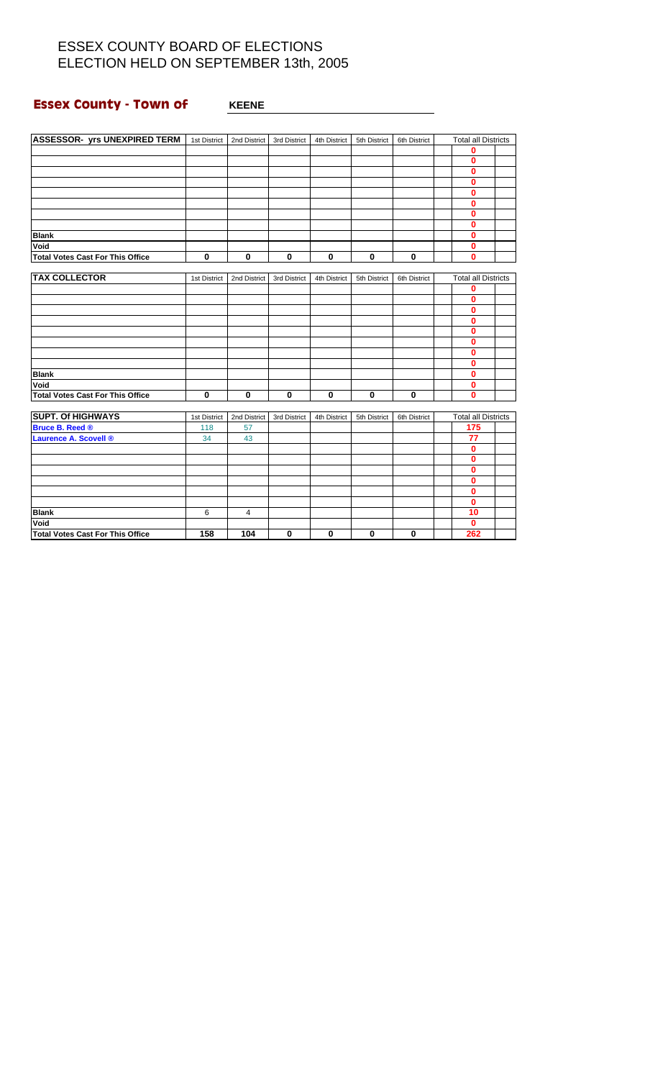#### **Essex County - Town of WHEENE**

| ASSESSOR- yrs UNEXPIRED TERM   1st District |              | 2nd District | 3rd District | 4th District | 5th District | 6th District | <b>Total all Districts</b> |  |
|---------------------------------------------|--------------|--------------|--------------|--------------|--------------|--------------|----------------------------|--|
|                                             |              |              |              |              |              |              | $\mathbf 0$                |  |
|                                             |              |              |              |              |              |              | $\bf{0}$                   |  |
|                                             |              |              |              |              |              |              | $\bf{0}$                   |  |
|                                             |              |              |              |              |              |              | $\bf{0}$                   |  |
|                                             |              |              |              |              |              |              | $\bf{0}$                   |  |
|                                             |              |              |              |              |              |              | $\bf{0}$                   |  |
|                                             |              |              |              |              |              |              | $\bf{0}$                   |  |
|                                             |              |              |              |              |              |              | $\bf{0}$                   |  |
| <b>Blank</b>                                |              |              |              |              |              |              | $\bf{0}$                   |  |
| Void                                        |              |              |              |              |              |              | $\mathbf{0}$               |  |
| <b>Total Votes Cast For This Office</b>     | $\bf{0}$     | $\mathbf 0$  | $\bf{0}$     | $\bf{0}$     | $\mathbf 0$  | $\mathbf 0$  | $\bf{0}$                   |  |
|                                             |              |              |              |              |              |              |                            |  |
| <b>TAX COLLECTOR</b>                        | 1st District | 2nd District | 3rd District | 4th District | 5th District | 6th District | <b>Total all Districts</b> |  |
|                                             |              |              |              |              |              |              | $\mathbf 0$                |  |
|                                             |              |              |              |              |              |              | $\bf{0}$                   |  |
|                                             |              |              |              |              |              |              | $\mathbf 0$                |  |
|                                             |              |              |              |              |              |              | $\bf{0}$                   |  |
|                                             |              |              |              |              |              |              | $\bf{0}$                   |  |
|                                             |              |              |              |              |              |              | $\bf{0}$                   |  |
|                                             |              |              |              |              |              |              | $\bf{0}$                   |  |
|                                             |              |              |              |              |              |              | $\bf{0}$                   |  |
| <b>Blank</b>                                |              |              |              |              |              |              | $\bf{0}$                   |  |
| Void                                        |              |              |              |              |              |              | $\mathbf{0}$               |  |
| <b>Total Votes Cast For This Office</b>     | $\mathbf 0$  | $\mathbf 0$  | $\bf{0}$     | $\pmb{0}$    | $\bf{0}$     | $\bf{0}$     | $\bf{0}$                   |  |
|                                             |              |              |              |              |              |              |                            |  |
| <b>SUPT. Of HIGHWAYS</b>                    | 1st District | 2nd District | 3rd District | 4th District | 5th District | 6th District | <b>Total all Districts</b> |  |
| <b>Bruce B. Reed ®</b>                      | 118          | 57           |              |              |              |              | 175                        |  |
| <b>Laurence A. Scovell ®</b>                | 34           | 43           |              |              |              |              | 77                         |  |
|                                             |              |              |              |              |              |              | $\mathbf 0$                |  |
|                                             |              |              |              |              |              |              | $\mathbf 0$                |  |
|                                             |              |              |              |              |              |              | $\mathbf 0$                |  |
|                                             |              |              |              |              |              |              | $\mathbf 0$<br>$\mathbf 0$ |  |
|                                             |              |              |              |              |              |              | $\mathbf{0}$               |  |
|                                             |              |              |              |              |              |              | 10                         |  |
| <b>Blank</b>                                | 6            | 4            |              |              |              |              | $\mathbf{0}$               |  |
| Void                                        |              |              |              |              |              |              |                            |  |

**Total Votes Cast For This Office 158 104 0 0 0 0 262**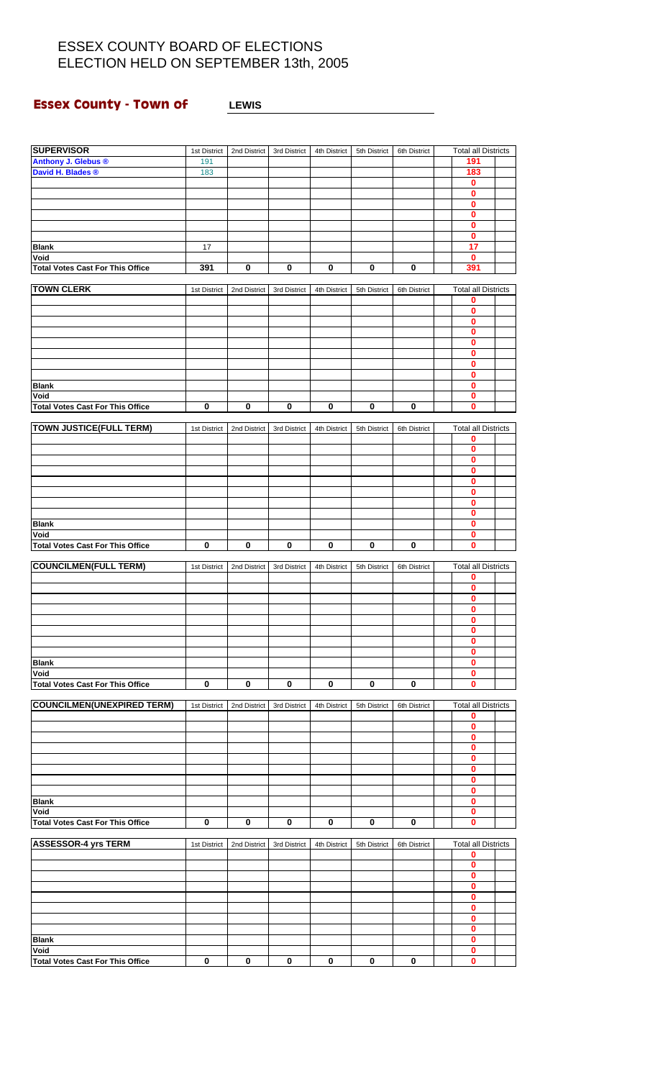#### **Essex County - Town of LEWIS**

| <b>SUPERVISOR</b>                       | 1st District |              | 2nd District 3rd District | 4th District | 5th District | 6th District | <b>Total all Districts</b> |  |
|-----------------------------------------|--------------|--------------|---------------------------|--------------|--------------|--------------|----------------------------|--|
| Anthony J. Glebus ®                     | 191          |              |                           |              |              |              | 191                        |  |
| David H. Blades ®                       | 183          |              |                           |              |              |              | 183                        |  |
|                                         |              |              |                           |              |              |              | 0                          |  |
|                                         |              |              |                           |              |              |              | $\mathbf{0}$               |  |
|                                         |              |              |                           |              |              |              | 0                          |  |
|                                         |              |              |                           |              |              |              | 0                          |  |
|                                         |              |              |                           |              |              |              | $\bf{0}$                   |  |
|                                         |              |              |                           |              |              |              | 0                          |  |
| <b>Blank</b>                            | 17           |              |                           |              |              |              | 17                         |  |
| Void                                    |              |              |                           |              |              |              | 0                          |  |
| <b>Total Votes Cast For This Office</b> | 391          | $\bf{0}$     | $\bf{0}$                  | $\mathbf 0$  | $\bf{0}$     | 0            | 391                        |  |
|                                         |              |              |                           |              |              |              |                            |  |
| <b>TOWN CLERK</b>                       | 1st District | 2nd District | 3rd District              | 4th District | 5th District | 6th District | <b>Total all Districts</b> |  |
|                                         |              |              |                           |              |              |              | 0                          |  |
|                                         |              |              |                           |              |              |              | 0                          |  |
|                                         |              |              |                           |              |              |              | $\bf{0}$                   |  |
|                                         |              |              |                           |              |              |              | 0                          |  |
|                                         |              |              |                           |              |              |              | 0                          |  |
|                                         |              |              |                           |              |              |              | 0                          |  |
|                                         |              |              |                           |              |              |              | 0<br>0                     |  |
| <b>Blank</b>                            |              |              |                           |              |              |              | $\bf{0}$                   |  |
| Void                                    |              |              |                           |              |              |              | 0                          |  |
| <b>Total Votes Cast For This Office</b> | $\bf{0}$     | $\bf{0}$     | $\pmb{0}$                 | 0            | $\bf{0}$     | 0            | 0                          |  |
|                                         |              |              |                           |              |              |              |                            |  |
| <b>TOWN JUSTICE(FULL TERM)</b>          | 1st District | 2nd District | 3rd District              | 4th District | 5th District | 6th District | <b>Total all Districts</b> |  |
|                                         |              |              |                           |              |              |              | 0                          |  |
|                                         |              |              |                           |              |              |              | 0                          |  |
|                                         |              |              |                           |              |              |              | 0                          |  |
|                                         |              |              |                           |              |              |              | 0                          |  |
|                                         |              |              |                           |              |              |              | 0                          |  |
|                                         |              |              |                           |              |              |              | 0                          |  |
|                                         |              |              |                           |              |              |              | 0                          |  |
|                                         |              |              |                           |              |              |              | 0                          |  |
| <b>Blank</b>                            |              |              |                           |              |              |              | 0                          |  |
| Void                                    |              |              |                           |              |              |              | 0                          |  |
| <b>Total Votes Cast For This Office</b> | $\bf{0}$     | $\mathbf 0$  | $\bf{0}$                  | $\mathbf 0$  | $\bf{0}$     | 0            | 0                          |  |
|                                         |              |              |                           |              |              |              |                            |  |
| <b>COUNCILMEN(FULL TERM)</b>            | 1st District | 2nd District | 3rd District              | 4th District | 5th District | 6th District | <b>Total all Districts</b> |  |
|                                         |              |              |                           |              |              |              | 0                          |  |
|                                         |              |              |                           |              |              |              | 0                          |  |
|                                         |              |              |                           |              |              |              | 0                          |  |
|                                         |              |              |                           |              |              |              | 0                          |  |
|                                         |              |              |                           |              |              |              | 0                          |  |
|                                         |              |              |                           |              |              |              | 0                          |  |
|                                         |              |              |                           |              |              |              | 0                          |  |
|                                         |              |              |                           |              |              |              | 0                          |  |
| <b>Blank</b>                            |              |              |                           |              |              |              | 0                          |  |
| Void                                    |              |              |                           |              |              |              | 0                          |  |
| <b>Total Votes Cast For This Office</b> | 0            | $\mathbf 0$  | $\bf{0}$                  | $\bf{0}$     | $\mathbf 0$  | $\mathbf 0$  | 0                          |  |
| <b>COUNCILMEN(UNEXPIRED TERM)</b>       |              |              |                           |              |              |              |                            |  |
|                                         | 1st District | 2nd District | 3rd District              | 4th District | 5th District | 6th District | <b>Total all Districts</b> |  |
|                                         |              |              |                           |              |              |              | 0<br>0                     |  |
|                                         |              |              |                           |              |              |              | 0                          |  |
|                                         |              |              |                           |              |              |              | 0                          |  |
|                                         |              |              |                           |              |              |              | 0                          |  |
|                                         |              |              |                           |              |              |              | 0                          |  |
|                                         |              |              |                           |              |              |              | 0                          |  |
|                                         |              |              |                           |              |              |              | 0                          |  |
| <b>Blank</b>                            |              |              |                           |              |              |              | 0                          |  |
| Void                                    |              |              |                           |              |              |              | 0                          |  |
| <b>Total Votes Cast For This Office</b> | 0            | 0            | 0                         | 0            | 0            | 0            | 0                          |  |
|                                         |              |              |                           |              |              |              |                            |  |
| <b>ASSESSOR-4 yrs TERM</b>              | 1st District | 2nd District | 3rd District              | 4th District | 5th District | 6th District | <b>Total all Districts</b> |  |
|                                         |              |              |                           |              |              |              | 0                          |  |
|                                         |              |              |                           |              |              |              | 0                          |  |
|                                         |              |              |                           |              |              |              | 0                          |  |
|                                         |              |              |                           |              |              |              | 0                          |  |
|                                         |              |              |                           |              |              |              | 0                          |  |
|                                         |              |              |                           |              |              |              | 0                          |  |
|                                         |              |              |                           |              |              |              | 0                          |  |
|                                         |              |              |                           |              |              |              | 0                          |  |
| <b>Blank</b>                            |              |              |                           |              |              |              | 0                          |  |
| Void                                    |              |              |                           |              |              |              | 0                          |  |
| <b>Total Votes Cast For This Office</b> | $\mathbf 0$  | $\mathbf 0$  | $\bf{0}$                  | 0            | $\mathbf 0$  | $\mathbf 0$  | 0                          |  |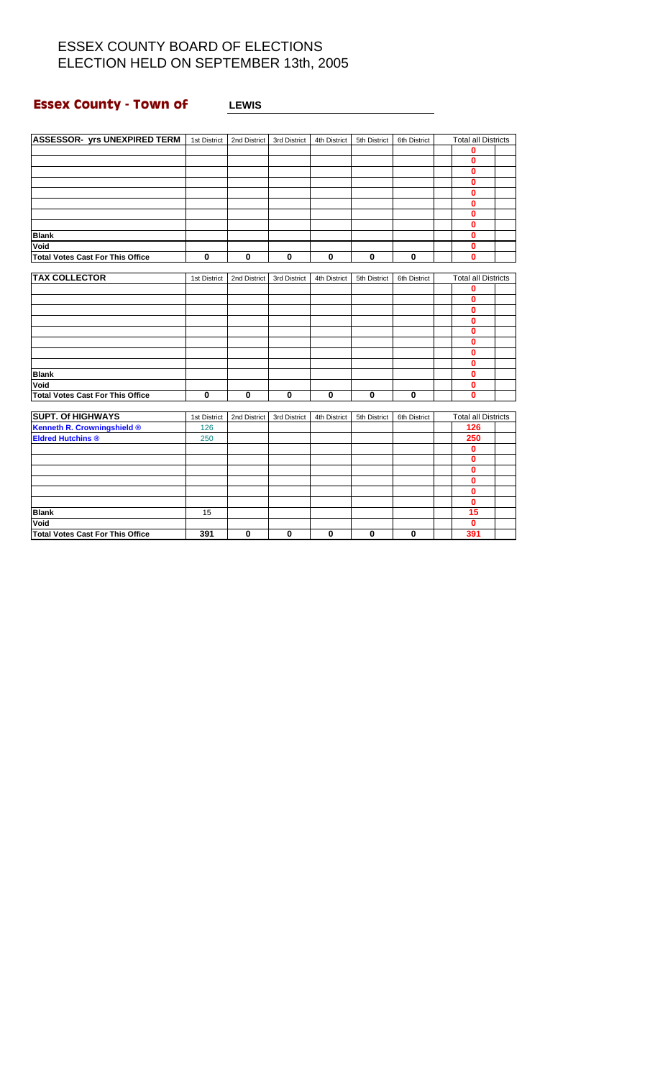# **Essex County - Town of LEWIS**

| ASSESSOR- yrs UNEXPIRED TERM            | 1st District | 2nd District | 3rd District | 4th District | 5th District | 6th District | <b>Total all Districts</b> |  |
|-----------------------------------------|--------------|--------------|--------------|--------------|--------------|--------------|----------------------------|--|
|                                         |              |              |              |              |              |              | 0                          |  |
|                                         |              |              |              |              |              |              | $\bf{0}$                   |  |
|                                         |              |              |              |              |              |              | 0                          |  |
|                                         |              |              |              |              |              |              | 0                          |  |
|                                         |              |              |              |              |              |              | 0                          |  |
|                                         |              |              |              |              |              |              | 0                          |  |
|                                         |              |              |              |              |              |              | 0                          |  |
|                                         |              |              |              |              |              |              | 0                          |  |
| <b>Blank</b>                            |              |              |              |              |              |              | 0                          |  |
| Void                                    |              |              |              |              |              |              | 0                          |  |
| <b>Total Votes Cast For This Office</b> | 0            | $\bf{0}$     | $\mathbf 0$  | $\pmb{0}$    | $\mathbf 0$  | 0            | $\bf{0}$                   |  |
|                                         |              |              |              |              |              |              |                            |  |
| <b>TAX COLLECTOR</b>                    | 1st District | 2nd District | 3rd District | 4th District | 5th District | 6th District | <b>Total all Districts</b> |  |
|                                         |              |              |              |              |              |              | 0                          |  |
|                                         |              |              |              |              |              |              | 0                          |  |
|                                         |              |              |              |              |              |              | 0                          |  |
|                                         |              |              |              |              |              |              | 0                          |  |
|                                         |              |              |              |              |              |              | 0                          |  |
|                                         |              |              |              |              |              |              | 0                          |  |
|                                         |              |              |              |              |              |              | 0                          |  |
|                                         |              |              |              |              |              |              | 0                          |  |
| <b>Blank</b>                            |              |              |              |              |              |              | 0                          |  |
| Void                                    |              |              |              |              |              |              | 0                          |  |
| <b>Total Votes Cast For This Office</b> | 0            | $\mathbf 0$  | $\bf{0}$     | $\bf{0}$     | $\mathbf 0$  | $\bf{0}$     | $\bf{0}$                   |  |
|                                         |              |              |              |              |              |              |                            |  |
| <b>SUPT. Of HIGHWAYS</b>                | 1st District | 2nd District | 3rd District | 4th District | 5th District | 6th District | <b>Total all Districts</b> |  |
| <b>Kenneth R. Crowningshield ®</b>      | 126          |              |              |              |              |              | 126                        |  |
| <b>Eldred Hutchins ®</b>                | 250          |              |              |              |              |              | 250                        |  |
|                                         |              |              |              |              |              |              | 0                          |  |
|                                         |              |              |              |              |              |              | 0                          |  |
|                                         |              |              |              |              |              |              | 0                          |  |
|                                         |              |              |              |              |              |              | 0                          |  |
|                                         |              |              |              |              |              |              | 0                          |  |
|                                         |              |              |              |              |              |              | $\bf{0}$                   |  |
| <b>Blank</b>                            | 15           |              |              |              |              |              | 15                         |  |
| Void                                    |              |              |              |              |              |              | $\bf{0}$                   |  |

**Total Votes Cast For This Office 391 0 0 0 0 0 391**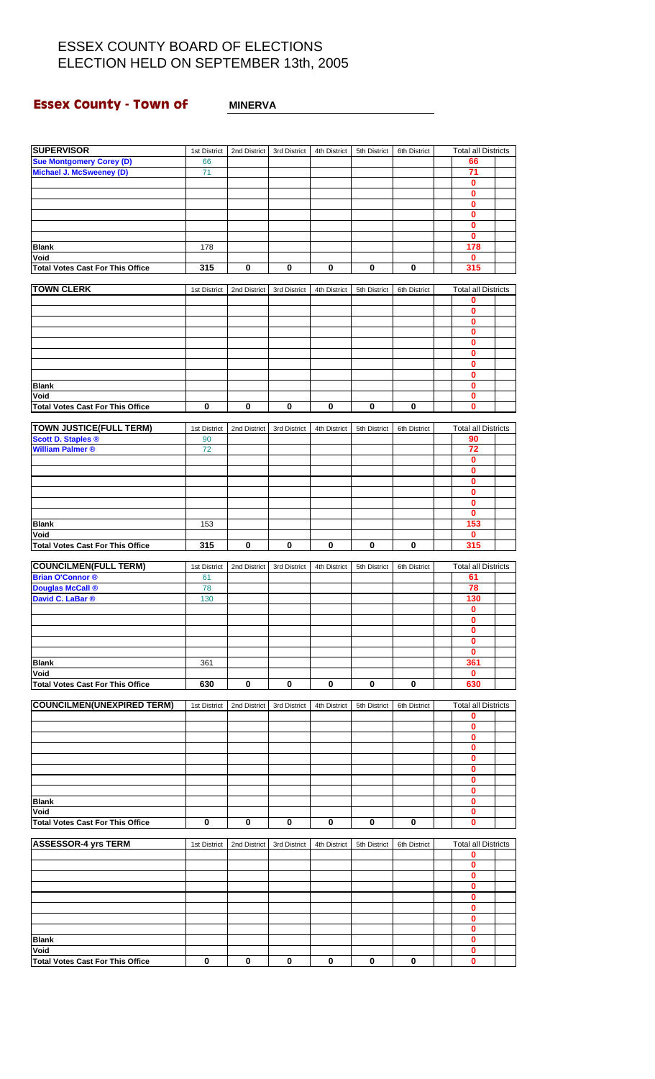#### **Essex County - Town of**

| <b>SUPERVISOR</b>                               | 1st District | 2nd District | 3rd District | 4th District | 5th District | 6th District | <b>Total all Districts</b> |  |
|-------------------------------------------------|--------------|--------------|--------------|--------------|--------------|--------------|----------------------------|--|
| <b>Sue Montgomery Corey (D)</b>                 | 66           |              |              |              |              |              | 66                         |  |
| <b>Michael J. McSweeney (D)</b>                 | 71           |              |              |              |              |              | 71                         |  |
|                                                 |              |              |              |              |              |              | $\bf{0}$                   |  |
|                                                 |              |              |              |              |              |              | 0<br>$\mathbf 0$           |  |
|                                                 |              |              |              |              |              |              | $\bf{0}$                   |  |
|                                                 |              |              |              |              |              |              | $\mathbf 0$                |  |
|                                                 |              |              |              |              |              |              | $\mathbf 0$                |  |
| <b>Blank</b>                                    | 178          |              |              |              |              |              | 178                        |  |
| Void                                            |              |              |              |              |              |              | $\bf{0}$                   |  |
| <b>Total Votes Cast For This Office</b>         | 315          | $\bf{0}$     | $\bf{0}$     | $\pmb{0}$    | 0            | $\mathbf 0$  | 315                        |  |
|                                                 |              |              |              |              |              |              |                            |  |
| <b>TOWN CLERK</b>                               | 1st District | 2nd District | 3rd District | 4th District | 5th District | 6th District | <b>Total all Districts</b> |  |
|                                                 |              |              |              |              |              |              | 0<br>0                     |  |
|                                                 |              |              |              |              |              |              | 0                          |  |
|                                                 |              |              |              |              |              |              | $\bf{0}$                   |  |
|                                                 |              |              |              |              |              |              | $\mathbf 0$                |  |
|                                                 |              |              |              |              |              |              | 0                          |  |
|                                                 |              |              |              |              |              |              | $\bf{0}$                   |  |
|                                                 |              |              |              |              |              |              | $\bf{0}$                   |  |
| <b>Blank</b>                                    |              |              |              |              |              |              | 0                          |  |
| Void<br><b>Total Votes Cast For This Office</b> | $\bf{0}$     | $\bf{0}$     | $\bf{0}$     | $\pmb{0}$    | $\mathbf 0$  | $\mathbf 0$  | 0<br>$\bf{0}$              |  |
|                                                 |              |              |              |              |              |              |                            |  |
| <b>TOWN JUSTICE(FULL TERM)</b>                  | 1st District | 2nd District | 3rd District | 4th District | 5th District | 6th District | Total all Districts        |  |
| <b>Scott D. Staples ®</b>                       | 90           |              |              |              |              |              | 90                         |  |
| <b>William Palmer®</b>                          | 72           |              |              |              |              |              | 72                         |  |
|                                                 |              |              |              |              |              |              | 0                          |  |
|                                                 |              |              |              |              |              |              | $\mathbf 0$<br>$\mathbf 0$ |  |
|                                                 |              |              |              |              |              |              | $\mathbf 0$                |  |
|                                                 |              |              |              |              |              |              | 0                          |  |
|                                                 |              |              |              |              |              |              | 0                          |  |
| <b>Blank</b>                                    | 153          |              |              |              |              |              | 153                        |  |
| Void                                            |              |              |              |              |              |              | 0                          |  |
| <b>Total Votes Cast For This Office</b>         | 315          | 0            | $\pmb{0}$    | 0            | 0            | $\bf{0}$     | 315                        |  |
| <b>COUNCILMEN(FULL TERM)</b>                    | 1st District | 2nd District | 3rd District | 4th District | 5th District | 6th District | <b>Total all Districts</b> |  |
| <b>Brian O'Connor ®</b>                         | 61           |              |              |              |              |              | 61                         |  |
| <b>Douglas McCall ®</b>                         | 78           |              |              |              |              |              | 78                         |  |
| David C. LaBar ®                                | 130          |              |              |              |              |              | 130                        |  |
|                                                 |              |              |              |              |              |              | 0                          |  |
|                                                 |              |              |              |              |              |              | $\bf{0}$                   |  |
|                                                 |              |              |              |              |              |              | 0                          |  |
|                                                 |              |              |              |              |              |              | $\bf{0}$<br>$\bf{0}$       |  |
| <b>Blank</b>                                    | 361          |              |              |              |              |              | 361                        |  |
| Void                                            |              |              |              |              |              |              | 0                          |  |
| <b>Total Votes Cast For This Office</b>         | 630          | 0            | 0            | 0            | 0            | 0            | 630                        |  |
|                                                 |              |              |              |              |              |              |                            |  |
| <b>COUNCILMEN(UNEXPIRED TERM)</b>               | 1st District | 2nd District | 3rd District | 4th District | 5th District | 6th District | <b>Total all Districts</b> |  |
|                                                 |              |              |              |              |              |              | 0                          |  |
|                                                 |              |              |              |              |              |              | 0<br>0                     |  |
|                                                 |              |              |              |              |              |              | $\bf{0}$                   |  |
|                                                 |              |              |              |              |              |              | 0                          |  |
|                                                 |              |              |              |              |              |              | 0                          |  |
|                                                 |              |              |              |              |              |              | $\mathbf 0$                |  |
|                                                 |              |              |              |              |              |              | 0                          |  |
| <b>Blank</b>                                    |              |              |              |              |              |              | 0                          |  |
| Void<br><b>Total Votes Cast For This Office</b> | 0            | 0            | 0            | 0            | 0            | 0            | $\mathbf 0$<br>0           |  |
|                                                 |              |              |              |              |              |              |                            |  |
| <b>ASSESSOR-4 yrs TERM</b>                      | 1st District | 2nd District | 3rd District | 4th District | 5th District | 6th District | <b>Total all Districts</b> |  |
|                                                 |              |              |              |              |              |              | 0                          |  |
|                                                 |              |              |              |              |              |              | $\mathbf 0$                |  |
|                                                 |              |              |              |              |              |              | $\bf{0}$                   |  |
|                                                 |              |              |              |              |              |              | $\bf{0}$<br>$\mathbf 0$    |  |
|                                                 |              |              |              |              |              |              | $\bf{0}$                   |  |
|                                                 |              |              |              |              |              |              | 0                          |  |
|                                                 |              |              |              |              |              |              | 0                          |  |
| <b>Blank</b>                                    |              |              |              |              |              |              | $\bf{0}$                   |  |
| Void                                            |              |              |              |              |              |              | 0                          |  |
| <b>Total Votes Cast For This Office</b>         | 0            | 0            | 0            | 0            | 0            | 0            | 0                          |  |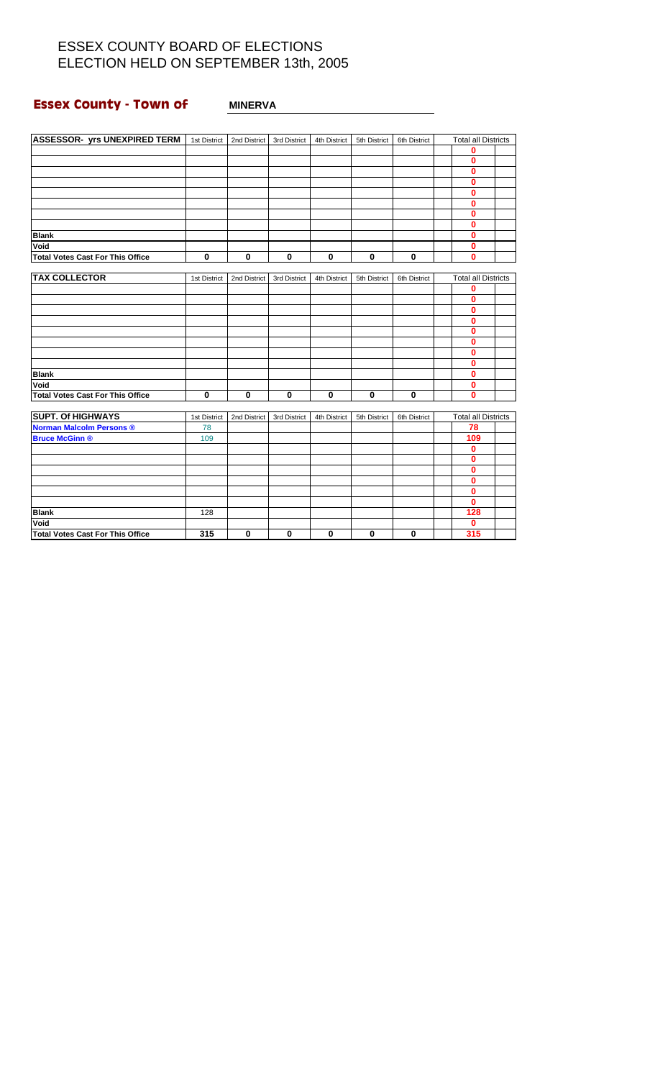#### **Essex County - Town of MINERVA**

| ASSESSOR- yrs UNEXPIRED TERM   1st District   2nd District  <br>3rd District<br>4th District<br>5th District<br>6th District | <b>Total all Districts</b>       |  |
|------------------------------------------------------------------------------------------------------------------------------|----------------------------------|--|
|                                                                                                                              | 0                                |  |
|                                                                                                                              | 0                                |  |
|                                                                                                                              | 0                                |  |
|                                                                                                                              | 0                                |  |
|                                                                                                                              | 0                                |  |
|                                                                                                                              | 0                                |  |
|                                                                                                                              | 0                                |  |
|                                                                                                                              | 0                                |  |
| <b>Blank</b>                                                                                                                 | 0                                |  |
| Void                                                                                                                         | 0                                |  |
| <b>Total Votes Cast For This Office</b><br>0<br>$\bf{0}$<br>$\bf{0}$<br>$\bf{0}$<br>$\bf{0}$<br>0                            | 0                                |  |
|                                                                                                                              |                                  |  |
| <b>TAX COLLECTOR</b><br>2nd District<br>6th District<br>1st District<br>3rd District<br>4th District<br>5th District         | <b>Total all Districts</b>       |  |
|                                                                                                                              | 0                                |  |
|                                                                                                                              | 0                                |  |
|                                                                                                                              | 0                                |  |
|                                                                                                                              | 0                                |  |
|                                                                                                                              | 0                                |  |
|                                                                                                                              | 0                                |  |
|                                                                                                                              | $\bf{0}$                         |  |
|                                                                                                                              | 0                                |  |
| <b>Blank</b>                                                                                                                 | 0                                |  |
| Void                                                                                                                         | 0                                |  |
| <b>Total Votes Cast For This Office</b><br>$\bf{0}$<br>$\mathbf 0$<br>$\mathbf 0$<br>$\bf{0}$<br>$\bf{0}$<br>$\bf{0}$        | $\bf{0}$                         |  |
|                                                                                                                              |                                  |  |
| <b>SUPT. Of HIGHWAYS</b><br>1st District<br>2nd District<br>3rd District<br>4th District<br>5th District<br>6th District     | <b>Total all Districts</b><br>78 |  |
| <b>Norman Malcolm Persons ®</b><br>78                                                                                        |                                  |  |
| <b>Bruce McGinn ®</b><br>109                                                                                                 | 109                              |  |
|                                                                                                                              | 0                                |  |
|                                                                                                                              | 0                                |  |
|                                                                                                                              | 0<br>0                           |  |
|                                                                                                                              | $\mathbf 0$                      |  |
|                                                                                                                              | $\mathbf{0}$                     |  |
| <b>Blank</b><br>128                                                                                                          | 128                              |  |
| Void                                                                                                                         | $\bf{0}$                         |  |

**Total Votes Cast For This Office 315 0 0 0 0 0 315**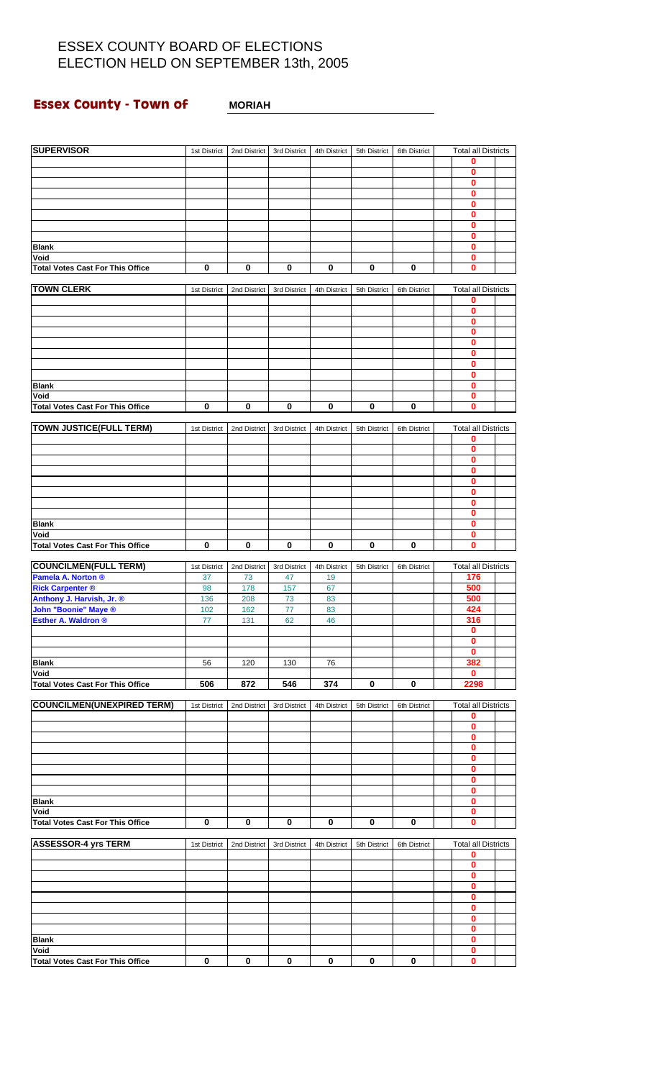#### **Essex County - Town of MORIAH**

| <b>SUPERVISOR</b>                                  | 1st District | 2nd District | 3rd District       | 4th District       | 5th District | 6th District | <b>Total all Districts</b>        |  |
|----------------------------------------------------|--------------|--------------|--------------------|--------------------|--------------|--------------|-----------------------------------|--|
|                                                    |              |              |                    |                    |              |              | 0                                 |  |
|                                                    |              |              |                    |                    |              |              | 0                                 |  |
|                                                    |              |              |                    |                    |              |              | 0<br>0                            |  |
|                                                    |              |              |                    |                    |              |              | 0                                 |  |
|                                                    |              |              |                    |                    |              |              | 0                                 |  |
|                                                    |              |              |                    |                    |              |              | 0                                 |  |
|                                                    |              |              |                    |                    |              |              | 0                                 |  |
| <b>Blank</b>                                       |              |              |                    |                    |              |              | 0                                 |  |
| Void                                               | $\bf{0}$     | $\pmb{0}$    |                    |                    | $\pmb{0}$    |              | 0                                 |  |
| <b>Total Votes Cast For This Office</b>            |              |              | 0                  | 0                  |              | 0            | 0                                 |  |
| <b>TOWN CLERK</b>                                  | 1st District | 2nd District | 3rd District       | 4th District       | 5th District | 6th District | <b>Total all Districts</b>        |  |
|                                                    |              |              |                    |                    |              |              | 0                                 |  |
|                                                    |              |              |                    |                    |              |              | 0                                 |  |
|                                                    |              |              |                    |                    |              |              | 0                                 |  |
|                                                    |              |              |                    |                    |              |              | 0                                 |  |
|                                                    |              |              |                    |                    |              |              | 0                                 |  |
|                                                    |              |              |                    |                    |              |              | 0                                 |  |
|                                                    |              |              |                    |                    |              |              | 0<br>0                            |  |
| <b>Blank</b>                                       |              |              |                    |                    |              |              | 0                                 |  |
| Void                                               |              |              |                    |                    |              |              | 0                                 |  |
| <b>Total Votes Cast For This Office</b>            | 0            | 0            | 0                  | 0                  | 0            | 0            | 0                                 |  |
|                                                    |              |              |                    |                    |              |              |                                   |  |
| <b>TOWN JUSTICE(FULL TERM)</b>                     | 1st District | 2nd District | 3rd District       | 4th District       | 5th District | 6th District | <b>Total all Districts</b>        |  |
|                                                    |              |              |                    |                    |              |              | 0                                 |  |
|                                                    |              |              |                    |                    |              |              | 0                                 |  |
|                                                    |              |              |                    |                    |              |              | 0<br>0                            |  |
|                                                    |              |              |                    |                    |              |              | 0                                 |  |
|                                                    |              |              |                    |                    |              |              | 0                                 |  |
|                                                    |              |              |                    |                    |              |              | 0                                 |  |
|                                                    |              |              |                    |                    |              |              | 0                                 |  |
| <b>Blank</b>                                       |              |              |                    |                    |              |              | 0                                 |  |
| Void                                               |              |              |                    |                    |              |              | 0                                 |  |
| <b>Total Votes Cast For This Office</b>            | 0            | 0            | 0                  | 0                  | 0            | 0            | 0                                 |  |
|                                                    |              |              |                    |                    |              |              |                                   |  |
| <b>COUNCILMEN(FULL TERM)</b><br>Pamela A. Norton ® | 1st District | 2nd District | 3rd District<br>47 | 4th District<br>19 | 5th District | 6th District | <b>Total all Districts</b><br>176 |  |
| <b>Rick Carpenter ®</b>                            | 37<br>98     | 73<br>178    | 157                | 67                 |              |              | 500                               |  |
| Anthony J. Harvish, Jr. ®                          | 136          | 208          | 73                 | 83                 |              |              | 500                               |  |
| John "Boonie" Maye ®                               | 102          | 162          | 77                 | 83                 |              |              | 424                               |  |
| <b>Esther A. Waldron ®</b>                         | 77           | 131          | 62                 | 46                 |              |              | 316                               |  |
|                                                    |              |              |                    |                    |              |              | 0                                 |  |
|                                                    |              |              |                    |                    |              |              | 0                                 |  |
|                                                    |              |              |                    |                    |              |              | $\mathbf 0$                       |  |
| <b>Blank</b>                                       | 56           | 120          | 130                | 76                 |              |              | 382                               |  |
| Void<br><b>Total Votes Cast For This Office</b>    | 506          | 872          | 546                | 374                | 0            | 0            | 0<br>2298                         |  |
|                                                    |              |              |                    |                    |              |              |                                   |  |
| <b>COUNCILMEN(UNEXPIRED TERM)</b>                  | 1st District | 2nd District | 3rd District       | 4th District       | 5th District | 6th District | <b>Total all Districts</b>        |  |
|                                                    |              |              |                    |                    |              |              | 0                                 |  |
|                                                    |              |              |                    |                    |              |              | 0                                 |  |
|                                                    |              |              |                    |                    |              |              | 0                                 |  |
|                                                    |              |              |                    |                    |              |              | 0                                 |  |
|                                                    |              |              |                    |                    |              |              | 0                                 |  |
|                                                    |              |              |                    |                    |              |              | 0<br>0                            |  |
|                                                    |              |              |                    |                    |              |              | 0                                 |  |
| <b>Blank</b>                                       |              |              |                    |                    |              |              | 0                                 |  |
| Void                                               |              |              |                    |                    |              |              | 0                                 |  |
| <b>Total Votes Cast For This Office</b>            | $\pmb{0}$    | 0            | 0                  | 0                  | 0            | 0            | 0                                 |  |
|                                                    |              |              |                    |                    |              |              |                                   |  |
| <b>ASSESSOR-4 yrs TERM</b>                         | 1st District | 2nd District | 3rd District       | 4th District       | 5th District | 6th District | <b>Total all Districts</b>        |  |
|                                                    |              |              |                    |                    |              |              | 0                                 |  |
|                                                    |              |              |                    |                    |              |              | 0<br>0                            |  |
|                                                    |              |              |                    |                    |              |              | 0                                 |  |
|                                                    |              |              |                    |                    |              |              | 0                                 |  |
|                                                    |              |              |                    |                    |              |              | 0                                 |  |
|                                                    |              |              |                    |                    |              |              | 0                                 |  |
|                                                    |              |              |                    |                    |              |              | 0                                 |  |
| <b>Blank</b>                                       |              |              |                    |                    |              |              | 0                                 |  |
| Void                                               |              |              |                    |                    |              |              | 0                                 |  |
| <b>Total Votes Cast For This Office</b>            | $\bf{0}$     | $\bf{0}$     | $\bf{0}$           | 0                  | 0            | 0            | 0                                 |  |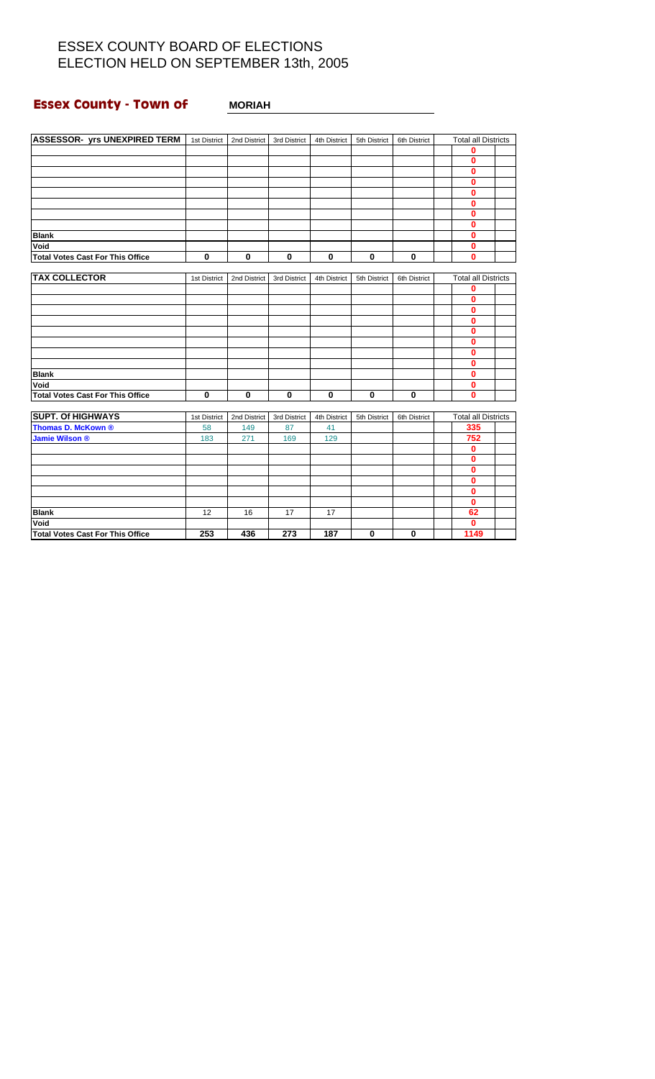#### **Essex County - Town of MORIAH**

| <b>ASSESSOR- yrs UNEXPIRED TERM</b>     | 1st District | 2nd District | 3rd District | 4th District | 5th District | 6th District | <b>Total all Districts</b> |  |
|-----------------------------------------|--------------|--------------|--------------|--------------|--------------|--------------|----------------------------|--|
|                                         |              |              |              |              |              |              | $\mathbf 0$                |  |
|                                         |              |              |              |              |              |              | $\bf{0}$                   |  |
|                                         |              |              |              |              |              |              | $\mathbf 0$                |  |
|                                         |              |              |              |              |              |              | $\mathbf 0$                |  |
|                                         |              |              |              |              |              |              | $\mathbf 0$                |  |
|                                         |              |              |              |              |              |              | $\bf{0}$                   |  |
|                                         |              |              |              |              |              |              | $\bf{0}$                   |  |
|                                         |              |              |              |              |              |              | $\mathbf 0$                |  |
| <b>Blank</b>                            |              |              |              |              |              |              | $\mathbf 0$                |  |
| Void                                    |              |              |              |              |              |              | $\bf{0}$                   |  |
| <b>Total Votes Cast For This Office</b> | $\mathbf 0$  | $\mathbf 0$  | $\mathbf 0$  | $\mathbf 0$  | $\mathbf 0$  | $\bf{0}$     | $\bf{0}$                   |  |
|                                         |              |              |              |              |              |              |                            |  |
| <b>TAX COLLECTOR</b>                    | 1st District | 2nd District | 3rd District | 4th District | 5th District | 6th District | <b>Total all Districts</b> |  |
|                                         |              |              |              |              |              |              | 0                          |  |
|                                         |              |              |              |              |              |              | $\mathbf 0$                |  |
|                                         |              |              |              |              |              |              | $\mathbf 0$                |  |
|                                         |              |              |              |              |              |              | $\mathbf 0$                |  |
|                                         |              |              |              |              |              |              | $\mathbf 0$                |  |
|                                         |              |              |              |              |              |              | $\bf{0}$                   |  |
|                                         |              |              |              |              |              |              | $\bf{0}$                   |  |
|                                         |              |              |              |              |              |              | $\mathbf 0$                |  |
| <b>Blank</b>                            |              |              |              |              |              |              | $\mathbf 0$                |  |
| Void                                    |              |              |              |              |              |              | $\bf{0}$                   |  |
| <b>Total Votes Cast For This Office</b> | $\bf{0}$     | $\bf{0}$     | $\mathbf 0$  | $\mathbf 0$  | $\bf{0}$     | $\mathbf{0}$ | $\bf{0}$                   |  |
|                                         |              |              |              |              |              |              |                            |  |
| <b>SUPT. Of HIGHWAYS</b>                | 1st District | 2nd District | 3rd District | 4th District | 5th District | 6th District | <b>Total all Districts</b> |  |
| Thomas D. McKown ®                      | 58           | 149          | 87           | 41           |              |              | 335                        |  |
| <b>Jamie Wilson ®</b>                   | 183          | 271          | 169          | 129          |              |              | 752                        |  |
|                                         |              |              |              |              |              |              | $\mathbf 0$                |  |
|                                         |              |              |              |              |              |              | $\mathbf 0$                |  |
|                                         |              |              |              |              |              |              | $\mathbf{0}$               |  |
|                                         |              |              |              |              |              |              | $\bf{0}$                   |  |
|                                         |              |              |              |              |              |              | $\bf{0}$                   |  |
|                                         |              |              |              |              |              |              | $\mathbf{0}$               |  |

**Blank** 12 16 17 17 **62 Void 0 Total Votes Cast For This Office 253 436 273 187 0 0 1149**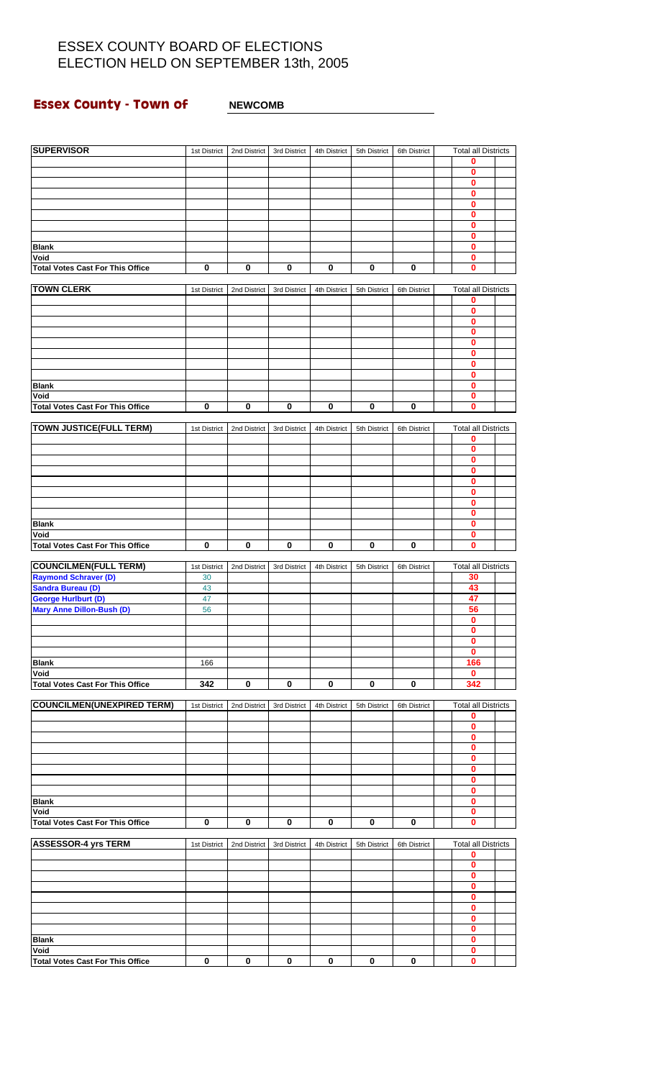#### **Essex County - Town of MEWCOMB**

| <b>SUPERVISOR</b>                               | 1st District | 2nd District | 3rd District | 4th District | 5th District | 6th District | <b>Total all Districts</b>      |  |
|-------------------------------------------------|--------------|--------------|--------------|--------------|--------------|--------------|---------------------------------|--|
|                                                 |              |              |              |              |              |              | 0                               |  |
|                                                 |              |              |              |              |              |              | $\bf{0}$                        |  |
|                                                 |              |              |              |              |              |              | 0                               |  |
|                                                 |              |              |              |              |              |              | $\bf{0}$                        |  |
|                                                 |              |              |              |              |              |              | $\bf{0}$<br>0                   |  |
|                                                 |              |              |              |              |              |              | $\bf{0}$                        |  |
|                                                 |              |              |              |              |              |              | 0                               |  |
| <b>Blank</b>                                    |              |              |              |              |              |              | $\bf{0}$                        |  |
| Void                                            |              |              |              |              |              |              | $\bf{0}$                        |  |
| <b>Total Votes Cast For This Office</b>         | 0            | 0            | 0            | 0            | 0            | 0            | $\bf{0}$                        |  |
| <b>TOWN CLERK</b>                               |              |              |              |              |              |              |                                 |  |
|                                                 | 1st District | 2nd District | 3rd District | 4th District | 5th District | 6th District | <b>Total all Districts</b><br>0 |  |
|                                                 |              |              |              |              |              |              | $\bf{0}$                        |  |
|                                                 |              |              |              |              |              |              | $\bf{0}$                        |  |
|                                                 |              |              |              |              |              |              | $\pmb{0}$                       |  |
|                                                 |              |              |              |              |              |              | $\mathbf 0$                     |  |
|                                                 |              |              |              |              |              |              | $\bf{0}$                        |  |
|                                                 |              |              |              |              |              |              | 0                               |  |
| <b>Blank</b>                                    |              |              |              |              |              |              | $\mathbf 0$<br>$\bf{0}$         |  |
| Void                                            |              |              |              |              |              |              | 0                               |  |
| <b>Total Votes Cast For This Office</b>         | $\bf{0}$     | 0            | 0            | 0            | 0            | $\bf{0}$     | 0                               |  |
|                                                 |              |              |              |              |              |              |                                 |  |
| <b>TOWN JUSTICE(FULL TERM)</b>                  | 1st District | 2nd District | 3rd District | 4th District | 5th District | 6th District | <b>Total all Districts</b>      |  |
|                                                 |              |              |              |              |              |              | 0<br>$\bf{0}$                   |  |
|                                                 |              |              |              |              |              |              | 0                               |  |
|                                                 |              |              |              |              |              |              | $\bf{0}$                        |  |
|                                                 |              |              |              |              |              |              | $\bf{0}$                        |  |
|                                                 |              |              |              |              |              |              | 0                               |  |
|                                                 |              |              |              |              |              |              | $\bf{0}$                        |  |
|                                                 |              |              |              |              |              |              | $\bf{0}$                        |  |
| <b>Blank</b>                                    |              |              |              |              |              |              | $\bf{0}$                        |  |
| Void<br><b>Total Votes Cast For This Office</b> | $\bf{0}$     | $\mathbf 0$  | 0            | $\bf{0}$     | $\mathbf 0$  | $\bf{0}$     | 0<br>$\bf{0}$                   |  |
|                                                 |              |              |              |              |              |              |                                 |  |
| <b>COUNCILMEN(FULL TERM)</b>                    | 1st District | 2nd District | 3rd District | 4th District | 5th District | 6th District | <b>Total all Districts</b>      |  |
| <b>Raymond Schraver (D)</b>                     | 30           |              |              |              |              |              | 30                              |  |
| <b>Sandra Bureau (D)</b>                        | 43           |              |              |              |              |              | 43                              |  |
| <b>George Hurlburt (D)</b>                      | 47           |              |              |              |              |              | 47                              |  |
| <b>Mary Anne Dillon-Bush (D)</b>                | 56           |              |              |              |              |              | 56                              |  |
|                                                 |              |              |              |              |              |              | 0<br>$\mathbf{0}$               |  |
|                                                 |              |              |              |              |              |              | 0                               |  |
|                                                 |              |              |              |              |              |              | 0                               |  |
| <b>Blank</b>                                    | 166          |              |              |              |              |              | 166                             |  |
| Void                                            |              |              |              |              |              |              | $\mathbf 0$                     |  |
| <b>Total Votes Cast For This Office</b>         | 342          | 0            | 0            | 0            | 0            | 0            | 342                             |  |
| <b>COUNCILMEN(UNEXPIRED TERM)</b>               | 1st District | 2nd District | 3rd District | 4th District | 5th District | 6th District | <b>Total all Districts</b>      |  |
|                                                 |              |              |              |              |              |              | 0                               |  |
|                                                 |              |              |              |              |              |              | $\bf{0}$                        |  |
|                                                 |              |              |              |              |              |              | 0                               |  |
|                                                 |              |              |              |              |              |              | $\pmb{0}$                       |  |
|                                                 |              |              |              |              |              |              | $\mathbf 0$                     |  |
|                                                 |              |              |              |              |              |              | 0                               |  |
|                                                 |              |              |              |              |              |              | 0<br>$\mathbf{0}$               |  |
| <b>Blank</b>                                    |              |              |              |              |              |              | $\bf{0}$                        |  |
| Void                                            |              |              |              |              |              |              | 0                               |  |
| <b>Total Votes Cast For This Office</b>         | $\bf{0}$     | 0            | 0            | 0            | 0            | 0            | $\mathbf{0}$                    |  |
|                                                 |              |              |              |              |              |              |                                 |  |
| <b>ASSESSOR-4 yrs TERM</b>                      | 1st District | 2nd District | 3rd District | 4th District | 5th District | 6th District | <b>Total all Districts</b><br>0 |  |
|                                                 |              |              |              |              |              |              | 0                               |  |
|                                                 |              |              |              |              |              |              | 0                               |  |
|                                                 |              |              |              |              |              |              | $\bf{0}$                        |  |
|                                                 |              |              |              |              |              |              | 0                               |  |
|                                                 |              |              |              |              |              |              | $\mathbf 0$                     |  |
|                                                 |              |              |              |              |              |              | 0                               |  |
|                                                 |              |              |              |              |              |              | 0                               |  |
| <b>Blank</b><br>Void                            |              |              |              |              |              |              | 0<br>0                          |  |
| <b>Total Votes Cast For This Office</b>         | $\pmb{0}$    | $\pmb{0}$    | $\bf{0}$     | 0            | $\bf{0}$     | 0            | 0                               |  |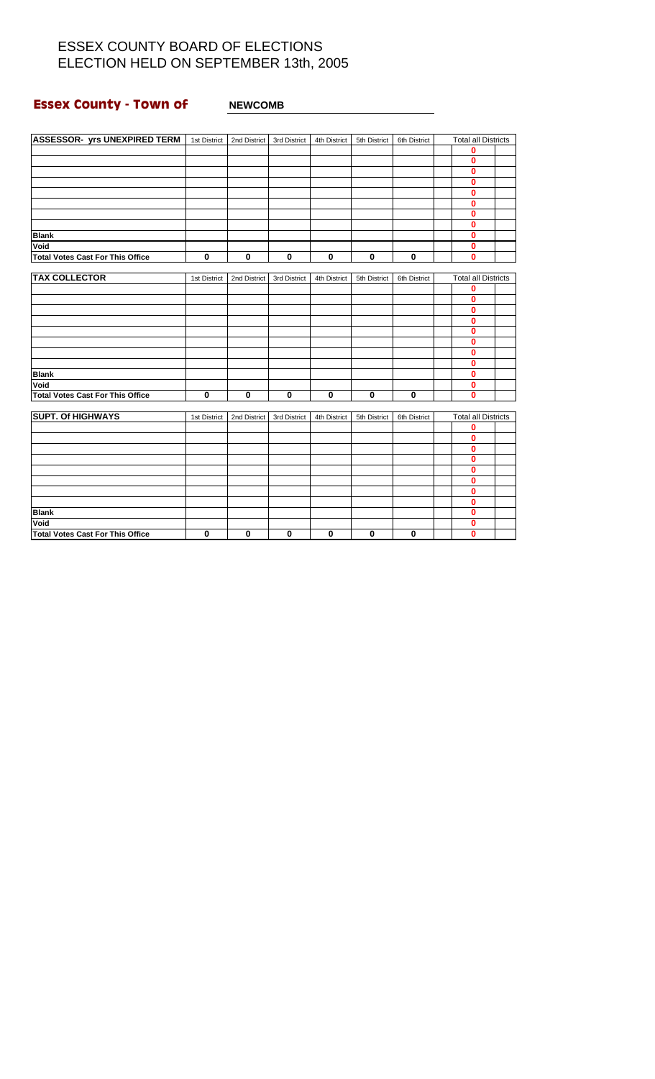#### **Essex County - Town of** <br>NEWCOMB

| ASSESSOR- yrs UNEXPIRED TERM   1st District   2nd District   3rd District |              |              |              | 4th District            | 5th District            | 6th District | <b>Total all Districts</b> |  |
|---------------------------------------------------------------------------|--------------|--------------|--------------|-------------------------|-------------------------|--------------|----------------------------|--|
|                                                                           |              |              |              |                         |                         |              | 0                          |  |
|                                                                           |              |              |              |                         |                         |              | $\bf{0}$                   |  |
|                                                                           |              |              |              |                         |                         |              | 0                          |  |
|                                                                           |              |              |              |                         |                         |              | $\mathbf 0$                |  |
|                                                                           |              |              |              |                         |                         |              | $\bf{0}$                   |  |
|                                                                           |              |              |              |                         |                         |              | $\bf{0}$                   |  |
|                                                                           |              |              |              |                         |                         |              | $\bf{0}$                   |  |
|                                                                           |              |              |              |                         |                         |              | 0                          |  |
| <b>Blank</b>                                                              |              |              |              |                         |                         |              | $\bf{0}$                   |  |
| Void                                                                      |              |              |              |                         |                         |              | $\bf{0}$                   |  |
| <b>Total Votes Cast For This Office</b>                                   | $\mathbf 0$  | $\bf{0}$     | $\mathbf 0$  | $\overline{\mathbf{0}}$ | $\overline{\mathbf{0}}$ | $\mathbf 0$  | $\bf{0}$                   |  |
|                                                                           |              |              |              |                         |                         |              |                            |  |
| <b>TAX COLLECTOR</b>                                                      | 1st District | 2nd District | 3rd District | 4th District            | 5th District            | 6th District | <b>Total all Districts</b> |  |
|                                                                           |              |              |              |                         |                         |              | 0                          |  |
|                                                                           |              |              |              |                         |                         |              | 0                          |  |
|                                                                           |              |              |              |                         |                         |              | 0                          |  |
|                                                                           |              |              |              |                         |                         |              | $\bf{0}$                   |  |
|                                                                           |              |              |              |                         |                         |              | $\bf{0}$                   |  |
|                                                                           |              |              |              |                         |                         |              | $\bf{0}$                   |  |
|                                                                           |              |              |              |                         |                         |              | $\bf{0}$                   |  |
|                                                                           |              |              |              |                         |                         |              | $\mathbf 0$                |  |
| <b>Blank</b>                                                              |              |              |              |                         |                         |              | $\mathbf 0$                |  |
| Void                                                                      |              |              |              |                         |                         |              | 0                          |  |
| <b>Total Votes Cast For This Office</b>                                   | 0            | $\bf{0}$     | $\bf{0}$     | $\bf{0}$                | $\bf{0}$                | $\bf{0}$     | $\mathbf 0$                |  |
| <b>SUPT. Of HIGHWAYS</b>                                                  | 1st District | 2nd District | 3rd District | 4th District            | 5th District            | 6th District | <b>Total all Districts</b> |  |
|                                                                           |              |              |              |                         |                         |              | 0                          |  |
|                                                                           |              |              |              |                         |                         |              | $\mathbf{0}$               |  |
|                                                                           |              |              |              |                         |                         |              | $\mathbf 0$                |  |
|                                                                           |              |              |              |                         |                         |              | 0                          |  |
|                                                                           |              |              |              |                         |                         |              | 0                          |  |
|                                                                           |              |              |              |                         |                         |              | 0                          |  |
|                                                                           |              |              |              |                         |                         |              | $\bf{0}$                   |  |
|                                                                           |              |              |              |                         |                         |              | $\bf{0}$                   |  |
| <b>Blank</b>                                                              |              |              |              |                         |                         |              | 0                          |  |
| Void                                                                      |              |              |              |                         |                         |              | $\mathbf 0$                |  |
| <b>Total Votes Cast For This Office</b>                                   | 0            | 0            | $\bf{0}$     | 0                       | $\mathbf 0$             | $\bf{0}$     | $\bf{0}$                   |  |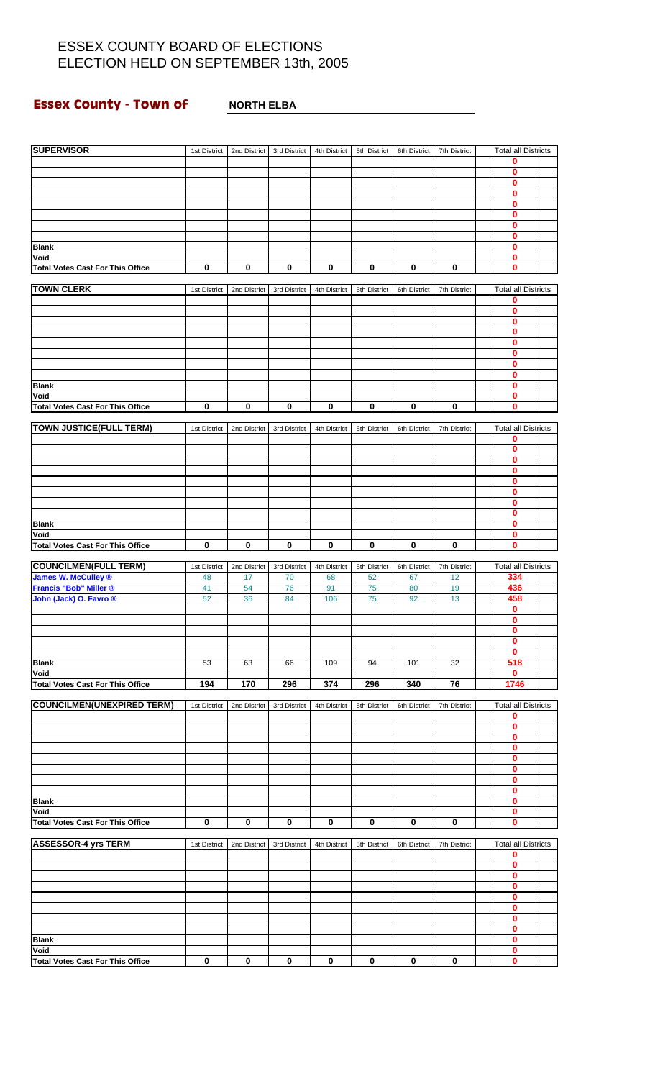# **Essex County - Town of** <br>**NORTH ELBA**

| <b>SUPERVISOR</b>                                | 1st District | 2nd District | 3rd District | 4th District | 5th District | 6th District | 7th District | <b>Total all Districts</b>      |
|--------------------------------------------------|--------------|--------------|--------------|--------------|--------------|--------------|--------------|---------------------------------|
|                                                  |              |              |              |              |              |              |              | 0                               |
|                                                  |              |              |              |              |              |              |              | $\bf{0}$                        |
|                                                  |              |              |              |              |              |              |              | 0<br>$\bf{0}$                   |
|                                                  |              |              |              |              |              |              |              | 0                               |
|                                                  |              |              |              |              |              |              |              | 0                               |
|                                                  |              |              |              |              |              |              |              | $\bf{0}$                        |
| <b>Blank</b>                                     |              |              |              |              |              |              |              | 0<br>0                          |
| Void                                             |              |              |              |              |              |              |              | $\bf{0}$                        |
| <b>Total Votes Cast For This Office</b>          | 0            | 0            | 0            | 0            | 0            | 0            | 0            | 0                               |
|                                                  |              |              |              |              |              |              |              |                                 |
| <b>TOWN CLERK</b>                                | 1st District | 2nd District | 3rd District | 4th District | 5th District | 6th District | 7th District | <b>Total all Districts</b><br>0 |
|                                                  |              |              |              |              |              |              |              | 0                               |
|                                                  |              |              |              |              |              |              |              | $\bf{0}$                        |
|                                                  |              |              |              |              |              |              |              | 0<br>$\bf{0}$                   |
|                                                  |              |              |              |              |              |              |              | 0                               |
|                                                  |              |              |              |              |              |              |              | $\bf{0}$                        |
|                                                  |              |              |              |              |              |              |              | 0                               |
| <b>Blank</b><br>Void                             |              |              |              |              |              |              |              | 0<br>0                          |
| <b>Total Votes Cast For This Office</b>          | 0            | 0            | 0            | 0            | 0            | 0            | 0            | $\bf{0}$                        |
|                                                  |              |              |              |              |              |              |              |                                 |
| <b>TOWN JUSTICE(FULL TERM)</b>                   | 1st District | 2nd District | 3rd District | 4th District | 5th District | 6th District | 7th District | <b>Total all Districts</b>      |
|                                                  |              |              |              |              |              |              |              | 0<br>$\bf{0}$                   |
|                                                  |              |              |              |              |              |              |              | 0                               |
|                                                  |              |              |              |              |              |              |              | 0                               |
|                                                  |              |              |              |              |              |              |              | $\bf{0}$                        |
|                                                  |              |              |              |              |              |              |              | 0<br>0                          |
|                                                  |              |              |              |              |              |              |              | $\bf{0}$                        |
| <b>Blank</b>                                     |              |              |              |              |              |              |              | $\bf{0}$                        |
| Void<br><b>Total Votes Cast For This Office</b>  | $\mathbf 0$  | $\bf{0}$     | 0            | $\bf{0}$     | $\mathbf 0$  | $\bf{0}$     | $\bf{0}$     | 0<br>$\bf{0}$                   |
|                                                  |              |              |              |              |              |              |              |                                 |
| <b>COUNCILMEN(FULL TERM)</b>                     | 1st District | 2nd District | 3rd District | 4th District | 5th District | 6th District | 7th District | <b>Total all Districts</b>      |
| James W. McCulley ®                              | 48           | 17           | 70           | 68           | 52           | 67           | 12           | 334                             |
| Francis "Bob" Miller ®<br>John (Jack) O. Favro ® | 41<br>52     | 54<br>36     | 76<br>84     | 91<br>106    | 75<br>75     | 80<br>92     | 19<br>13     | 436<br>458                      |
|                                                  |              |              |              |              |              |              |              | $\mathbf 0$                     |
|                                                  |              |              |              |              |              |              |              | 0                               |
|                                                  |              |              |              |              |              |              |              | $\bf{0}$                        |
|                                                  |              |              |              |              |              |              |              | 0<br>0                          |
| <b>Blank</b>                                     | 53           | 63           | 66           | 109          | 94           | 101          | 32           | 518                             |
| Void                                             |              |              |              |              |              |              |              | 0                               |
| <b>Total Votes Cast For This Office</b>          | 194          | 170          | 296          | 374          | 296          | 340          | 76           | 1746                            |
| <b>COUNCILMEN(UNEXPIRED TERM)</b>                | 1st District | 2nd District | 3rd District | 4th District | 5th District | 6th District | 7th District | <b>Total all Districts</b>      |
|                                                  |              |              |              |              |              |              |              | 0                               |
|                                                  |              |              |              |              |              |              |              | $\bf{0}$                        |
|                                                  |              |              |              |              |              |              |              | 0<br>0                          |
|                                                  |              |              |              |              |              |              |              | $\bf{0}$                        |
|                                                  |              |              |              |              |              |              |              | 0                               |
|                                                  |              |              |              |              |              |              |              | 0<br>$\bf{0}$                   |
| <b>Blank</b>                                     |              |              |              |              |              |              |              | 0                               |
| Void                                             |              |              |              |              |              |              |              | 0                               |
| <b>Total Votes Cast For This Office</b>          | 0            | 0            | 0            | 0            | $\bf{0}$     | 0            | 0            | 0                               |
| <b>ASSESSOR-4 yrs TERM</b>                       |              |              |              |              |              |              |              | <b>Total all Districts</b>      |
|                                                  | 1st District | 2nd District | 3rd District | 4th District | 5th District | 6th District | 7th District | 0                               |
|                                                  |              |              |              |              |              |              |              | $\bf{0}$                        |
|                                                  |              |              |              |              |              |              |              | $\bf{0}$                        |
|                                                  |              |              |              |              |              |              |              | 0<br>0                          |
|                                                  |              |              |              |              |              |              |              | 0                               |
|                                                  |              |              |              |              |              |              |              | 0                               |
|                                                  |              |              |              |              |              |              |              | 0                               |
| <b>Blank</b><br>Void                             |              |              |              |              |              |              |              | $\bf{0}$                        |
|                                                  |              |              |              |              |              |              |              | 0                               |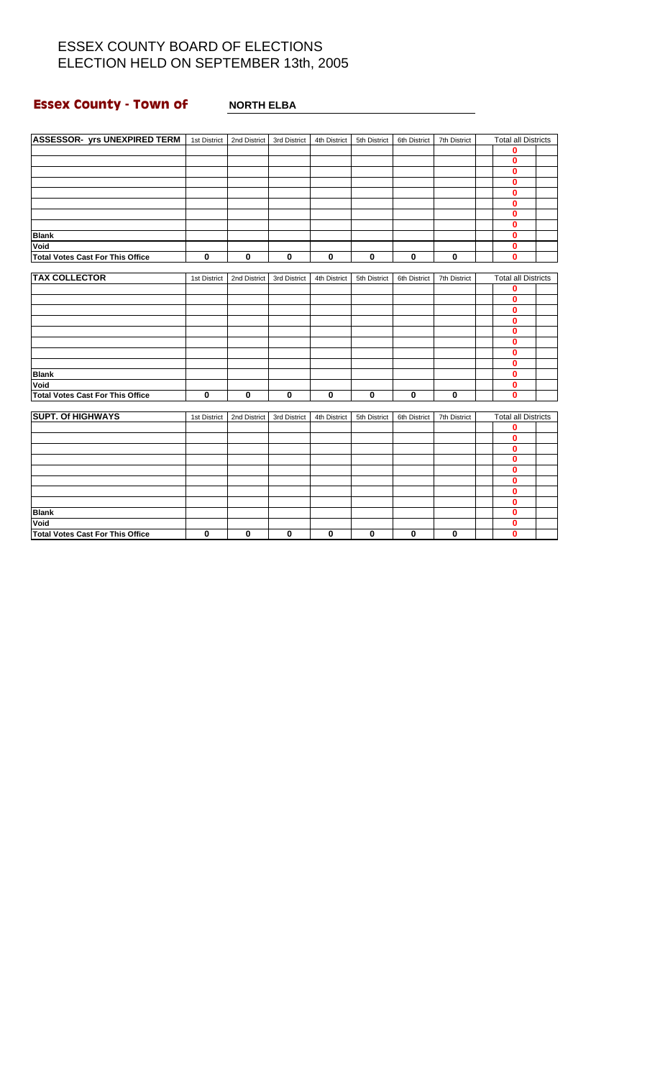# **Essex County - Town of NORTH ELBA**

| <b>ASSESSOR- yrs UNEXPIRED TERM</b>     |              | 1st District   2nd District | 3rd District | 4th District            | 5th District | 6th District | 7th District | <b>Total all Districts</b> |  |
|-----------------------------------------|--------------|-----------------------------|--------------|-------------------------|--------------|--------------|--------------|----------------------------|--|
|                                         |              |                             |              |                         |              |              |              | 0                          |  |
|                                         |              |                             |              |                         |              |              |              | $\mathbf{0}$               |  |
|                                         |              |                             |              |                         |              |              |              | $\bf{0}$                   |  |
|                                         |              |                             |              |                         |              |              |              | $\bf{0}$                   |  |
|                                         |              |                             |              |                         |              |              |              | $\bf{0}$                   |  |
|                                         |              |                             |              |                         |              |              |              | 0                          |  |
|                                         |              |                             |              |                         |              |              |              | $\bf{0}$                   |  |
|                                         |              |                             |              |                         |              |              |              | $\bf{0}$                   |  |
| <b>Blank</b>                            |              |                             |              |                         |              |              |              | $\bf{0}$                   |  |
| Void                                    |              |                             |              |                         |              |              |              | $\mathbf 0$                |  |
| <b>Total Votes Cast For This Office</b> | 0            | 0                           | 0            | $\overline{\mathbf{0}}$ | $\bf{0}$     | $\bf{0}$     | 0            | $\mathbf{0}$               |  |
|                                         |              |                             |              |                         |              |              |              |                            |  |
| <b>TAX COLLECTOR</b>                    | 1st District | 2nd District                | 3rd District | 4th District            | 5th District | 6th District | 7th District | <b>Total all Districts</b> |  |
|                                         |              |                             |              |                         |              |              |              | $\bf{0}$                   |  |
|                                         |              |                             |              |                         |              |              |              | $\bf{0}$                   |  |
|                                         |              |                             |              |                         |              |              |              | $\mathbf{0}$               |  |
|                                         |              |                             |              |                         |              |              |              | $\bf{0}$                   |  |
|                                         |              |                             |              |                         |              |              |              | $\bf{0}$                   |  |
|                                         |              |                             |              |                         |              |              |              | $\bf{0}$                   |  |
|                                         |              |                             |              |                         |              |              |              | $\mathbf{0}$               |  |
|                                         |              |                             |              |                         |              |              |              | $\bf{0}$                   |  |
| <b>Blank</b>                            |              |                             |              |                         |              |              |              | $\bf{0}$                   |  |
| Void                                    |              |                             |              |                         |              |              |              | $\bf{0}$                   |  |
| <b>Total Votes Cast For This Office</b> | $\bf{0}$     | $\bf{0}$                    | $\mathbf 0$  | $\mathbf 0$             | 0            | 0            | 0            | $\bf{0}$                   |  |
| <b>SUPT. Of HIGHWAYS</b>                | 1st District | 2nd District                | 3rd District | 4th District            | 5th District | 6th District | 7th District | <b>Total all Districts</b> |  |
|                                         |              |                             |              |                         |              |              |              | $\mathbf 0$                |  |
|                                         |              |                             |              |                         |              |              |              | $\mathbf 0$                |  |
|                                         |              |                             |              |                         |              |              |              | $\mathbf{0}$               |  |
|                                         |              |                             |              |                         |              |              |              | $\bf{0}$                   |  |
|                                         |              |                             |              |                         |              |              |              | $\mathbf{0}$               |  |
|                                         |              |                             |              |                         |              |              |              | $\bf{0}$                   |  |
|                                         |              |                             |              |                         |              |              |              | $\bf{0}$                   |  |
|                                         |              |                             |              |                         |              |              |              | $\mathbf 0$                |  |
| <b>Blank</b>                            |              |                             |              |                         |              |              |              | $\mathbf 0$                |  |
| Void                                    |              |                             |              |                         |              |              |              | $\bf{0}$                   |  |
| Total Votes Cast For This Office        | 0            | $\bf{0}$                    | $\bf{0}$     | $\mathbf 0$             | $\mathbf 0$  | $\bf{0}$     | 0            | $\bf{0}$                   |  |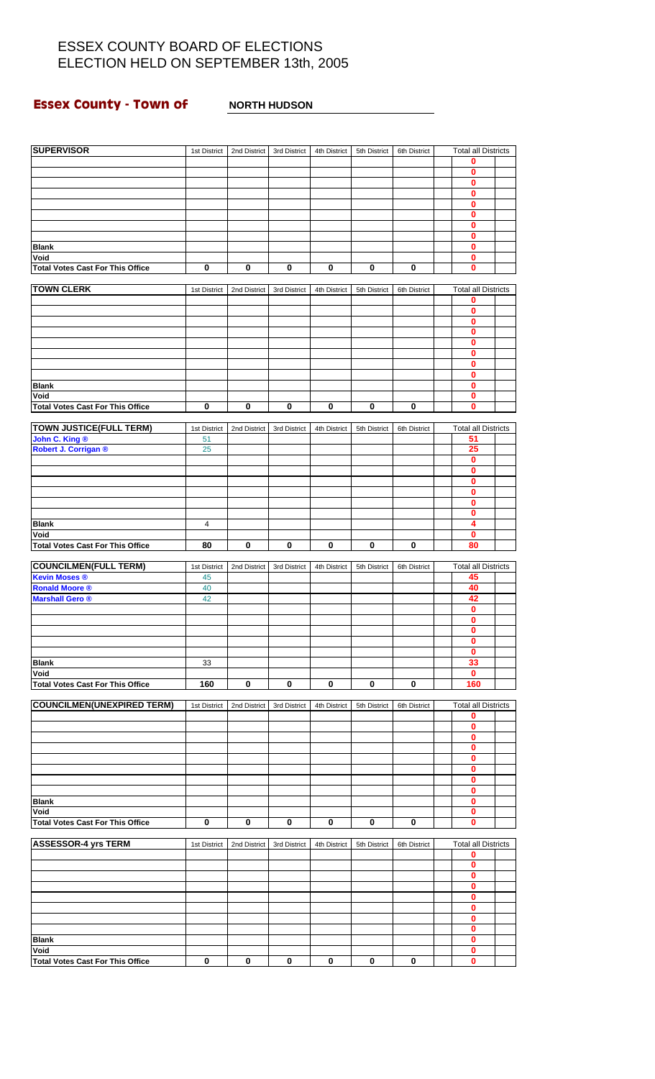# **Essex County - Town of** <br>NORTH HUDSON

| <b>SUPERVISOR</b>                       | 1st District | 2nd District | 3rd District | 4th District | 5th District | 6th District | <b>Total all Districts</b> |  |
|-----------------------------------------|--------------|--------------|--------------|--------------|--------------|--------------|----------------------------|--|
|                                         |              |              |              |              |              |              | 0                          |  |
|                                         |              |              |              |              |              |              | 0                          |  |
|                                         |              |              |              |              |              |              | 0                          |  |
|                                         |              |              |              |              |              |              | 0<br>0                     |  |
|                                         |              |              |              |              |              |              | 0                          |  |
|                                         |              |              |              |              |              |              | 0                          |  |
|                                         |              |              |              |              |              |              | 0                          |  |
| <b>Blank</b>                            |              |              |              |              |              |              | 0                          |  |
| Void                                    |              |              |              |              |              |              | 0                          |  |
| <b>Total Votes Cast For This Office</b> | 0            | 0            | 0            | 0            | 0            | 0            | 0                          |  |
| <b>TOWN CLERK</b>                       | 1st District | 2nd District | 3rd District | 4th District | 5th District | 6th District | <b>Total all Districts</b> |  |
|                                         |              |              |              |              |              |              | 0                          |  |
|                                         |              |              |              |              |              |              | 0                          |  |
|                                         |              |              |              |              |              |              | 0                          |  |
|                                         |              |              |              |              |              |              | 0<br>0                     |  |
|                                         |              |              |              |              |              |              | 0                          |  |
|                                         |              |              |              |              |              |              | 0                          |  |
|                                         |              |              |              |              |              |              | 0                          |  |
| <b>Blank</b>                            |              |              |              |              |              |              | 0                          |  |
| Void                                    |              |              |              |              |              |              | 0                          |  |
| <b>Total Votes Cast For This Office</b> | 0            | $\bf{0}$     | 0            | 0            | 0            | 0            | 0                          |  |
| <b>TOWN JUSTICE(FULL TERM)</b>          | 1st District | 2nd District | 3rd District | 4th District | 5th District | 6th District | <b>Total all Districts</b> |  |
| John C. King ®                          | 51           |              |              |              |              |              | 51                         |  |
| Robert J. Corrigan ®                    | 25           |              |              |              |              |              | 25                         |  |
|                                         |              |              |              |              |              |              | 0                          |  |
|                                         |              |              |              |              |              |              | 0                          |  |
|                                         |              |              |              |              |              |              | 0<br>0                     |  |
|                                         |              |              |              |              |              |              | 0                          |  |
|                                         |              |              |              |              |              |              | 0                          |  |
| <b>Blank</b>                            | 4            |              |              |              |              |              | 4                          |  |
| Void                                    |              |              |              |              |              |              | 0                          |  |
| <b>Total Votes Cast For This Office</b> | 80           | $\bf{0}$     | 0            | $\bf{0}$     | $\bf{0}$     | 0            | 80                         |  |
| <b>COUNCILMEN(FULL TERM)</b>            | 1st District | 2nd District | 3rd District | 4th District | 5th District | 6th District | <b>Total all Districts</b> |  |
| <b>Kevin Moses ®</b>                    | 45           |              |              |              |              |              | 45                         |  |
| <b>Ronald Moore ®</b>                   | 40           |              |              |              |              |              | 40                         |  |
| <b>Marshall Gero ®</b>                  | 42           |              |              |              |              |              | 42                         |  |
|                                         |              |              |              |              |              |              | 0                          |  |
|                                         |              |              |              |              |              |              | 0<br>0                     |  |
|                                         |              |              |              |              |              |              | 0                          |  |
|                                         |              |              |              |              |              |              | 0                          |  |
| <b>Blank</b>                            | 33           |              |              |              |              |              | 33                         |  |
| Void                                    |              |              |              |              |              |              | 0                          |  |
| <b>Total Votes Cast For This Office</b> | 160          | 0            | 0            | 0            | 0            | 0            | 160                        |  |
| <b>COUNCILMEN(UNEXPIRED TERM)</b>       | 1st District | 2nd District | 3rd District | 4th District | 5th District | 6th District | <b>Total all Districts</b> |  |
|                                         |              |              |              |              |              |              | 0                          |  |
|                                         |              |              |              |              |              |              | 0                          |  |
|                                         |              |              |              |              |              |              | 0                          |  |
|                                         |              |              |              |              |              |              | 0                          |  |
|                                         |              |              |              |              |              |              | 0<br>0                     |  |
|                                         |              |              |              |              |              |              | 0                          |  |
|                                         |              |              |              |              |              |              | 0                          |  |
| <b>Blank</b>                            |              |              |              |              |              |              | 0                          |  |
| Void                                    |              |              |              |              |              |              | 0                          |  |
| <b>Total Votes Cast For This Office</b> | 0            | 0            | 0            | 0            | 0            | 0            | 0                          |  |
| <b>ASSESSOR-4 yrs TERM</b>              | 1st District | 2nd District | 3rd District | 4th District | 5th District | 6th District | <b>Total all Districts</b> |  |
|                                         |              |              |              |              |              |              | 0                          |  |
|                                         |              |              |              |              |              |              | 0                          |  |
|                                         |              |              |              |              |              |              | 0                          |  |
|                                         |              |              |              |              |              |              | 0                          |  |
|                                         |              |              |              |              |              |              | 0<br>0                     |  |
|                                         |              |              |              |              |              |              | 0                          |  |
|                                         |              |              |              |              |              |              | 0                          |  |
| <b>Blank</b>                            |              |              |              |              |              |              | 0                          |  |
| Void                                    |              |              |              |              |              |              | 0                          |  |
| <b>Total Votes Cast For This Office</b> | $\bf{0}$     | $\bf{0}$     | $\bf{0}$     | 0            | 0            | 0            | 0                          |  |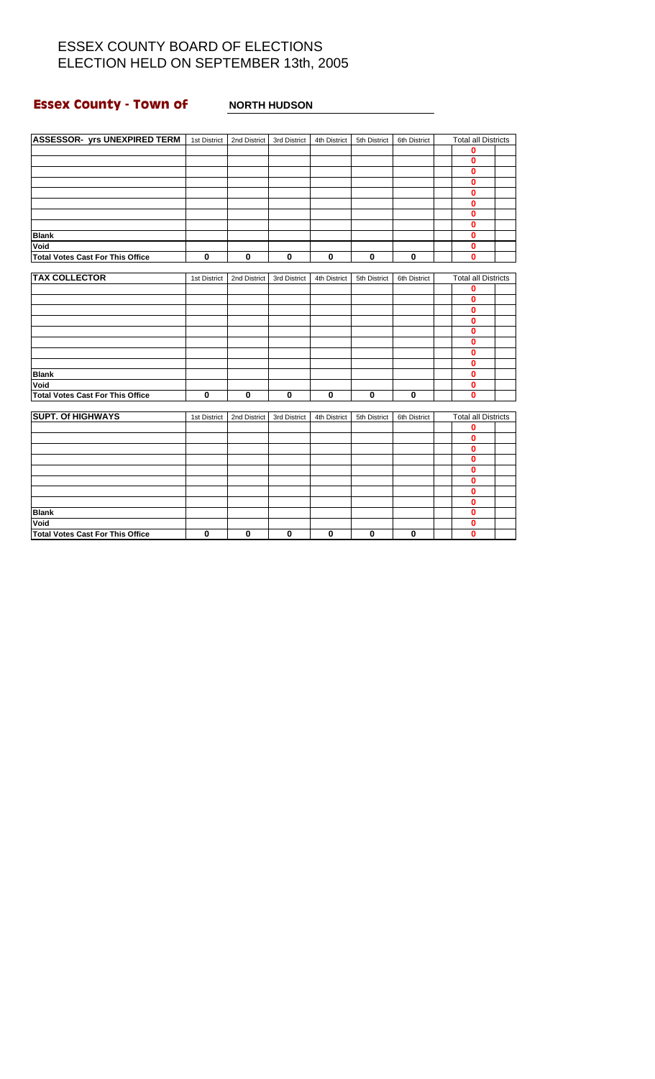# **Essex County - Town of** <br>**NORTH HUDSON**

| <b>ASSESSOR- yrs UNEXPIRED TERM</b> 1st District |              | 2nd District | 3rd District | 4th District | 5th District | 6th District | <b>Total all Districts</b> |  |
|--------------------------------------------------|--------------|--------------|--------------|--------------|--------------|--------------|----------------------------|--|
|                                                  |              |              |              |              |              |              | 0                          |  |
|                                                  |              |              |              |              |              |              | $\bf{0}$                   |  |
|                                                  |              |              |              |              |              |              | $\bf{0}$                   |  |
|                                                  |              |              |              |              |              |              | $\bf{0}$                   |  |
|                                                  |              |              |              |              |              |              | 0                          |  |
|                                                  |              |              |              |              |              |              | 0                          |  |
|                                                  |              |              |              |              |              |              | $\bf{0}$                   |  |
|                                                  |              |              |              |              |              |              | $\bf{0}$                   |  |
| <b>Blank</b>                                     |              |              |              |              |              |              | $\bf{0}$                   |  |
| Void                                             |              |              |              |              |              |              | $\bf{0}$                   |  |
| <b>Total Votes Cast For This Office</b>          | 0            | $\bf{0}$     | $\mathbf 0$  | $\mathbf 0$  | $\mathbf 0$  | $\mathbf 0$  | $\mathbf{0}$               |  |
| <b>TAX COLLECTOR</b>                             | 1st District | 2nd District | 3rd District | 4th District | 5th District | 6th District | <b>Total all Districts</b> |  |
|                                                  |              |              |              |              |              |              | 0                          |  |
|                                                  |              |              |              |              |              |              | $\bf{0}$                   |  |
|                                                  |              |              |              |              |              |              | $\bf{0}$                   |  |
|                                                  |              |              |              |              |              |              | $\bf{0}$                   |  |
|                                                  |              |              |              |              |              |              | $\bf{0}$                   |  |
|                                                  |              |              |              |              |              |              | $\bf{0}$                   |  |
|                                                  |              |              |              |              |              |              | $\bf{0}$                   |  |
|                                                  |              |              |              |              |              |              | $\bf{0}$                   |  |
| <b>Blank</b>                                     |              |              |              |              |              |              | $\mathbf 0$                |  |
| Void                                             |              |              |              |              |              |              | 0                          |  |
| <b>Total Votes Cast For This Office</b>          | 0            | $\mathbf 0$  | $\bf{0}$     | $\bf{0}$     | $\mathbf 0$  | $\mathbf 0$  | $\bf{0}$                   |  |
| <b>SUPT. Of HIGHWAYS</b>                         | 1st District | 2nd District | 3rd District | 4th District | 5th District | 6th District | <b>Total all Districts</b> |  |
|                                                  |              |              |              |              |              |              | 0                          |  |
|                                                  |              |              |              |              |              |              | $\bf{0}$                   |  |
|                                                  |              |              |              |              |              |              | $\mathbf{0}$               |  |
|                                                  |              |              |              |              |              |              | 0                          |  |
|                                                  |              |              |              |              |              |              | 0                          |  |
|                                                  |              |              |              |              |              |              | $\bf{0}$                   |  |
|                                                  |              |              |              |              |              |              | $\bf{0}$                   |  |
|                                                  |              |              |              |              |              |              | $\bf{0}$                   |  |
| <b>Blank</b>                                     |              |              |              |              |              |              | 0                          |  |
| Void                                             |              |              |              |              |              |              | $\mathbf 0$                |  |
| <b>Total Votes Cast For This Office</b>          | 0            | 0            | $\mathbf 0$  | 0            | $\bf{0}$     | $\mathbf 0$  | 0                          |  |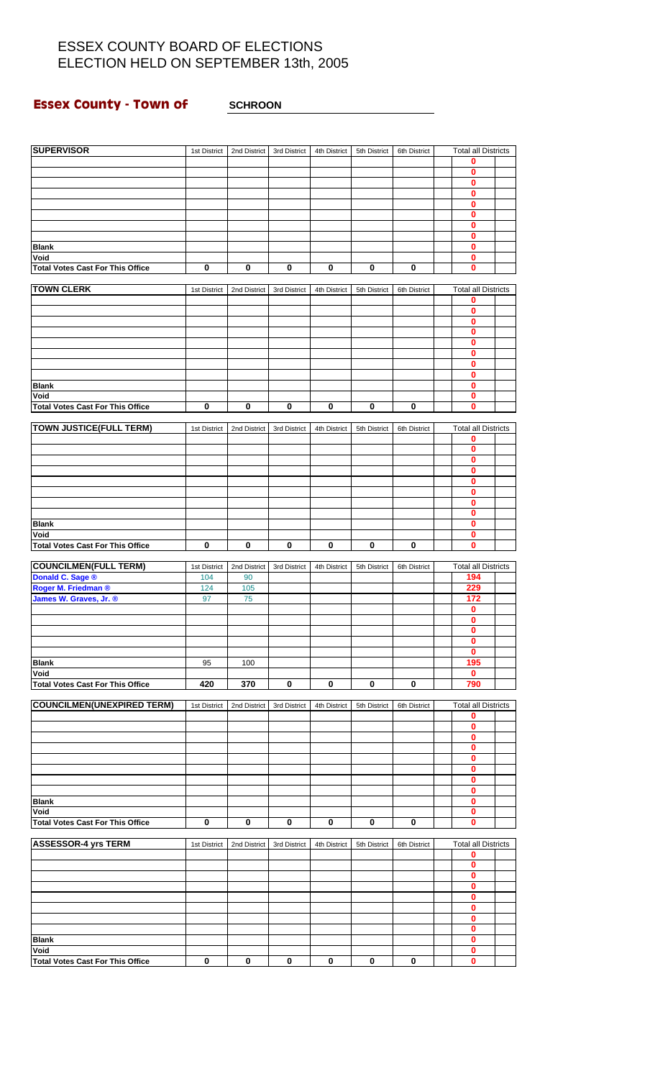#### **Essex County - Town of SCHROON**

| <b>SUPERVISOR</b>                                | 1st District        | 2nd District       | 3rd District | 4th District | 5th District | 6th District | <b>Total all Districts</b>        |  |
|--------------------------------------------------|---------------------|--------------------|--------------|--------------|--------------|--------------|-----------------------------------|--|
|                                                  |                     |                    |              |              |              |              | 0                                 |  |
|                                                  |                     |                    |              |              |              |              | 0                                 |  |
|                                                  |                     |                    |              |              |              |              | 0                                 |  |
|                                                  |                     |                    |              |              |              |              | 0<br>0                            |  |
|                                                  |                     |                    |              |              |              |              | 0                                 |  |
|                                                  |                     |                    |              |              |              |              | 0                                 |  |
| <b>Blank</b>                                     |                     |                    |              |              |              |              | 0<br>0                            |  |
| Void                                             |                     |                    |              |              |              |              | 0                                 |  |
| <b>Total Votes Cast For This Office</b>          | $\bf{0}$            | 0                  | 0            | 0            | 0            | 0            | 0                                 |  |
| <b>TOWN CLERK</b>                                | 1st District        | 2nd District       | 3rd District | 4th District | 5th District | 6th District | <b>Total all Districts</b>        |  |
|                                                  |                     |                    |              |              |              |              | 0                                 |  |
|                                                  |                     |                    |              |              |              |              | 0                                 |  |
|                                                  |                     |                    |              |              |              |              | 0                                 |  |
|                                                  |                     |                    |              |              |              |              | 0<br>$\bf{0}$                     |  |
|                                                  |                     |                    |              |              |              |              | 0                                 |  |
|                                                  |                     |                    |              |              |              |              | 0                                 |  |
| <b>Blank</b>                                     |                     |                    |              |              |              |              | 0<br>0                            |  |
| Void                                             |                     |                    |              |              |              |              | 0                                 |  |
| <b>Total Votes Cast For This Office</b>          | $\bf{0}$            | 0                  | 0            | 0            | 0            | 0            | $\bf{0}$                          |  |
|                                                  |                     |                    |              |              |              |              |                                   |  |
| <b>TOWN JUSTICE(FULL TERM)</b>                   | 1st District        | 2nd District       | 3rd District | 4th District | 5th District | 6th District | <b>Total all Districts</b><br>0   |  |
|                                                  |                     |                    |              |              |              |              | 0                                 |  |
|                                                  |                     |                    |              |              |              |              | 0                                 |  |
|                                                  |                     |                    |              |              |              |              | 0<br>0                            |  |
|                                                  |                     |                    |              |              |              |              | 0                                 |  |
|                                                  |                     |                    |              |              |              |              | 0                                 |  |
|                                                  |                     |                    |              |              |              |              | 0                                 |  |
| <b>Blank</b><br>Void                             |                     |                    |              |              |              |              | 0<br>0                            |  |
| <b>Total Votes Cast For This Office</b>          | 0                   | 0                  | 0            | 0            | $\pmb{0}$    | 0            | $\bf{0}$                          |  |
|                                                  |                     |                    |              |              |              |              |                                   |  |
| <b>COUNCILMEN(FULL TERM)</b><br>Donald C. Sage ® | 1st District<br>104 | 2nd District<br>90 | 3rd District | 4th District | 5th District | 6th District | <b>Total all Districts</b><br>194 |  |
| Roger M. Friedman ®                              | 124                 | 105                |              |              |              |              | 229                               |  |
| James W. Graves, Jr. ®                           | 97                  | 75                 |              |              |              |              | 172                               |  |
|                                                  |                     |                    |              |              |              |              | $\mathbf 0$                       |  |
|                                                  |                     |                    |              |              |              |              | U<br>0                            |  |
|                                                  |                     |                    |              |              |              |              | 0                                 |  |
|                                                  |                     |                    |              |              |              |              | $\bf{0}$                          |  |
| <b>Blank</b>                                     | 95                  | 100                |              |              |              |              | 195                               |  |
| Void<br><b>Total Votes Cast For This Office</b>  | 420                 | $\overline{370}$   | 0            | 0            | 0            | 0            | 0<br>790                          |  |
|                                                  |                     |                    |              |              |              |              |                                   |  |
| <b>COUNCILMEN(UNEXPIRED TERM)</b>                | 1st District        | 2nd District       | 3rd District | 4th District | 5th District | 6th District | <b>Total all Districts</b>        |  |
|                                                  |                     |                    |              |              |              |              | 0<br>$\bf{0}$                     |  |
|                                                  |                     |                    |              |              |              |              | 0                                 |  |
|                                                  |                     |                    |              |              |              |              | 0                                 |  |
|                                                  |                     |                    |              |              |              |              | 0<br>0                            |  |
|                                                  |                     |                    |              |              |              |              | 0                                 |  |
|                                                  |                     |                    |              |              |              |              | 0                                 |  |
| <b>Blank</b>                                     |                     |                    |              |              |              |              | 0                                 |  |
| Void<br><b>Total Votes Cast For This Office</b>  | $\bf{0}$            | 0                  | 0            | 0            | 0            | 0            | 0<br>0                            |  |
|                                                  |                     |                    |              |              |              |              |                                   |  |
| <b>ASSESSOR-4 yrs TERM</b>                       | 1st District        | 2nd District       | 3rd District | 4th District | 5th District | 6th District | <b>Total all Districts</b>        |  |
|                                                  |                     |                    |              |              |              |              | 0<br>0                            |  |
|                                                  |                     |                    |              |              |              |              | $\bf{0}$                          |  |
|                                                  |                     |                    |              |              |              |              | 0                                 |  |
|                                                  |                     |                    |              |              |              |              | 0                                 |  |
|                                                  |                     |                    |              |              |              |              | 0<br>0                            |  |
|                                                  |                     |                    |              |              |              |              | 0                                 |  |
| Blank                                            |                     |                    |              |              |              |              | 0                                 |  |
| Void                                             |                     |                    |              |              |              |              | 0                                 |  |
| <b>Total Votes Cast For This Office</b>          | $\pmb{0}$           | $\pmb{0}$          | 0            | $\pmb{0}$    | $\pmb{0}$    | 0            | 0                                 |  |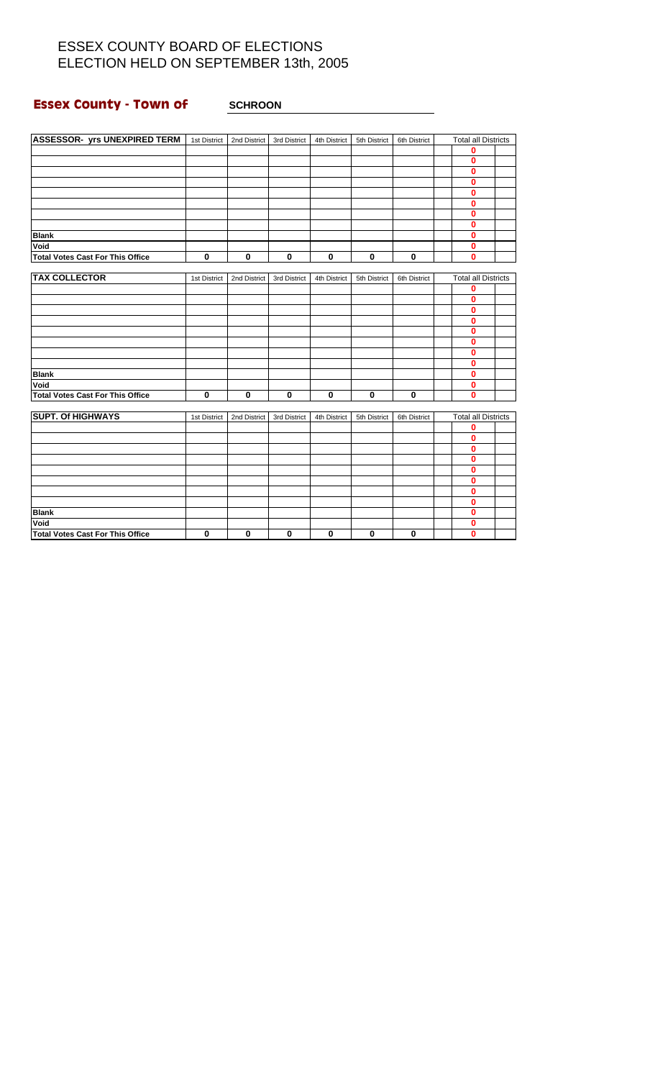# **Essex County - Town of** <br>**<u>SCHROON</u>**

| <b>ASSESSOR- yrs UNEXPIRED TERM</b> 1st District |                         | 2nd District | 3rd District | 4th District            | 5th District | 6th District            | <b>Total all Districts</b> |  |
|--------------------------------------------------|-------------------------|--------------|--------------|-------------------------|--------------|-------------------------|----------------------------|--|
|                                                  |                         |              |              |                         |              |                         | 0                          |  |
|                                                  |                         |              |              |                         |              |                         | $\bf{0}$                   |  |
|                                                  |                         |              |              |                         |              |                         | $\bf{0}$                   |  |
|                                                  |                         |              |              |                         |              |                         | $\mathbf 0$                |  |
|                                                  |                         |              |              |                         |              |                         | 0                          |  |
|                                                  |                         |              |              |                         |              |                         | 0                          |  |
|                                                  |                         |              |              |                         |              |                         | $\bf{0}$                   |  |
|                                                  |                         |              |              |                         |              |                         | $\bf{0}$                   |  |
| <b>Blank</b>                                     |                         |              |              |                         |              |                         | $\bf{0}$                   |  |
| Void                                             |                         |              |              |                         |              |                         | $\bf{0}$                   |  |
| <b>Total Votes Cast For This Office</b>          | $\overline{\mathbf{0}}$ | 0            | 0            | $\overline{\mathbf{0}}$ | $\bf{0}$     | $\overline{\mathbf{0}}$ | $\bf{0}$                   |  |
|                                                  |                         |              |              |                         |              |                         |                            |  |
| <b>TAX COLLECTOR</b>                             | 1st District            | 2nd District | 3rd District | 4th District            | 5th District | 6th District            | <b>Total all Districts</b> |  |
|                                                  |                         |              |              |                         |              |                         | 0                          |  |
|                                                  |                         |              |              |                         |              |                         | 0                          |  |
|                                                  |                         |              |              |                         |              |                         | $\mathbf{0}$               |  |
|                                                  |                         |              |              |                         |              |                         | $\bf{0}$                   |  |
|                                                  |                         |              |              |                         |              |                         | $\bf{0}$                   |  |
|                                                  |                         |              |              |                         |              |                         | 0                          |  |
|                                                  |                         |              |              |                         |              |                         | 0                          |  |
|                                                  |                         |              |              |                         |              |                         | 0                          |  |
| <b>Blank</b>                                     |                         |              |              |                         |              |                         | $\bf{0}$                   |  |
| Void                                             |                         |              |              |                         |              |                         | $\mathbf 0$                |  |
| <b>Total Votes Cast For This Office</b>          | $\bf{0}$                | $\bf{0}$     | $\bf{0}$     | $\bf{0}$                | $\mathbf 0$  | $\mathbf 0$             | $\bf{0}$                   |  |
| <b>SUPT. Of HIGHWAYS</b>                         | 1st District            | 2nd District | 3rd District | 4th District            | 5th District | 6th District            | <b>Total all Districts</b> |  |
|                                                  |                         |              |              |                         |              |                         | $\bf{0}$                   |  |
|                                                  |                         |              |              |                         |              |                         | $\mathbf 0$                |  |
|                                                  |                         |              |              |                         |              |                         | $\mathbf{0}$               |  |
|                                                  |                         |              |              |                         |              |                         | $\mathbf{0}$               |  |
|                                                  |                         |              |              |                         |              |                         | $\mathbf{0}$               |  |
|                                                  |                         |              |              |                         |              |                         | $\bf{0}$                   |  |
|                                                  |                         |              |              |                         |              |                         | $\bf{0}$                   |  |
|                                                  |                         |              |              |                         |              |                         | $\mathbf{0}$               |  |
| <b>Blank</b>                                     |                         |              |              |                         |              |                         | $\bf{0}$                   |  |
| Void                                             |                         |              |              |                         |              |                         | $\mathbf 0$                |  |
| <b>Total Votes Cast For This Office</b>          | 0                       | 0            | 0            | 0                       | $\bf{0}$     | $\mathbf 0$             | $\bf{0}$                   |  |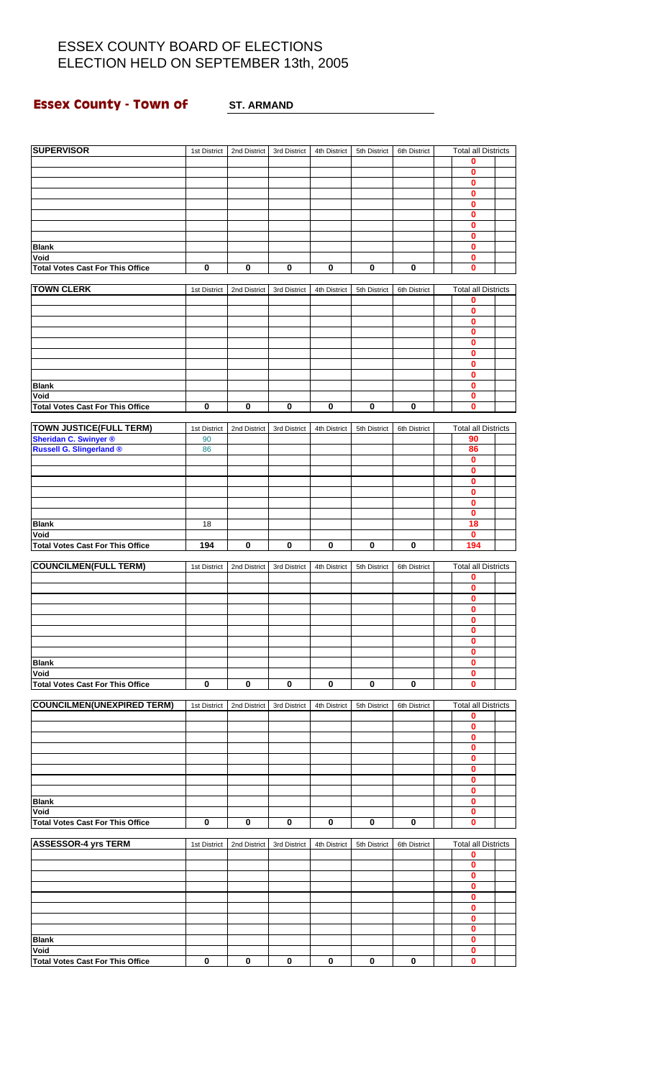#### **Essex County - Town of**  $\qquad$  **ST. ARMAND**

| <b>SUPERVISOR</b>                               | 1st District | 2nd District | 3rd District | 4th District | 5th District | 6th District | <b>Total all Districts</b>      |  |
|-------------------------------------------------|--------------|--------------|--------------|--------------|--------------|--------------|---------------------------------|--|
|                                                 |              |              |              |              |              |              | 0                               |  |
|                                                 |              |              |              |              |              |              | 0                               |  |
|                                                 |              |              |              |              |              |              | 0<br>0                          |  |
|                                                 |              |              |              |              |              |              | 0                               |  |
|                                                 |              |              |              |              |              |              | 0                               |  |
|                                                 |              |              |              |              |              |              | 0                               |  |
| <b>Blank</b>                                    |              |              |              |              |              |              | 0<br>0                          |  |
| Void                                            |              |              |              |              |              |              | 0                               |  |
| <b>Total Votes Cast For This Office</b>         | $\bf{0}$     | 0            | 0            | 0            | 0            | 0            | 0                               |  |
| <b>TOWN CLERK</b>                               | 1st District | 2nd District | 3rd District | 4th District | 5th District | 6th District | <b>Total all Districts</b>      |  |
|                                                 |              |              |              |              |              |              | 0                               |  |
|                                                 |              |              |              |              |              |              | 0<br>0                          |  |
|                                                 |              |              |              |              |              |              | 0                               |  |
|                                                 |              |              |              |              |              |              | 0                               |  |
|                                                 |              |              |              |              |              |              | 0                               |  |
|                                                 |              |              |              |              |              |              | 0<br>0                          |  |
| <b>Blank</b>                                    |              |              |              |              |              |              | 0                               |  |
| Void                                            |              |              |              |              |              |              | 0                               |  |
| <b>Total Votes Cast For This Office</b>         | $\bf{0}$     | $\mathbf 0$  | 0            | $\bf{0}$     | $\pmb{0}$    | $\mathbf 0$  | 0                               |  |
| <b>TOWN JUSTICE(FULL TERM)</b>                  | 1st District | 2nd District | 3rd District | 4th District | 5th District | 6th District | <b>Total all Districts</b>      |  |
| <b>Sheridan C. Swinyer ®</b>                    | 90           |              |              |              |              |              | 90                              |  |
| <b>Russell G. Slingerland ®</b>                 | 86           |              |              |              |              |              | 86<br>0                         |  |
|                                                 |              |              |              |              |              |              | 0                               |  |
|                                                 |              |              |              |              |              |              | 0                               |  |
|                                                 |              |              |              |              |              |              | 0<br>0                          |  |
|                                                 |              |              |              |              |              |              | 0                               |  |
| <b>Blank</b>                                    | 18           |              |              |              |              |              | 18                              |  |
| Void<br><b>Total Votes Cast For This Office</b> | 194          | $\bf{0}$     | $\bf{0}$     | 0            | $\bf{0}$     | $\mathbf 0$  | $\bf{0}$<br>194                 |  |
|                                                 |              |              |              |              |              |              |                                 |  |
| <b>COUNCILMEN(FULL TERM)</b>                    | 1st District | 2nd District | 3rd District | 4th District | 5th District | 6th District | <b>Total all Districts</b><br>0 |  |
|                                                 |              |              |              |              |              |              | 0                               |  |
|                                                 |              |              |              |              |              |              | 0                               |  |
|                                                 |              |              |              |              |              |              | 0                               |  |
|                                                 |              |              |              |              |              |              | 0<br>$\bf{0}$                   |  |
|                                                 |              |              |              |              |              |              | 0                               |  |
|                                                 |              |              |              |              |              |              | 0                               |  |
| <b>Blank</b><br>Void                            |              |              |              |              |              |              | 0<br>0                          |  |
| <b>Total Votes Cast For This Office</b>         | 0            | 0            | 0            | 0            | $\pmb{0}$    | 0            | 0                               |  |
|                                                 |              |              |              |              |              |              |                                 |  |
| <b>COUNCILMEN(UNEXPIRED TERM)</b>               | 1st District | 2nd District | 3rd District | 4th District | 5th District | 6th District | <b>Total all Districts</b><br>0 |  |
|                                                 |              |              |              |              |              |              | 0                               |  |
|                                                 |              |              |              |              |              |              | 0                               |  |
|                                                 |              |              |              |              |              |              | 0<br>0                          |  |
|                                                 |              |              |              |              |              |              | 0                               |  |
|                                                 |              |              |              |              |              |              | 0                               |  |
| <b>Blank</b>                                    |              |              |              |              |              |              | 0<br>0                          |  |
| Void                                            |              |              |              |              |              |              | 0                               |  |
| <b>Total Votes Cast For This Office</b>         | 0            | 0            | 0            | 0            | 0            | 0            | 0                               |  |
| <b>ASSESSOR-4 yrs TERM</b>                      | 1st District | 2nd District | 3rd District | 4th District | 5th District | 6th District | <b>Total all Districts</b>      |  |
|                                                 |              |              |              |              |              |              | 0                               |  |
|                                                 |              |              |              |              |              |              | 0                               |  |
|                                                 |              |              |              |              |              |              | 0<br>0                          |  |
|                                                 |              |              |              |              |              |              | 0                               |  |
|                                                 |              |              |              |              |              |              | 0                               |  |
|                                                 |              |              |              |              |              |              | 0<br>0                          |  |
| <b>Blank</b>                                    |              |              |              |              |              |              | 0                               |  |
| Void                                            |              |              |              |              |              |              | 0                               |  |
| <b>Total Votes Cast For This Office</b>         | 0            | 0            | 0            | 0            | 0            | 0            | 0                               |  |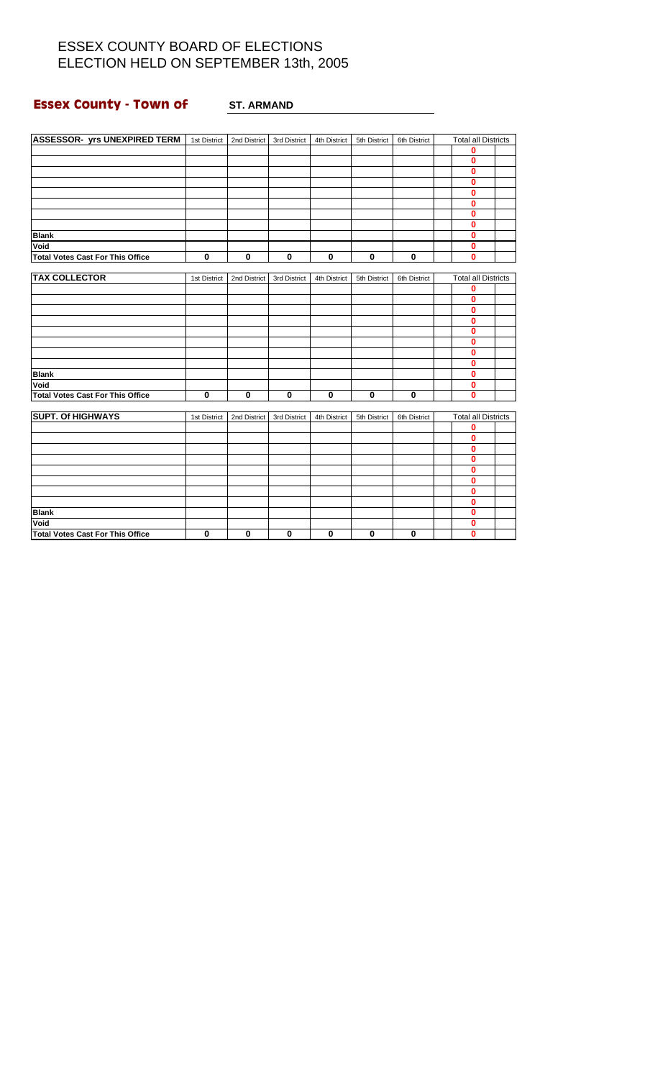#### **Essex County - Town of ST. ARMAND**

| <b>ASSESSOR- yrs UNEXPIRED TERM</b>     | 1st District | 2nd District | 3rd District | 4th District | 5th District | 6th District | <b>Total all Districts</b> |  |
|-----------------------------------------|--------------|--------------|--------------|--------------|--------------|--------------|----------------------------|--|
|                                         |              |              |              |              |              |              | 0                          |  |
|                                         |              |              |              |              |              |              | $\bf{0}$                   |  |
|                                         |              |              |              |              |              |              | 0                          |  |
|                                         |              |              |              |              |              |              | $\bf{0}$                   |  |
|                                         |              |              |              |              |              |              | 0                          |  |
|                                         |              |              |              |              |              |              | $\bf{0}$                   |  |
|                                         |              |              |              |              |              |              | $\bf{0}$                   |  |
|                                         |              |              |              |              |              |              | $\bf{0}$                   |  |
| <b>Blank</b>                            |              |              |              |              |              |              | $\mathbf 0$                |  |
| Void                                    |              |              |              |              |              |              | $\mathbf 0$                |  |
| <b>Total Votes Cast For This Office</b> | 0            | $\bf{0}$     | $\bf{0}$     | $\bf{0}$     | $\bf{0}$     | $\mathbf 0$  | 0                          |  |
|                                         |              |              |              |              |              |              |                            |  |
| <b>TAX COLLECTOR</b>                    | 1st District | 2nd District | 3rd District | 4th District | 5th District | 6th District | <b>Total all Districts</b> |  |
|                                         |              |              |              |              |              |              | 0                          |  |
|                                         |              |              |              |              |              |              | $\bf{0}$                   |  |
|                                         |              |              |              |              |              |              | $\bf{0}$                   |  |
|                                         |              |              |              |              |              |              | $\bf{0}$                   |  |
|                                         |              |              |              |              |              |              | 0                          |  |
|                                         |              |              |              |              |              |              | $\bf{0}$                   |  |
|                                         |              |              |              |              |              |              | 0                          |  |
|                                         |              |              |              |              |              |              | $\mathbf 0$                |  |
| <b>Blank</b>                            |              |              |              |              |              |              | 0                          |  |
| Void                                    |              |              |              |              |              |              | 0                          |  |
| <b>Total Votes Cast For This Office</b> | 0            | $\bf{0}$     | $\bf{0}$     | $\pmb{0}$    | $\bf{0}$     | $\mathbf 0$  | $\bf{0}$                   |  |
| <b>SUPT. Of HIGHWAYS</b>                | 1st District | 2nd District | 3rd District | 4th District | 5th District | 6th District | <b>Total all Districts</b> |  |
|                                         |              |              |              |              |              |              | $\bf{0}$                   |  |
|                                         |              |              |              |              |              |              | $\bf{0}$                   |  |
|                                         |              |              |              |              |              |              | $\bf{0}$                   |  |
|                                         |              |              |              |              |              |              | 0                          |  |
|                                         |              |              |              |              |              |              | $\bf{0}$                   |  |
|                                         |              |              |              |              |              |              | $\bf{0}$                   |  |
|                                         |              |              |              |              |              |              | $\bf{0}$                   |  |
|                                         |              |              |              |              |              |              | $\bf{0}$                   |  |
| <b>Blank</b>                            |              |              |              |              |              |              | $\bf{0}$                   |  |
| Void                                    |              |              |              |              |              |              | $\bf{0}$                   |  |
| <b>Total Votes Cast For This Office</b> | 0            | 0            | $\mathbf 0$  | 0            | $\bf{0}$     | $\mathbf 0$  | 0                          |  |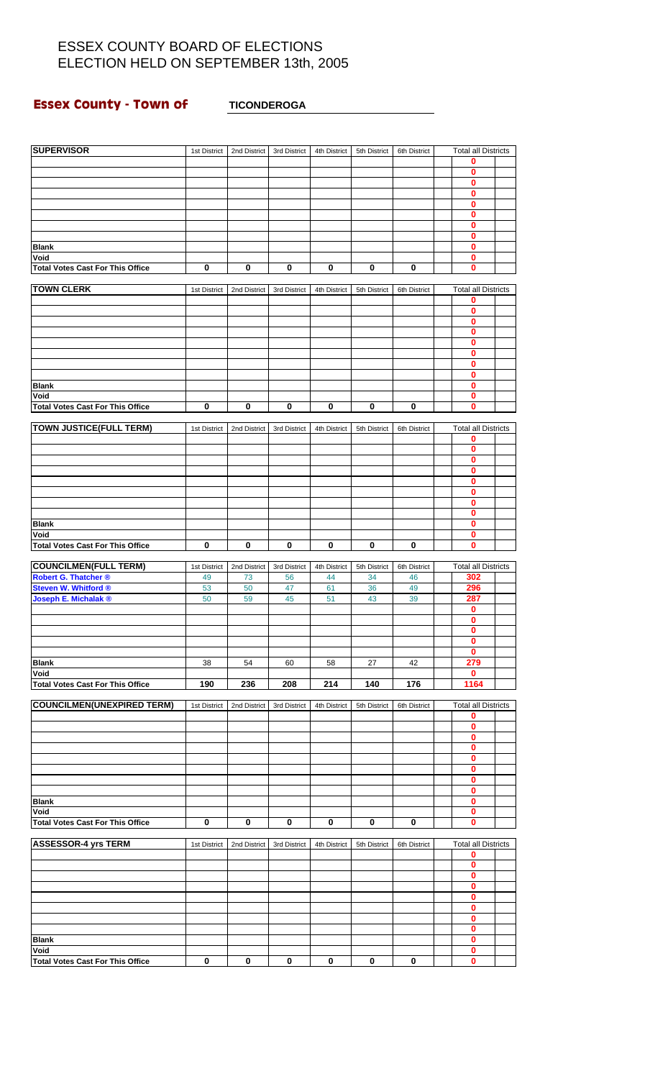# **Essex County - Town of TICONDEROGA**

| <b>SUPERVISOR</b>                                   | 1st District | 2nd District | 3rd District | 4th District | 5th District | 6th District | <b>Total all Districts</b> |  |
|-----------------------------------------------------|--------------|--------------|--------------|--------------|--------------|--------------|----------------------------|--|
|                                                     |              |              |              |              |              |              | 0                          |  |
|                                                     |              |              |              |              |              |              | 0                          |  |
|                                                     |              |              |              |              |              |              | 0<br>0                     |  |
|                                                     |              |              |              |              |              |              | 0                          |  |
|                                                     |              |              |              |              |              |              | 0                          |  |
|                                                     |              |              |              |              |              |              | 0                          |  |
| <b>Blank</b>                                        |              |              |              |              |              |              | 0<br>0                     |  |
| Void                                                |              |              |              |              |              |              | 0                          |  |
| <b>Total Votes Cast For This Office</b>             | 0            | 0            | 0            | 0            | 0            | 0            | 0                          |  |
| <b>TOWN CLERK</b>                                   | 1st District | 2nd District | 3rd District | 4th District | 5th District | 6th District | <b>Total all Districts</b> |  |
|                                                     |              |              |              |              |              |              | 0                          |  |
|                                                     |              |              |              |              |              |              | 0                          |  |
|                                                     |              |              |              |              |              |              | 0<br>0                     |  |
|                                                     |              |              |              |              |              |              | 0                          |  |
|                                                     |              |              |              |              |              |              | 0                          |  |
|                                                     |              |              |              |              |              |              | 0<br>0                     |  |
| <b>Blank</b>                                        |              |              |              |              |              |              | 0                          |  |
| Void                                                |              |              |              |              |              |              | 0                          |  |
| <b>Total Votes Cast For This Office</b>             | $\bf{0}$     | 0            | 0            | 0            | 0            | 0            | 0                          |  |
| <b>TOWN JUSTICE(FULL TERM)</b>                      | 1st District | 2nd District | 3rd District | 4th District | 5th District | 6th District | <b>Total all Districts</b> |  |
|                                                     |              |              |              |              |              |              | 0                          |  |
|                                                     |              |              |              |              |              |              | 0<br>0                     |  |
|                                                     |              |              |              |              |              |              | 0                          |  |
|                                                     |              |              |              |              |              |              | 0                          |  |
|                                                     |              |              |              |              |              |              | 0<br>0                     |  |
|                                                     |              |              |              |              |              |              | 0                          |  |
| <b>Blank</b>                                        |              |              |              |              |              |              | 0                          |  |
| Void                                                |              |              |              |              |              |              | 0                          |  |
| <b>Total Votes Cast For This Office</b>             | 0            | $\bf{0}$     | $\bf{0}$     | 0            | $\mathbf 0$  | $\mathbf 0$  | $\bf{0}$                   |  |
| <b>COUNCILMEN(FULL TERM)</b>                        | 1st District | 2nd District | 3rd District | 4th District | 5th District | 6th District | <b>Total all Districts</b> |  |
| Robert G. Thatcher ®                                | 49           | 73           | 56           | 44           | 34           | 46           | 302                        |  |
| <b>Steven W. Whitford ®</b><br>Joseph E. Michalak ® | 53<br>50     | 50<br>59     | 47<br>45     | 61<br>51     | 36<br>43     | 49<br>39     | 296<br>287                 |  |
|                                                     |              |              |              |              |              |              | $\mathbf 0$                |  |
|                                                     |              |              |              |              |              |              | 0                          |  |
|                                                     |              |              |              |              |              |              | $\bf{0}$<br>0              |  |
|                                                     |              |              |              |              |              |              | 0                          |  |
| <b>Blank</b>                                        | 38           | 54           | 60           | 58           | 27           | 42           | 279                        |  |
| Void                                                |              |              |              |              |              |              | $\mathbf 0$                |  |
| <b>Total Votes Cast For This Office</b>             | 190          | 236          | 208          | 214          | 140          | 176          | 1164                       |  |
| <b>COUNCILMEN(UNEXPIRED TERM)</b>                   | 1st District | 2nd District | 3rd District | 4th District | 5th District | 6th District | <b>Total all Districts</b> |  |
|                                                     |              |              |              |              |              |              | 0<br>0                     |  |
|                                                     |              |              |              |              |              |              | 0                          |  |
|                                                     |              |              |              |              |              |              | 0                          |  |
|                                                     |              |              |              |              |              |              | 0                          |  |
|                                                     |              |              |              |              |              |              | 0<br>0                     |  |
|                                                     |              |              |              |              |              |              | 0                          |  |
| <b>Blank</b>                                        |              |              |              |              |              |              | 0                          |  |
| Void<br><b>Total Votes Cast For This Office</b>     | 0            | 0            | 0            | 0            | 0            | 0            | 0<br>0                     |  |
|                                                     |              |              |              |              |              |              |                            |  |
| <b>ASSESSOR-4 yrs TERM</b>                          | 1st District | 2nd District | 3rd District | 4th District | 5th District | 6th District | <b>Total all Districts</b> |  |
|                                                     |              |              |              |              |              |              | 0<br>0                     |  |
|                                                     |              |              |              |              |              |              | 0                          |  |
|                                                     |              |              |              |              |              |              | 0                          |  |
|                                                     |              |              |              |              |              |              | 0                          |  |
|                                                     |              |              |              |              |              |              | 0<br>0                     |  |
|                                                     |              |              |              |              |              |              | 0                          |  |
| <b>Blank</b>                                        |              |              |              |              |              |              | 0                          |  |
| Void<br><b>Total Votes Cast For This Office</b>     | 0            | 0            | 0            | 0            | 0            | 0            | 0<br>0                     |  |
|                                                     |              |              |              |              |              |              |                            |  |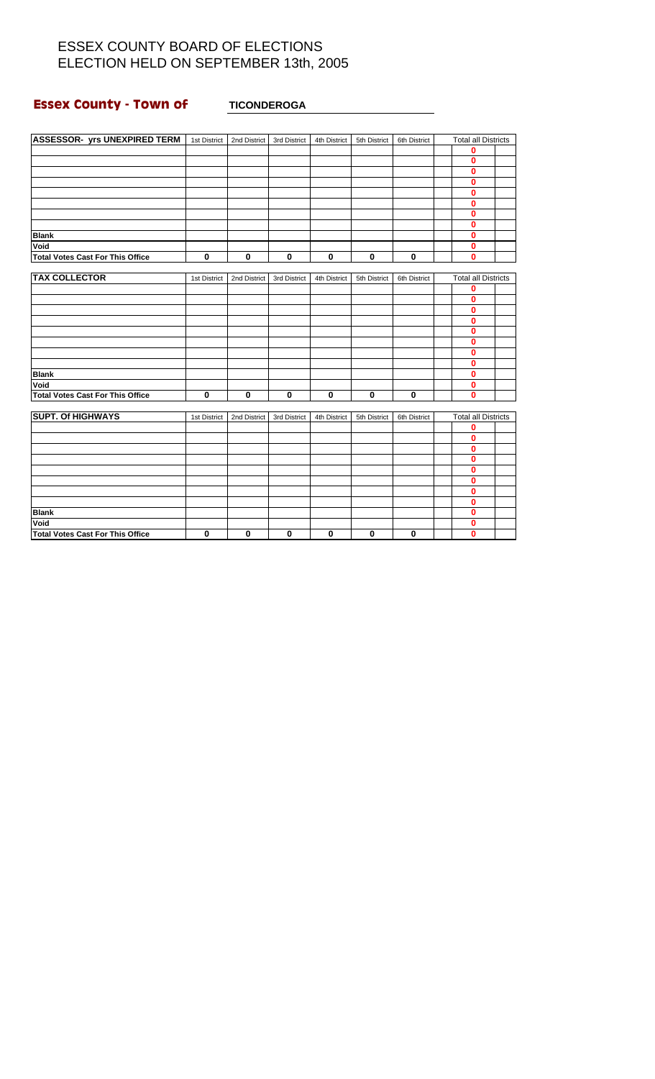#### **Essex County - Town of TICONDEROGA**

| <b>ASSESSOR- yrs UNEXPIRED TERM</b> 1st District |              | 2nd District | 3rd District | 4th District | 5th District | 6th District | <b>Total all Districts</b> |  |
|--------------------------------------------------|--------------|--------------|--------------|--------------|--------------|--------------|----------------------------|--|
|                                                  |              |              |              |              |              |              | 0                          |  |
|                                                  |              |              |              |              |              |              | $\bf{0}$                   |  |
|                                                  |              |              |              |              |              |              | $\bf{0}$                   |  |
|                                                  |              |              |              |              |              |              | $\bf{0}$                   |  |
|                                                  |              |              |              |              |              |              | 0                          |  |
|                                                  |              |              |              |              |              |              | 0                          |  |
|                                                  |              |              |              |              |              |              | $\bf{0}$                   |  |
|                                                  |              |              |              |              |              |              | $\bf{0}$                   |  |
| <b>Blank</b>                                     |              |              |              |              |              |              | $\bf{0}$                   |  |
| Void                                             |              |              |              |              |              |              | $\bf{0}$                   |  |
| <b>Total Votes Cast For This Office</b>          | 0            | $\bf{0}$     | $\mathbf 0$  | $\mathbf 0$  | $\mathbf 0$  | $\mathbf 0$  | $\mathbf{0}$               |  |
| <b>TAX COLLECTOR</b>                             | 1st District | 2nd District | 3rd District | 4th District | 5th District | 6th District | <b>Total all Districts</b> |  |
|                                                  |              |              |              |              |              |              | 0                          |  |
|                                                  |              |              |              |              |              |              | $\bf{0}$                   |  |
|                                                  |              |              |              |              |              |              | $\bf{0}$                   |  |
|                                                  |              |              |              |              |              |              | $\bf{0}$                   |  |
|                                                  |              |              |              |              |              |              | $\bf{0}$                   |  |
|                                                  |              |              |              |              |              |              | $\bf{0}$                   |  |
|                                                  |              |              |              |              |              |              | $\bf{0}$                   |  |
|                                                  |              |              |              |              |              |              | $\bf{0}$                   |  |
| <b>Blank</b>                                     |              |              |              |              |              |              | $\mathbf 0$                |  |
| Void                                             |              |              |              |              |              |              | 0                          |  |
| <b>Total Votes Cast For This Office</b>          | 0            | $\mathbf 0$  | $\bf{0}$     | $\bf{0}$     | $\mathbf 0$  | $\mathbf 0$  | $\bf{0}$                   |  |
| <b>SUPT. Of HIGHWAYS</b>                         |              |              |              |              |              |              | <b>Total all Districts</b> |  |
|                                                  | 1st District | 2nd District | 3rd District | 4th District | 5th District | 6th District | 0                          |  |
|                                                  |              |              |              |              |              |              | $\bf{0}$                   |  |
|                                                  |              |              |              |              |              |              | $\mathbf{0}$               |  |
|                                                  |              |              |              |              |              |              | 0                          |  |
|                                                  |              |              |              |              |              |              | 0                          |  |
|                                                  |              |              |              |              |              |              | $\bf{0}$                   |  |
|                                                  |              |              |              |              |              |              | $\bf{0}$                   |  |
|                                                  |              |              |              |              |              |              | $\bf{0}$                   |  |
| <b>Blank</b>                                     |              |              |              |              |              |              | 0                          |  |
| Void                                             |              |              |              |              |              |              | $\mathbf 0$                |  |
| <b>Total Votes Cast For This Office</b>          | 0            | 0            | $\mathbf 0$  | 0            | $\bf{0}$     | $\mathbf 0$  | 0                          |  |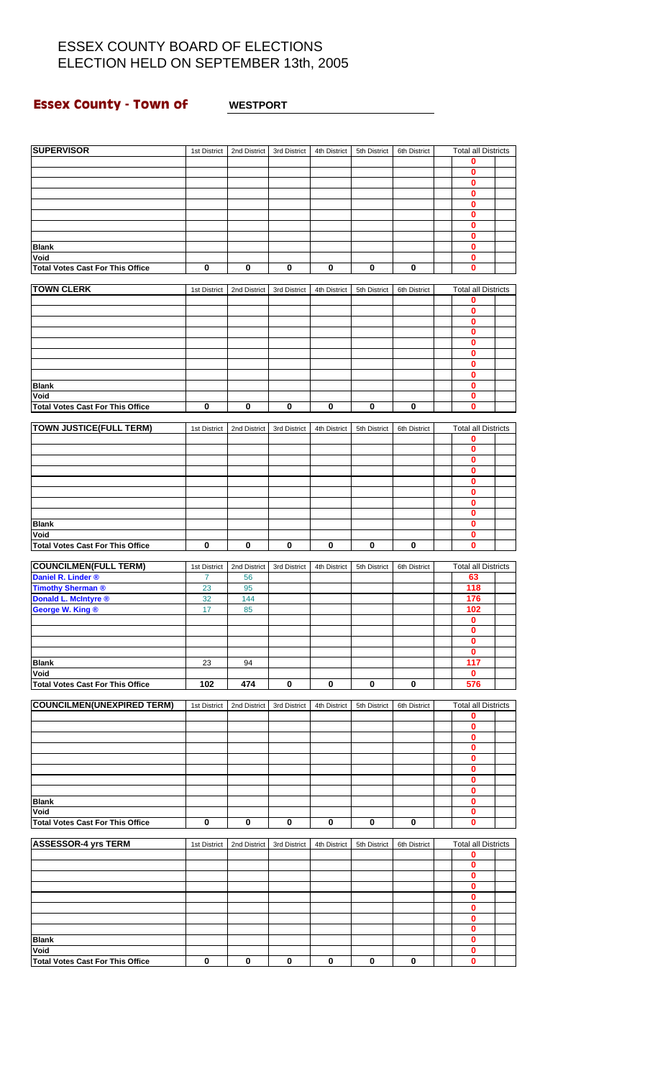# **Essex County - Town of WESTPORT MESTER AND RESPONDENT ASSESSMENT ASSESSMENT ASSESSMENT ASSESSMENT ASSESSMENT ASSESSMENT ASSESSMENT ASSESSMENT ASSESSMENT ASSESSMENT ASSESSMENT ASSESSMENT ASSESSMENT ASSESSMENT ASSESSMENT AS**

| <b>SUPERVISOR</b>                       | 1st District                   | 2nd District       | 3rd District | 4th District | 5th District | 6th District | <b>Total all Districts</b>       |  |
|-----------------------------------------|--------------------------------|--------------------|--------------|--------------|--------------|--------------|----------------------------------|--|
|                                         |                                |                    |              |              |              |              | 0                                |  |
|                                         |                                |                    |              |              |              |              | 0<br>0                           |  |
|                                         |                                |                    |              |              |              |              | 0                                |  |
|                                         |                                |                    |              |              |              |              | 0                                |  |
|                                         |                                |                    |              |              |              |              | 0                                |  |
|                                         |                                |                    |              |              |              |              | O<br>0                           |  |
| <b>Blank</b>                            |                                |                    |              |              |              |              | 0                                |  |
| Void                                    |                                |                    |              |              |              |              | 0                                |  |
| <b>Total Votes Cast For This Office</b> | $\bf{0}$                       | 0                  | $\bf{0}$     | $\pmb{0}$    | $\bf{0}$     | $\bf{0}$     | 0                                |  |
| <b>TOWN CLERK</b>                       | 1st District                   |                    |              |              |              | 6th District | <b>Total all Districts</b>       |  |
|                                         |                                | 2nd District       | 3rd District | 4th District | 5th District |              | 0                                |  |
|                                         |                                |                    |              |              |              |              | 0                                |  |
|                                         |                                |                    |              |              |              |              | 0                                |  |
|                                         |                                |                    |              |              |              |              | 0<br>0                           |  |
|                                         |                                |                    |              |              |              |              | 0                                |  |
|                                         |                                |                    |              |              |              |              | 0                                |  |
|                                         |                                |                    |              |              |              |              | 0                                |  |
| <b>Blank</b><br>Void                    |                                |                    |              |              |              |              | 0                                |  |
| <b>Total Votes Cast For This Office</b> | 0                              | 0                  | 0            | 0            | 0            | 0            | 0<br>0                           |  |
|                                         |                                |                    |              |              |              |              |                                  |  |
| <b>TOWN JUSTICE(FULL TERM)</b>          | 1st District                   | 2nd District       | 3rd District | 4th District | 5th District | 6th District | <b>Total all Districts</b>       |  |
|                                         |                                |                    |              |              |              |              | 0                                |  |
|                                         |                                |                    |              |              |              |              | 0<br>0                           |  |
|                                         |                                |                    |              |              |              |              | 0                                |  |
|                                         |                                |                    |              |              |              |              | 0                                |  |
|                                         |                                |                    |              |              |              |              | 0                                |  |
|                                         |                                |                    |              |              |              |              | 0<br>0                           |  |
| <b>Blank</b>                            |                                |                    |              |              |              |              | 0                                |  |
| Void                                    |                                |                    |              |              |              |              | 0                                |  |
| <b>Total Votes Cast For This Office</b> | $\bf{0}$                       | 0                  | 0            | $\bf{0}$     | $\mathbf 0$  | 0            | 0                                |  |
| <b>COUNCILMEN(FULL TERM)</b>            |                                |                    |              |              |              |              |                                  |  |
| Daniel R. Linder ®                      | 1st District<br>$\overline{7}$ | 2nd District<br>56 | 3rd District | 4th District | 5th District | 6th District | <b>Total all Districts</b><br>63 |  |
| <b>Timothy Sherman ®</b>                | 23                             | 95                 |              |              |              |              | 118                              |  |
| Donald L. McIntyre ®                    | 32                             | 144                |              |              |              |              | 176                              |  |
| George W. King ®                        | 17                             | 85                 |              |              |              |              | 102                              |  |
|                                         |                                |                    |              |              |              |              | 0<br>0                           |  |
|                                         |                                |                    |              |              |              |              | 0                                |  |
|                                         |                                |                    |              |              |              |              | 0                                |  |
| <b>Blank</b><br>Void                    | 23                             | 94                 |              |              |              |              | 117                              |  |
| <b>Total Votes Cast For This Office</b> | 102                            | 474                | 0            | 0            | $\bf{0}$     | 0            | 0<br>576                         |  |
|                                         |                                |                    |              |              |              |              |                                  |  |
| <b>COUNCILMEN(UNEXPIRED TERM)</b>       | 1st District                   | 2nd District       | 3rd District | 4th District | 5th District | 6th District | <b>Total all Districts</b>       |  |
|                                         |                                |                    |              |              |              |              | 0                                |  |
|                                         |                                |                    |              |              |              |              | 0<br>0                           |  |
|                                         |                                |                    |              |              |              |              | 0                                |  |
|                                         |                                |                    |              |              |              |              | 0                                |  |
|                                         |                                |                    |              |              |              |              | 0                                |  |
|                                         |                                |                    |              |              |              |              | 0<br>0                           |  |
| <b>Blank</b>                            |                                |                    |              |              |              |              | 0                                |  |
| Void                                    |                                |                    |              |              |              |              | 0                                |  |
| <b>Total Votes Cast For This Office</b> | 0                              | 0                  | 0            | 0            | 0            | 0            | 0                                |  |
| <b>ASSESSOR-4 yrs TERM</b>              | 1st District                   | 2nd District       | 3rd District | 4th District | 5th District | 6th District | <b>Total all Districts</b>       |  |
|                                         |                                |                    |              |              |              |              | 0                                |  |
|                                         |                                |                    |              |              |              |              | 0                                |  |
|                                         |                                |                    |              |              |              |              | 0                                |  |
|                                         |                                |                    |              |              |              |              | 0<br>0                           |  |
|                                         |                                |                    |              |              |              |              | 0                                |  |
|                                         |                                |                    |              |              |              |              | 0                                |  |
|                                         |                                |                    |              |              |              |              | 0                                |  |
| <b>Blank</b><br>Void                    |                                |                    |              |              |              |              | 0<br>0                           |  |
| <b>Total Votes Cast For This Office</b> | $\bf{0}$                       | $\bf{0}$           | $\mathbf 0$  | $\bf{0}$     | 0            | $\mathbf 0$  | 0                                |  |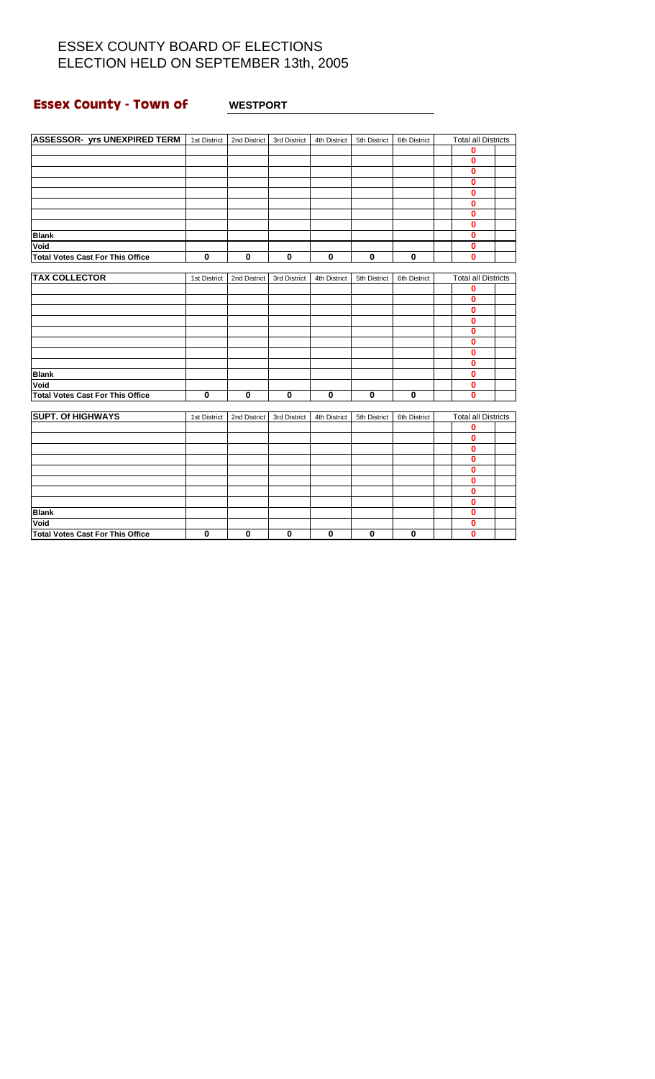#### **Essex County - Town of WESTPORT**

| <b>ASSESSOR- yrs UNEXPIRED TERM</b> 1st District |              | 2nd District | 3rd District | 4th District | 5th District | 6th District | <b>Total all Districts</b> |  |
|--------------------------------------------------|--------------|--------------|--------------|--------------|--------------|--------------|----------------------------|--|
|                                                  |              |              |              |              |              |              | 0                          |  |
|                                                  |              |              |              |              |              |              | $\bf{0}$                   |  |
|                                                  |              |              |              |              |              |              | $\bf{0}$                   |  |
|                                                  |              |              |              |              |              |              | $\bf{0}$                   |  |
|                                                  |              |              |              |              |              |              | 0                          |  |
|                                                  |              |              |              |              |              |              | 0                          |  |
|                                                  |              |              |              |              |              |              | $\bf{0}$                   |  |
|                                                  |              |              |              |              |              |              | $\bf{0}$                   |  |
| <b>Blank</b>                                     |              |              |              |              |              |              | $\bf{0}$                   |  |
| Void                                             |              |              |              |              |              |              | $\bf{0}$                   |  |
| <b>Total Votes Cast For This Office</b>          | 0            | $\bf{0}$     | $\mathbf 0$  | $\bf{0}$     | $\mathbf 0$  | $\mathbf 0$  | $\mathbf{0}$               |  |
| <b>TAX COLLECTOR</b>                             | 1st District | 2nd District | 3rd District | 4th District | 5th District | 6th District | <b>Total all Districts</b> |  |
|                                                  |              |              |              |              |              |              | 0                          |  |
|                                                  |              |              |              |              |              |              | $\bf{0}$                   |  |
|                                                  |              |              |              |              |              |              | $\bf{0}$                   |  |
|                                                  |              |              |              |              |              |              | $\bf{0}$                   |  |
|                                                  |              |              |              |              |              |              | $\bf{0}$                   |  |
|                                                  |              |              |              |              |              |              | $\bf{0}$                   |  |
|                                                  |              |              |              |              |              |              | $\bf{0}$                   |  |
|                                                  |              |              |              |              |              |              | $\bf{0}$                   |  |
| <b>Blank</b>                                     |              |              |              |              |              |              | $\mathbf 0$                |  |
| Void                                             |              |              |              |              |              |              | 0                          |  |
| <b>Total Votes Cast For This Office</b>          | 0            | $\mathbf 0$  | $\bf{0}$     | $\bf{0}$     | $\mathbf 0$  | $\mathbf 0$  | $\bf{0}$                   |  |
| <b>SUPT. Of HIGHWAYS</b>                         |              |              |              |              |              |              | <b>Total all Districts</b> |  |
|                                                  | 1st District | 2nd District | 3rd District | 4th District | 5th District | 6th District | 0                          |  |
|                                                  |              |              |              |              |              |              | $\bf{0}$                   |  |
|                                                  |              |              |              |              |              |              | $\mathbf{0}$               |  |
|                                                  |              |              |              |              |              |              | 0                          |  |
|                                                  |              |              |              |              |              |              | 0                          |  |
|                                                  |              |              |              |              |              |              | $\bf{0}$                   |  |
|                                                  |              |              |              |              |              |              | $\bf{0}$                   |  |
|                                                  |              |              |              |              |              |              | $\bf{0}$                   |  |
| <b>Blank</b>                                     |              |              |              |              |              |              | 0                          |  |
| Void                                             |              |              |              |              |              |              | $\mathbf 0$                |  |
| <b>Total Votes Cast For This Office</b>          | 0            | 0            | $\mathbf 0$  | 0            | $\bf{0}$     | $\mathbf 0$  | 0                          |  |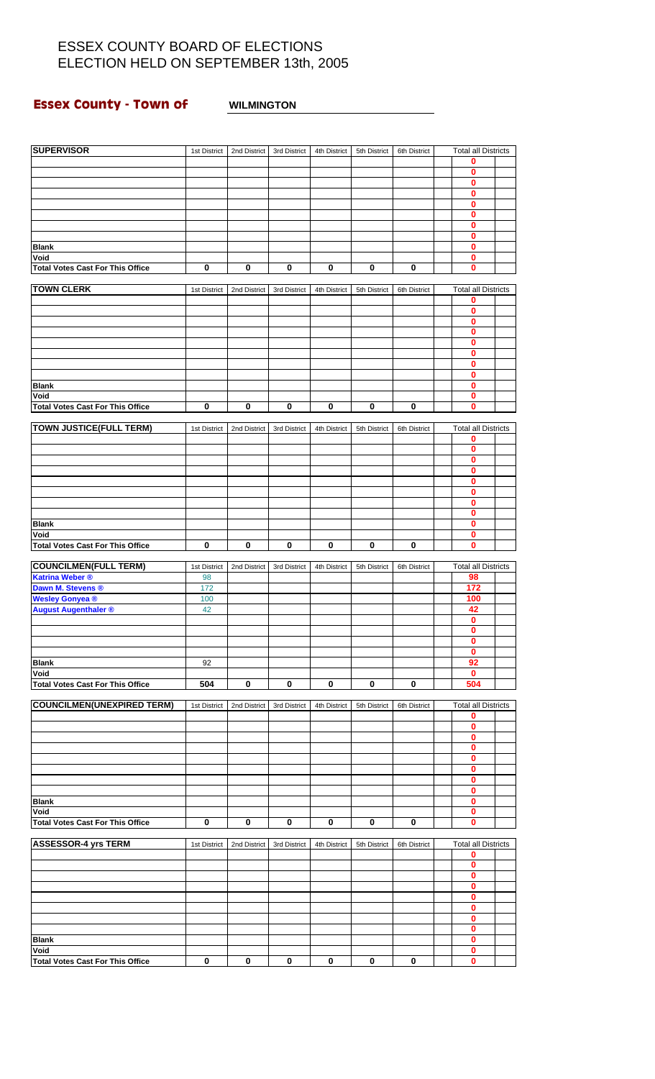# **Essex County - Town of WILMINGTON MILMING ASSESSMENT ASSESSMENT ASSESSMENT ASSESSMENT ASSESSMENT ASSESSMENT ASSESSMENT ASSESSMENT ASSESSMENT ASSESSMENT ASSESSMENT ASSESSMENT ASSESSMENT ASSESSMENT ASSESSMENT ASSESSMENT ASS**

| <b>SUPERVISOR</b>                               | 1st District            | 2nd District | 3rd District | 4th District | 5th District | 6th District | <b>Total all Districts</b>      |  |
|-------------------------------------------------|-------------------------|--------------|--------------|--------------|--------------|--------------|---------------------------------|--|
|                                                 |                         |              |              |              |              |              | 0                               |  |
|                                                 |                         |              |              |              |              |              | 0<br>0                          |  |
|                                                 |                         |              |              |              |              |              | 0                               |  |
|                                                 |                         |              |              |              |              |              | 0                               |  |
|                                                 |                         |              |              |              |              |              | 0<br>0                          |  |
|                                                 |                         |              |              |              |              |              | 0                               |  |
| <b>Blank</b>                                    |                         |              |              |              |              |              | 0                               |  |
| Void                                            |                         |              |              |              |              |              | 0                               |  |
| <b>Total Votes Cast For This Office</b>         | 0                       | 0            | 0            | $\pmb{0}$    | 0            | 0            | 0                               |  |
| <b>TOWN CLERK</b>                               | 1st District            | 2nd District | 3rd District | 4th District | 5th District | 6th District | <b>Total all Districts</b>      |  |
|                                                 |                         |              |              |              |              |              | 0                               |  |
|                                                 |                         |              |              |              |              |              | 0                               |  |
|                                                 |                         |              |              |              |              |              | 0<br>0                          |  |
|                                                 |                         |              |              |              |              |              | 0                               |  |
|                                                 |                         |              |              |              |              |              | 0                               |  |
|                                                 |                         |              |              |              |              |              | 0                               |  |
| <b>Blank</b>                                    |                         |              |              |              |              |              | 0<br>0                          |  |
| Void                                            |                         |              |              |              |              |              | 0                               |  |
| <b>Total Votes Cast For This Office</b>         | 0                       | 0            | 0            | 0            | $\mathbf 0$  | 0            | 0                               |  |
|                                                 |                         |              |              |              |              |              |                                 |  |
| <b>TOWN JUSTICE(FULL TERM)</b>                  | 1st District            | 2nd District | 3rd District | 4th District | 5th District | 6th District | <b>Total all Districts</b><br>0 |  |
|                                                 |                         |              |              |              |              |              | 0                               |  |
|                                                 |                         |              |              |              |              |              | 0                               |  |
|                                                 |                         |              |              |              |              |              | 0                               |  |
|                                                 |                         |              |              |              |              |              | 0<br>0                          |  |
|                                                 |                         |              |              |              |              |              | 0                               |  |
|                                                 |                         |              |              |              |              |              | 0                               |  |
| <b>Blank</b>                                    |                         |              |              |              |              |              | 0                               |  |
| Void<br><b>Total Votes Cast For This Office</b> | $\overline{\mathbf{0}}$ | $\bf{0}$     | 0            | $\bf{0}$     | $\bf{0}$     | 0            | 0<br>O                          |  |
|                                                 |                         |              |              |              |              |              |                                 |  |
| <b>COUNCILMEN(FULL TERM)</b>                    | 1st District            | 2nd District | 3rd District | 4th District | 5th District | 6th District | <b>Total all Districts</b>      |  |
| <b>Katrina Weber ®</b><br>Dawn M. Stevens ®     | 98<br>172               |              |              |              |              |              | 98<br>172                       |  |
| <b>Wesley Gonyea®</b>                           | 100                     |              |              |              |              |              | 100                             |  |
| <b>August Augenthaler ®</b>                     | 42                      |              |              |              |              |              | 42                              |  |
|                                                 |                         |              |              |              |              |              | o<br>0                          |  |
|                                                 |                         |              |              |              |              |              | 0                               |  |
|                                                 |                         |              |              |              |              |              | 0                               |  |
| <b>Blank</b>                                    | 92                      |              |              |              |              |              | 92                              |  |
| Void<br><b>Total Votes Cast For This Office</b> | 504                     | 0            | 0            | 0            | 0            | 0            | 0<br>504                        |  |
|                                                 |                         |              |              |              |              |              |                                 |  |
| <b>COUNCILMEN(UNEXPIRED TERM)</b>               | 1st District            | 2nd District | 3rd District | 4th District | 5th District | 6th District | <b>Total all Districts</b>      |  |
|                                                 |                         |              |              |              |              |              | 0                               |  |
|                                                 |                         |              |              |              |              |              | 0<br>0                          |  |
|                                                 |                         |              |              |              |              |              | 0                               |  |
|                                                 |                         |              |              |              |              |              | 0                               |  |
|                                                 |                         |              |              |              |              |              | 0<br>0                          |  |
|                                                 |                         |              |              |              |              |              | 0                               |  |
| <b>Blank</b>                                    |                         |              |              |              |              |              | 0                               |  |
| Void                                            |                         |              |              |              |              |              | 0                               |  |
| <b>Total Votes Cast For This Office</b>         | 0                       | $\bf{0}$     | $\mathbf 0$  | $\pmb{0}$    | $\bf{0}$     | $\pmb{0}$    | O                               |  |
| <b>ASSESSOR-4 yrs TERM</b>                      | 1st District            | 2nd District | 3rd District | 4th District | 5th District | 6th District | <b>Total all Districts</b>      |  |
|                                                 |                         |              |              |              |              |              | 0                               |  |
|                                                 |                         |              |              |              |              |              | 0<br>0                          |  |
|                                                 |                         |              |              |              |              |              | 0                               |  |
|                                                 |                         |              |              |              |              |              | 0                               |  |
|                                                 |                         |              |              |              |              |              | 0                               |  |
|                                                 |                         |              |              |              |              |              | 0                               |  |
| <b>Blank</b>                                    |                         |              |              |              |              |              | 0<br>0                          |  |
| Void                                            |                         |              |              |              |              |              | 0                               |  |
| <b>Total Votes Cast For This Office</b>         | 0                       | 0            | 0            | 0            | 0            | 0            | 0                               |  |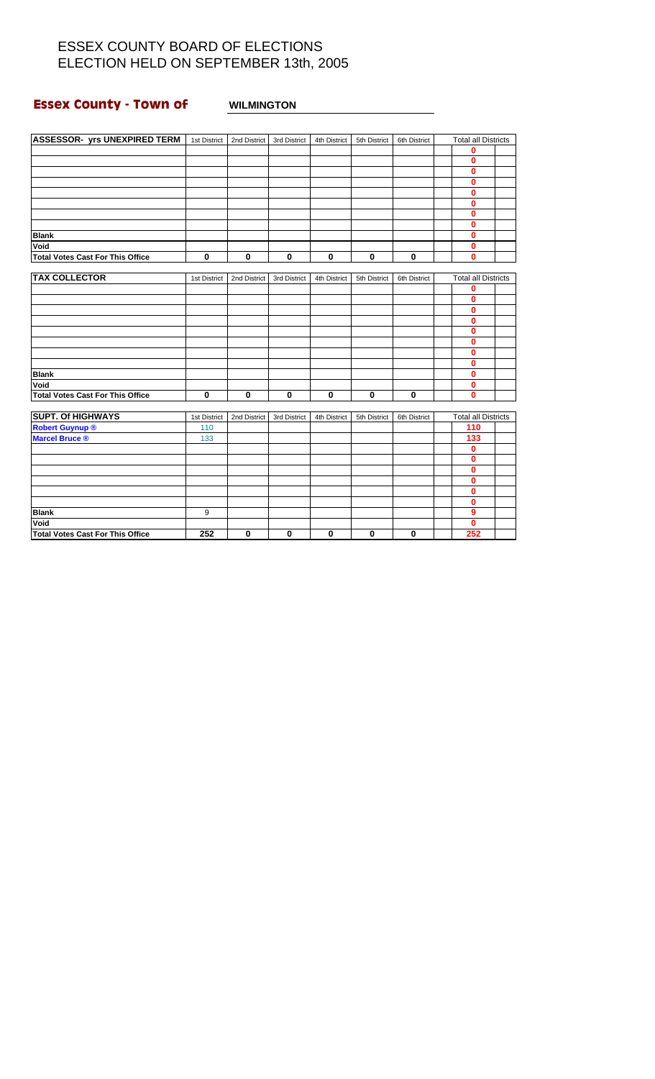#### **Essex County - Town of WILMINGTON**

| <b>ASSESSOR- yrs UNEXPIRED TERM</b>     | 1st District | 2nd District | 3rd District | 4th District | 5th District | 6th District | <b>Total all Districts</b> |  |
|-----------------------------------------|--------------|--------------|--------------|--------------|--------------|--------------|----------------------------|--|
|                                         |              |              |              |              |              |              | $\mathbf 0$                |  |
|                                         |              |              |              |              |              |              | $\bf{0}$                   |  |
|                                         |              |              |              |              |              |              | $\bf{0}$                   |  |
|                                         |              |              |              |              |              |              | $\bf{0}$                   |  |
|                                         |              |              |              |              |              |              | $\bf{0}$                   |  |
|                                         |              |              |              |              |              |              | $\bf{0}$                   |  |
|                                         |              |              |              |              |              |              | $\bf{0}$                   |  |
|                                         |              |              |              |              |              |              | $\bf{0}$                   |  |
| <b>Blank</b>                            |              |              |              |              |              |              | $\bf{0}$                   |  |
| Void                                    |              |              |              |              |              |              | $\bf{0}$                   |  |
| <b>Total Votes Cast For This Office</b> | 0            | $\bf{0}$     | $\mathbf 0$  | $\pmb{0}$    | $\mathbf 0$  | $\bf{0}$     | $\bf{0}$                   |  |
|                                         |              |              |              |              |              |              |                            |  |
| <b>TAX COLLECTOR</b>                    | 1st District | 2nd District | 3rd District | 4th District | 5th District | 6th District | <b>Total all Districts</b> |  |
|                                         |              |              |              |              |              |              | $\bf{0}$                   |  |
|                                         |              |              |              |              |              |              | $\bf{0}$                   |  |
|                                         |              |              |              |              |              |              | $\bf{0}$                   |  |
|                                         |              |              |              |              |              |              | $\bf{0}$                   |  |
|                                         |              |              |              |              |              |              | $\bf{0}$                   |  |
|                                         |              |              |              |              |              |              | $\bf{0}$                   |  |
|                                         |              |              |              |              |              |              | $\bf{0}$                   |  |
|                                         |              |              |              |              |              |              | $\bf{0}$                   |  |
| <b>Blank</b>                            |              |              |              |              |              |              | $\bf{0}$                   |  |
| Void                                    |              |              |              |              |              |              | $\mathbf 0$                |  |
| <b>Total Votes Cast For This Office</b> | 0            | $\bf{0}$     | $\bf{0}$     | $\bf{0}$     | $\mathbf 0$  | $\bf{0}$     | $\mathbf{0}$               |  |
|                                         |              |              |              |              |              |              |                            |  |
| <b>SUPT. Of HIGHWAYS</b>                | 1st District | 2nd District | 3rd District | 4th District | 5th District | 6th District | <b>Total all Districts</b> |  |
| <b>Robert Guynup ®</b>                  | 110          |              |              |              |              |              | 110                        |  |
| <b>Marcel Bruce ®</b>                   | 133          |              |              |              |              |              | 133                        |  |
|                                         |              |              |              |              |              |              | $\mathbf 0$                |  |
|                                         |              |              |              |              |              |              | $\mathbf{0}$               |  |
|                                         |              |              |              |              |              |              | $\mathbf{0}$               |  |
|                                         |              |              |              |              |              |              | $\mathbf{0}$               |  |
|                                         |              |              |              |              |              |              | $\mathbf{0}$               |  |
|                                         |              |              |              |              |              |              | $\mathbf{0}$               |  |
| <b>Blank</b>                            | 9            |              |              |              |              |              | 9                          |  |
| Void                                    |              |              |              |              |              |              | $\overline{\mathbf{0}}$    |  |

**Total Votes Cast For This Office 252 0 0 0 0 0 252**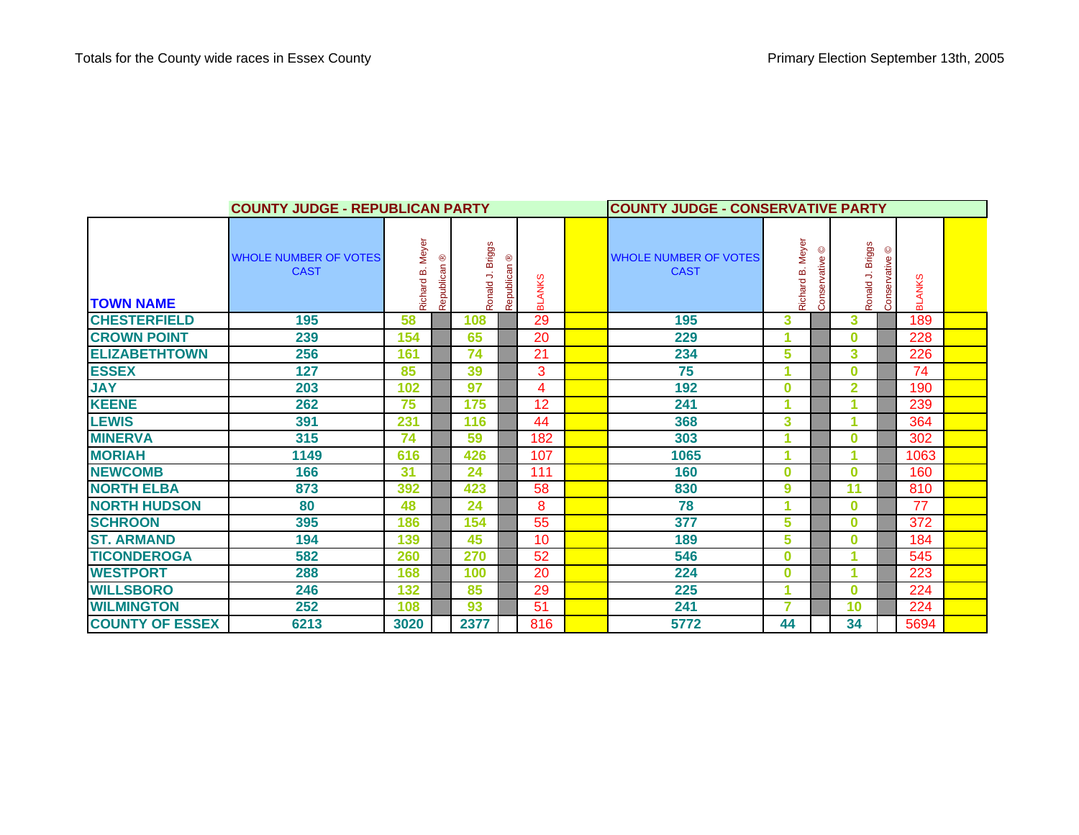|                        | <b>COUNTY JUDGE - REPUBLICAN PARTY</b>      |                        |                 |                                             | <b>COUNTY JUDGE - CONSERVATIVE PARTY</b> |  |                                             |                  |                   |                     |                                |               |  |
|------------------------|---------------------------------------------|------------------------|-----------------|---------------------------------------------|------------------------------------------|--|---------------------------------------------|------------------|-------------------|---------------------|--------------------------------|---------------|--|
| <b>TOWN NAME</b>       | <b>WHOLE NUMBER OF VOTES</b><br><b>CAST</b> | Meyer<br>മ്<br>Richard | ⊛<br>Republican | Ronald J. Briggs<br>Republican <sup>®</sup> | <b>BLANKS</b>                            |  | <b>WHOLE NUMBER OF VOTES</b><br><b>CAST</b> | Richard B. Meyer | ⊚<br>Conservative | J. Briggs<br>Ronald | $\circledcirc$<br>Conservative | <b>BLANKS</b> |  |
| <b>CHESTERFIELD</b>    | 195                                         | 58                     |                 | 108                                         | 29                                       |  | 195                                         | 3                |                   | 3                   |                                | 189           |  |
| <b>CROWN POINT</b>     | 239                                         | 154                    |                 | 65                                          | 20                                       |  | 229                                         | 1                |                   | $\bf{0}$            |                                | 228           |  |
| <b>ELIZABETHTOWN</b>   | 256                                         | 161                    |                 | 74                                          | 21                                       |  | 234                                         | 5                |                   | 3                   |                                | 226           |  |
| <b>ESSEX</b>           | 127                                         | 85                     |                 | 39                                          | 3                                        |  | 75                                          | 1                |                   | $\bf{0}$            |                                | 74            |  |
| <b>JAY</b>             | 203                                         | 102                    |                 | 97                                          | 4                                        |  | 192                                         | 0                |                   | $\overline{2}$      |                                | 190           |  |
| <b>KEENE</b>           | 262                                         | 75                     |                 | 175                                         | 12                                       |  | 241                                         | 1                |                   |                     |                                | 239           |  |
| <b>LEWIS</b>           | 391                                         | 231                    |                 | 116                                         | 44                                       |  | 368                                         | 3                |                   |                     |                                | 364           |  |
| <b>MINERVA</b>         | 315                                         | 74                     |                 | 59                                          | 182                                      |  | 303                                         | 1                |                   | 0                   |                                | 302           |  |
| <b>MORIAH</b>          | 1149                                        | 616                    |                 | 426                                         | 107                                      |  | 1065                                        | 1                |                   |                     |                                | 1063          |  |
| <b>NEWCOMB</b>         | 166                                         | 31                     |                 | 24                                          | 111                                      |  | 160                                         | $\bf{0}$         |                   | 0                   |                                | 160           |  |
| <b>NORTH ELBA</b>      | 873                                         | 392                    |                 | 423                                         | 58                                       |  | 830                                         | 9                |                   | 11                  |                                | 810           |  |
| <b>NORTH HUDSON</b>    | 80                                          | 48                     |                 | 24                                          | 8                                        |  | 78                                          | 1                |                   | $\bf{0}$            |                                | 77            |  |
| <b>SCHROON</b>         | 395                                         | 186                    |                 | 154                                         | 55                                       |  | 377                                         | 5                |                   | 0                   |                                | 372           |  |
| <b>ST. ARMAND</b>      | 194                                         | 139                    |                 | 45                                          | 10                                       |  | 189                                         | 5                |                   | 0                   |                                | 184           |  |
| <b>TICONDEROGA</b>     | 582                                         | 260                    |                 | 270                                         | 52                                       |  | 546                                         | 0                |                   |                     |                                | 545           |  |
| <b>WESTPORT</b>        | 288                                         | 168                    |                 | 100                                         | 20                                       |  | 224                                         | 0                |                   |                     |                                | 223           |  |
| <b>WILLSBORO</b>       | 246                                         | 132                    |                 | 85                                          | 29                                       |  | 225                                         | 1                |                   | $\bf{0}$            |                                | 224           |  |
| <b>WILMINGTON</b>      | 252                                         | 108                    |                 | 93                                          | 51                                       |  | 241                                         | 7                |                   | 10                  |                                | 224           |  |
| <b>COUNTY OF ESSEX</b> | 6213                                        | 3020                   |                 | 2377                                        | 816                                      |  | 5772                                        | 44               |                   | 34                  |                                | 5694          |  |